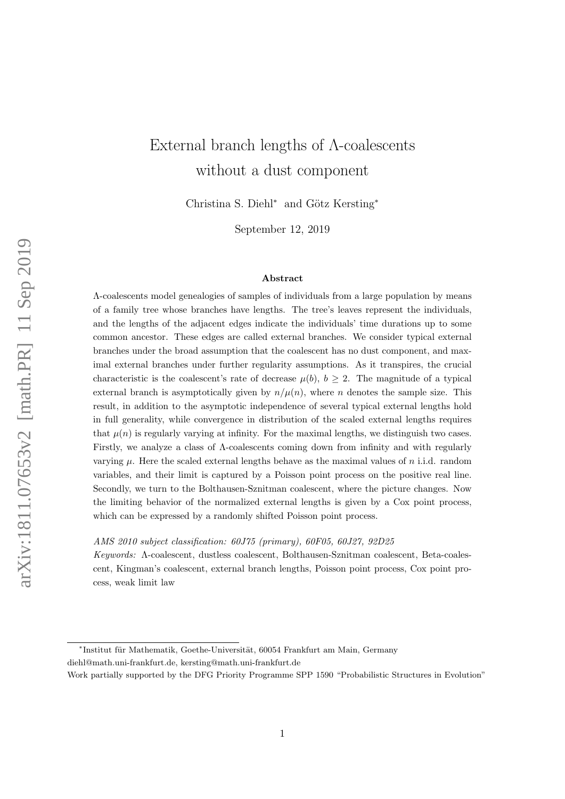# External branch lengths of Λ-coalescents without a dust component

Christina S. Diehl<sup>∗</sup> and Götz Kersting<sup>∗</sup>

September 12, 2019

#### Abstract

Λ-coalescents model genealogies of samples of individuals from a large population by means of a family tree whose branches have lengths. The tree's leaves represent the individuals, and the lengths of the adjacent edges indicate the individuals' time durations up to some common ancestor. These edges are called external branches. We consider typical external branches under the broad assumption that the coalescent has no dust component, and maximal external branches under further regularity assumptions. As it transpires, the crucial characteristic is the coalescent's rate of decrease  $\mu(b)$ ,  $b \geq 2$ . The magnitude of a typical external branch is asymptotically given by  $n/\mu(n)$ , where n denotes the sample size. This result, in addition to the asymptotic independence of several typical external lengths hold in full generality, while convergence in distribution of the scaled external lengths requires that  $\mu(n)$  is regularly varying at infinity. For the maximal lengths, we distinguish two cases. Firstly, we analyze a class of Λ-coalescents coming down from infinity and with regularly varying  $\mu$ . Here the scaled external lengths behave as the maximal values of n i.i.d. random variables, and their limit is captured by a Poisson point process on the positive real line. Secondly, we turn to the Bolthausen-Sznitman coalescent, where the picture changes. Now the limiting behavior of the normalized external lengths is given by a Cox point process, which can be expressed by a randomly shifted Poisson point process.

AMS 2010 subject classification: 60J75 (primary), 60F05, 60J27, 92D25  

Keywords: Λ-coalescent, dustless coalescent, Bolthausen-Sznitman coalescent, Beta-coalescent, Kingman's coalescent, external branch lengths, Poisson point process, Cox point process, weak limit law

\*Institut für Mathematik, Goethe-Universität, 60054 Frankfurt am Main, Germany diehl@math.uni-frankfurt.de, kersting@math.uni-frankfurt.de

Work partially supported by the DFG Priority Programme SPP 1590 "Probabilistic Structures in Evolution"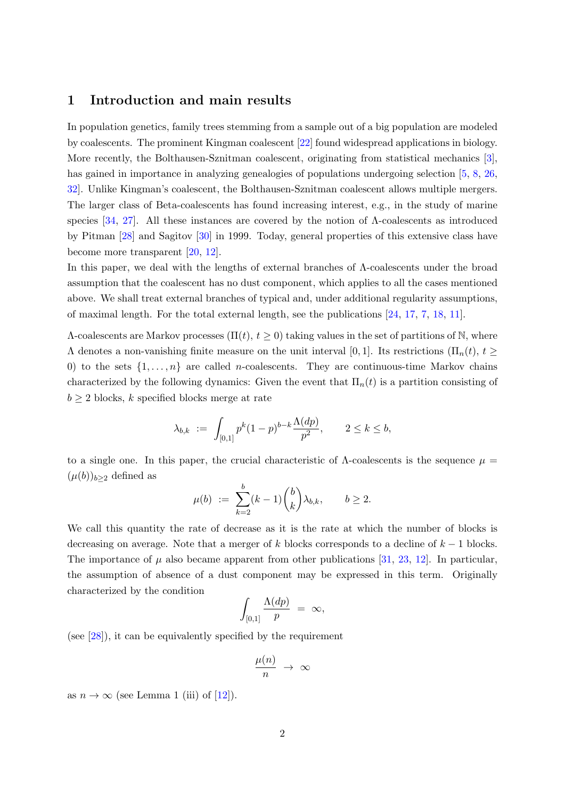#### 1 Introduction and main results

In population genetics, family trees stemming from a sample out of a big population are modeled by coalescents. The prominent Kingman coalescent [\[22\]](#page-46-0) found widespread applications in biology. More recently, the Bolthausen-Sznitman coalescent, originating from statistical mechanics [\[3\]](#page-45-0), has gained in importance in analyzing genealogies of populations undergoing selection [\[5,](#page-45-1) [8,](#page-45-2) [26,](#page-46-1) [32\]](#page-47-0). Unlike Kingman's coalescent, the Bolthausen-Sznitman coalescent allows multiple mergers. The larger class of Beta-coalescents has found increasing interest, e.g., in the study of marine species [\[34,](#page-47-1) [27\]](#page-46-2). All these instances are covered by the notion of  $\Lambda$ -coalescents as introduced by Pitman [\[28\]](#page-47-2) and Sagitov [\[30\]](#page-47-3) in 1999. Today, general properties of this extensive class have become more transparent [\[20,](#page-46-3) [12\]](#page-45-3).

In this paper, we deal with the lengths of external branches of Λ-coalescents under the broad assumption that the coalescent has no dust component, which applies to all the cases mentioned above. We shall treat external branches of typical and, under additional regularity assumptions, of maximal length. For the total external length, see the publications [\[24,](#page-46-4) [17,](#page-46-5) [7,](#page-45-4) [18,](#page-46-6) [11\]](#page-45-5).

 $\Lambda$ -coalescents are Markov processes  $(\Pi(t), t \geq 0)$  taking values in the set of partitions of N, where  $Λ$  denotes a non-vanishing finite measure on the unit interval [0, 1]. Its restrictions (Π<sub>n</sub>(t), t  $\geq$ 0) to the sets  $\{1, \ldots, n\}$  are called *n*-coalescents. They are continuous-time Markov chains characterized by the following dynamics: Given the event that  $\Pi_n(t)$  is a partition consisting of  $b \geq 2$  blocks, k specified blocks merge at rate

$$
\lambda_{b,k} := \int_{[0,1]} p^k (1-p)^{b-k} \frac{\Lambda(dp)}{p^2}, \qquad 2 \le k \le b,
$$

to a single one. In this paper, the crucial characteristic of  $\Lambda$ -coalescents is the sequence  $\mu =$  $(\mu(b))_{b\geq 2}$  defined as

$$
\mu(b) \ := \ \sum_{k=2}^b (k-1) \binom{b}{k} \lambda_{b,k}, \qquad b \geq 2.
$$

We call this quantity the rate of decrease as it is the rate at which the number of blocks is decreasing on average. Note that a merger of k blocks corresponds to a decline of  $k - 1$  blocks. The importance of  $\mu$  also became apparent from other publications [\[31,](#page-47-4) [23,](#page-46-7) [12\]](#page-45-3). In particular, the assumption of absence of a dust component may be expressed in this term. Originally characterized by the condition

$$
\int_{[0,1]} \frac{\Lambda(dp)}{p} = \infty,
$$

(see [\[28\]](#page-47-2)), it can be equivalently specified by the requirement

$$
\frac{\mu(n)}{n} \rightarrow \infty
$$

as  $n \to \infty$  (see Lemma 1 (iii) of [\[12\]](#page-45-3)).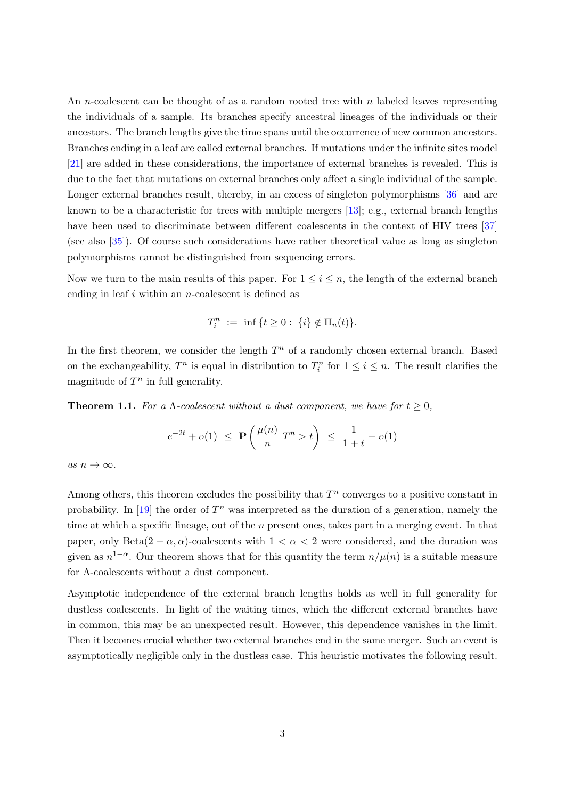An *n*-coalescent can be thought of as a random rooted tree with *n* labeled leaves representing the individuals of a sample. Its branches specify ancestral lineages of the individuals or their ancestors. The branch lengths give the time spans until the occurrence of new common ancestors. Branches ending in a leaf are called external branches. If mutations under the infinite sites model [\[21\]](#page-46-8) are added in these considerations, the importance of external branches is revealed. This is due to the fact that mutations on external branches only affect a single individual of the sample. Longer external branches result, thereby, in an excess of singleton polymorphisms [\[36\]](#page-47-5) and are known to be a characteristic for trees with multiple mergers  $[13]$ ; e.g., external branch lengths have been used to discriminate between different coalescents in the context of HIV trees [\[37\]](#page-47-6) (see also [\[35\]](#page-47-7)). Of course such considerations have rather theoretical value as long as singleton polymorphisms cannot be distinguished from sequencing errors.

Now we turn to the main results of this paper. For  $1 \leq i \leq n$ , the length of the external branch ending in leaf  $i$  within an *n*-coalescent is defined as

$$
T_i^n \ := \ \inf \,\{t \geq 0: \ \{i\} \notin \Pi_n(t)\}.
$$

In the first theorem, we consider the length  $T<sup>n</sup>$  of a randomly chosen external branch. Based on the exchangeability,  $T^n$  is equal in distribution to  $T_i^n$  for  $1 \leq i \leq n$ . The result clarifies the magnitude of  $T^n$  in full generality.

<span id="page-2-0"></span>**Theorem 1.1.** For a  $\Lambda$ -coalescent without a dust component, we have for  $t \geq 0$ ,

$$
e^{-2t} + o(1) \leq \mathbf{P}\left(\frac{\mu(n)}{n} T^n > t\right) \leq \frac{1}{1+t} + o(1)
$$

as  $n \to \infty$ .

Among others, this theorem excludes the possibility that  $T<sup>n</sup>$  converges to a positive constant in probability. In [\[19\]](#page-46-9) the order of  $T^n$  was interpreted as the duration of a generation, namely the time at which a specific lineage, out of the  $n$  present ones, takes part in a merging event. In that paper, only Beta $(2 - \alpha, \alpha)$ -coalescents with  $1 < \alpha < 2$  were considered, and the duration was given as  $n^{1-\alpha}$ . Our theorem shows that for this quantity the term  $n/\mu(n)$  is a suitable measure for Λ-coalescents without a dust component.

Asymptotic independence of the external branch lengths holds as well in full generality for dustless coalescents. In light of the waiting times, which the different external branches have in common, this may be an unexpected result. However, this dependence vanishes in the limit. Then it becomes crucial whether two external branches end in the same merger. Such an event is asymptotically negligible only in the dustless case. This heuristic motivates the following result.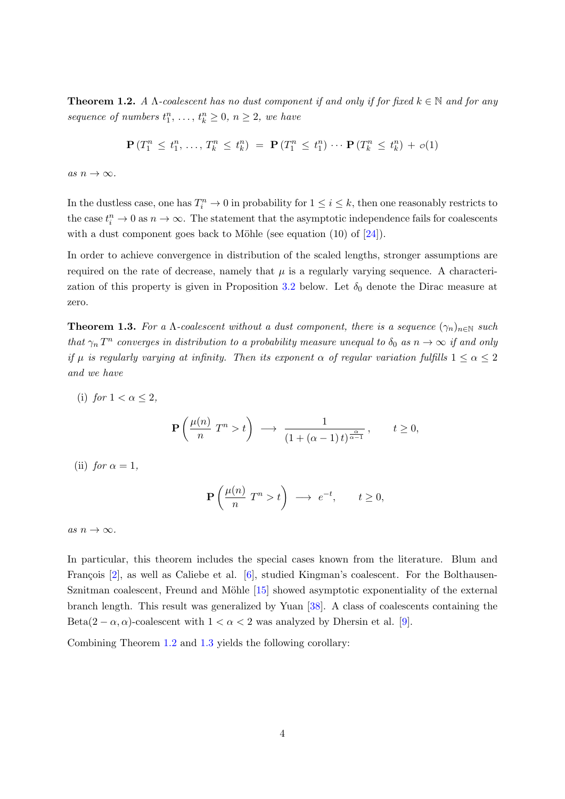<span id="page-3-0"></span>**Theorem 1.2.** A  $\Lambda$ -coalescent has no dust component if and only if for fixed  $k \in \mathbb{N}$  and for any sequence of numbers  $t_1^n, \ldots, t_k^n \geq 0, n \geq 2$ , we have

$$
\mathbf{P}(T_1^n \le t_1^n, \ldots, T_k^n \le t_k^n) = \mathbf{P}(T_1^n \le t_1^n) \cdots \mathbf{P}(T_k^n \le t_k^n) + o(1)
$$

as  $n \to \infty$ .

In the dustless case, one has  $T_i^n \to 0$  in probability for  $1 \leq i \leq k$ , then one reasonably restricts to the case  $t_i^n \to 0$  as  $n \to \infty$ . The statement that the asymptotic independence fails for coalescents with a dust component goes back to Möhle (see equation  $(10)$  of  $[24]$ ).

In order to achieve convergence in distribution of the scaled lengths, stronger assumptions are required on the rate of decrease, namely that  $\mu$  is a regularly varying sequence. A characteri-zation of this property is given in Proposition [3.2](#page-13-0) below. Let  $\delta_0$  denote the Dirac measure at zero.

<span id="page-3-1"></span>**Theorem 1.3.** For a  $\Lambda$ -coalescent without a dust component, there is a sequence  $(\gamma_n)_{n\in\mathbb{N}}$  such that  $\gamma_n$  T<sup>n</sup> converges in distribution to a probability measure unequal to  $\delta_0$  as  $n \to \infty$  if and only if  $\mu$  is regularly varying at infinity. Then its exponent  $\alpha$  of regular variation fulfills  $1 \leq \alpha \leq 2$ and we have

- (i) for  $1 < \alpha \leq 2$ ,  $\mathbf{P}\left(\frac{\mu(n)}{n}\right)$  $\frac{(n)}{n}$   $T^n > t$   $\Big)$   $\longrightarrow$   $\frac{1}{(1 + (\alpha - \frac{1}{n})^2 + (\alpha - \frac{1}{n})^2 + (\alpha - \frac{1}{n})^2 + (\alpha - \frac{1}{n})^2 + (\alpha - \frac{1}{n})^2 + (\alpha - \frac{1}{n})^2 + (\alpha - \frac{1}{n})^2 + (\alpha - \frac{1}{n})^2 + (\alpha - \frac{1}{n})^2 + (\alpha - \frac{1}{n})^2 + (\alpha - \frac{1}{n})^2 + (\alpha - \frac{1}{n})^2 + (\alpha - \frac{1}{n})^2 + (\alpha - \frac{1}{n})^2 + (\$  $\frac{1}{(1+(\alpha-1)t)^{\frac{\alpha}{\alpha-1}}}, \qquad t \geq 0,$
- (ii) for  $\alpha = 1$ ,

$$
\mathbf{P}\left(\frac{\mu(n)}{n}T^n > t\right) \longrightarrow e^{-t}, \qquad t \ge 0,
$$

as  $n \to \infty$ .

In particular, this theorem includes the special cases known from the literature. Blum and François  $[2]$ , as well as Caliebe et al.  $[6]$ , studied Kingman's coalescent. For the Bolthausen-Sznitman coalescent, Freund and Möhle  $[15]$  showed asymptotic exponentiality of the external branch length. This result was generalized by Yuan [\[38\]](#page-47-8). A class of coalescents containing the Beta $(2 - \alpha, \alpha)$ -coalescent with  $1 < \alpha < 2$  was analyzed by Dhersin et al. [\[9\]](#page-45-9).

Combining Theorem [1.2](#page-3-0) and [1.3](#page-3-1) yields the following corollary: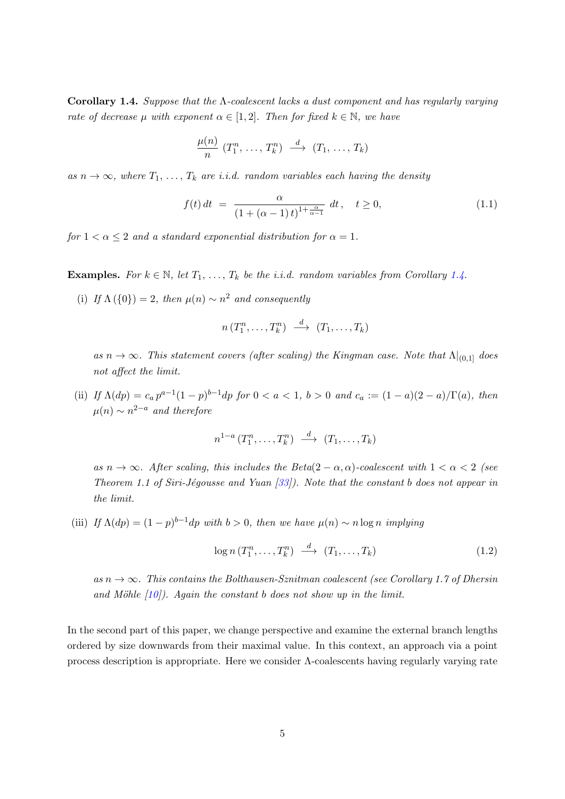<span id="page-4-0"></span>Corollary 1.4. Suppose that the  $\Lambda$ -coalescent lacks a dust component and has regularly varying rate of decrease  $\mu$  with exponent  $\alpha \in [1,2]$ . Then for fixed  $k \in \mathbb{N}$ , we have

<span id="page-4-1"></span>
$$
\frac{\mu(n)}{n} (T_1^n, \ldots, T_k^n) \stackrel{d}{\longrightarrow} (T_1, \ldots, T_k)
$$

as  $n \to \infty$ , where  $T_1, \ldots, T_k$  are i.i.d. random variables each having the density

$$
f(t) dt = \frac{\alpha}{(1 + (\alpha - 1)t)^{1 + \frac{\alpha}{\alpha - 1}}} dt, \quad t \ge 0,
$$
\n(1.1)

for  $1 < \alpha \leq 2$  and a standard exponential distribution for  $\alpha = 1$ .

**Examples.** For  $k \in \mathbb{N}$ , let  $T_1, \ldots, T_k$  be the i.i.d. random variables from Corollary [1.4.](#page-4-0)

(i) If  $\Lambda(\{0\})=2$ , then  $\mu(n) \sim n^2$  and consequently

$$
n(T_1^n,\ldots,T_k^n) \stackrel{d}{\longrightarrow} (T_1,\ldots,T_k)
$$

as  $n \to \infty$ . This statement covers (after scaling) the Kingman case. Note that  $\Lambda |_{(0,1]}$  does not affect the limit.

(ii) If  $\Lambda(dp) = c_a p^{a-1} (1-p)^{b-1} dp$  for  $0 < a < 1$ ,  $b > 0$  and  $c_a := (1-a)(2-a)/\Gamma(a)$ , then  $\mu(n) \sim n^{2-a}$  and therefore

$$
n^{1-a}(T_1^n,\ldots,T_k^n) \stackrel{d}{\longrightarrow} (T_1,\ldots,T_k)
$$

as  $n \to \infty$ . After scaling, this includes the Beta(2 –  $\alpha, \alpha$ )-coalescent with  $1 < \alpha < 2$  (see Theorem 1.1 of Siri-Jégousse and Yuan  $[33]$ ). Note that the constant b does not appear in the limit.

(iii) If  $\Lambda(dp) = (1-p)^{b-1}dp$  with  $b > 0$ , then we have  $\mu(n) \sim n \log n$  implying

<span id="page-4-2"></span>
$$
\log n(T_1^n, \dots, T_k^n) \stackrel{d}{\longrightarrow} (T_1, \dots, T_k) \tag{1.2}
$$

as  $n \to \infty$ . This contains the Bolthausen-Sznitman coalescent (see Corollary 1.7 of Dhersin and Möhle  $(10)$ . Again the constant b does not show up in the limit.

In the second part of this paper, we change perspective and examine the external branch lengths ordered by size downwards from their maximal value. In this context, an approach via a point process description is appropriate. Here we consider  $\Lambda$ -coalescents having regularly varying rate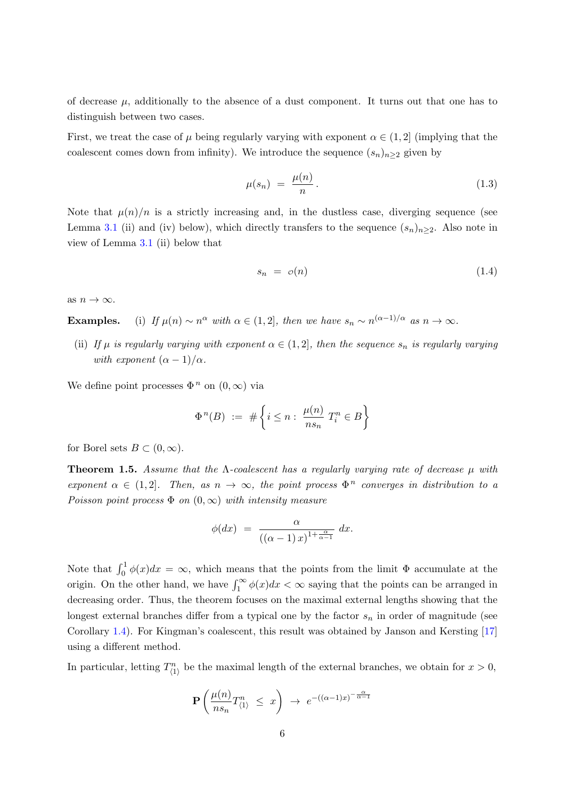of decrease  $\mu$ , additionally to the absence of a dust component. It turns out that one has to distinguish between two cases.

First, we treat the case of  $\mu$  being regularly varying with exponent  $\alpha \in (1, 2]$  (implying that the coalescent comes down from infinity). We introduce the sequence  $(s_n)_{n\geq 2}$  given by

<span id="page-5-1"></span>
$$
\mu(s_n) = \frac{\mu(n)}{n}.
$$
\n(1.3)

Note that  $\mu(n)/n$  is a strictly increasing and, in the dustless case, diverging sequence (see Lemma [3.1](#page-11-0) (ii) and (iv) below), which directly transfers to the sequence  $(s_n)_{n>2}$ . Also note in view of Lemma [3.1](#page-11-0) (ii) below that

<span id="page-5-2"></span>
$$
s_n = o(n) \tag{1.4}
$$

as  $n \to \infty$ .

**Examples.** (i) If  $\mu(n) \sim n^{\alpha}$  with  $\alpha \in (1, 2]$ , then we have  $s_n \sim n^{(\alpha-1)/\alpha}$  as  $n \to \infty$ .

(ii) If  $\mu$  is regularly varying with exponent  $\alpha \in (1, 2]$ , then the sequence  $s_n$  is regularly varying with exponent  $(\alpha - 1)/\alpha$ .

We define point processes  $\Phi^n$  on  $(0,\infty)$  via

$$
\Phi^{n}(B) := \# \left\{ i \leq n : \frac{\mu(n)}{ns_n} T_i^n \in B \right\}
$$

for Borel sets  $B \subset (0,\infty)$ .

<span id="page-5-0"></span>**Theorem 1.5.** Assume that the  $\Lambda$ -coalescent has a regularly varying rate of decrease  $\mu$  with exponent  $\alpha \in (1,2]$ . Then, as  $n \to \infty$ , the point process  $\Phi^n$  converges in distribution to a Poisson point process  $\Phi$  on  $(0,\infty)$  with intensity measure

$$
\phi(dx) = \frac{\alpha}{\left( (\alpha - 1) x \right)^{1 + \frac{\alpha}{\alpha - 1}}} dx.
$$

Note that  $\int_0^1 \phi(x)dx = \infty$ , which means that the points from the limit  $\Phi$  accumulate at the origin. On the other hand, we have  $\int_1^{\infty} \phi(x) dx < \infty$  saying that the points can be arranged in decreasing order. Thus, the theorem focuses on the maximal external lengths showing that the longest external branches differ from a typical one by the factor  $s_n$  in order of magnitude (see Corollary [1.4\)](#page-4-0). For Kingman's coalescent, this result was obtained by Janson and Kersting [\[17\]](#page-46-5) using a different method.

In particular, letting  $T_{(1)}^n$  be the maximal length of the external branches, we obtain for  $x > 0$ ,

$$
\mathbf{P}\left(\frac{\mu(n)}{ns_n}T_{\langle 1\rangle}^n \leq x\right) \rightarrow e^{-\left((\alpha-1)x\right)^{-\frac{\alpha}{\alpha-1}}}
$$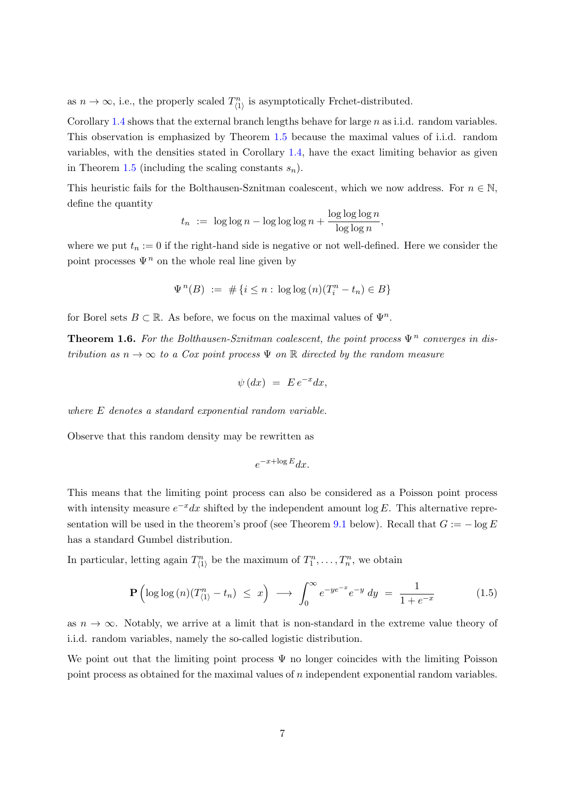as  $n \to \infty$ , i.e., the properly scaled  $T_{(1)}^n$  is asymptotically Frchet-distributed.

Corollary [1.4](#page-4-0) shows that the external branch lengths behave for large  $n$  as i.i.d. random variables. This observation is emphasized by Theorem [1.5](#page-5-0) because the maximal values of i.i.d. random variables, with the densities stated in Corollary [1.4,](#page-4-0) have the exact limiting behavior as given in Theorem [1.5](#page-5-0) (including the scaling constants  $s_n$ ).

This heuristic fails for the Bolthausen-Sznitman coalescent, which we now address. For  $n \in \mathbb{N}$ , define the quantity

$$
t_n := \log \log n - \log \log \log n + \frac{\log \log \log n}{\log \log n},
$$

where we put  $t_n := 0$  if the right-hand side is negative or not well-defined. Here we consider the point processes  $\Psi^n$  on the whole real line given by

$$
\Psi^{n}(B) := \# \{ i \leq n : \log \log (n) (T_i^n - t_n) \in B \}
$$

for Borel sets  $B \subset \mathbb{R}$ . As before, we focus on the maximal values of  $\Psi^n$ .

<span id="page-6-1"></span>**Theorem 1.6.** For the Bolthausen-Sznitman coalescent, the point process  $\Psi^n$  converges in distribution as  $n \to \infty$  to a Cox point process  $\Psi$  on  $\mathbb R$  directed by the random measure

$$
\psi\left( dx\right) \ =\ E\,e^{-x}dx,
$$

where E denotes a standard exponential random variable.

Observe that this random density may be rewritten as

$$
e^{-x + \log E} dx.
$$

This means that the limiting point process can also be considered as a Poisson point process with intensity measure  $e^{-x}dx$  shifted by the independent amount log E. This alternative repre-sentation will be used in the theorem's proof (see Theorem [9.1](#page-36-0) below). Recall that  $G := -\log E$ has a standard Gumbel distribution.

In particular, letting again  $T_{(1)}^n$  be the maximum of  $T_1^n, \ldots, T_n^n$ , we obtain

<span id="page-6-0"></span>
$$
\mathbf{P}\left(\log\log\left(n\right)\left(T_{\langle 1\rangle}^{n}-t_{n}\right)\leq x\right)\longrightarrow\int_{0}^{\infty}e^{-ye^{-x}}e^{-y}\,dy\;=\;\frac{1}{1+e^{-x}}\tag{1.5}
$$

as  $n \to \infty$ . Notably, we arrive at a limit that is non-standard in the extreme value theory of i.i.d. random variables, namely the so-called logistic distribution.

We point out that the limiting point process  $\Psi$  no longer coincides with the limiting Poisson point process as obtained for the maximal values of n independent exponential random variables.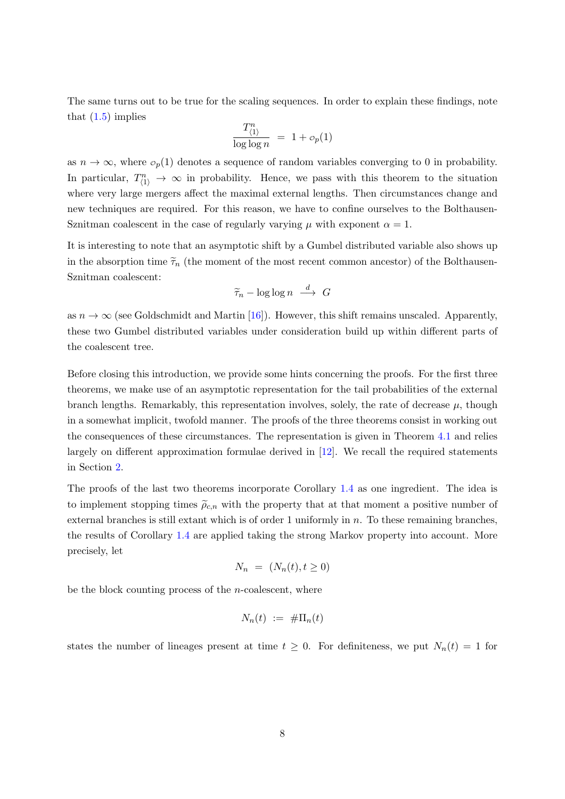The same turns out to be true for the scaling sequences. In order to explain these findings, note that  $(1.5)$  implies

$$
\frac{T_{\langle 1 \rangle}^n}{\log \log n} = 1 + o_p(1)
$$

as  $n \to \infty$ , where  $\sigma_p(1)$  denotes a sequence of random variables converging to 0 in probability. In particular,  $T_{(1)}^n \rightarrow \infty$  in probability. Hence, we pass with this theorem to the situation where very large mergers affect the maximal external lengths. Then circumstances change and new techniques are required. For this reason, we have to confine ourselves to the Bolthausen-Sznitman coalescent in the case of regularly varying  $\mu$  with exponent  $\alpha = 1$ .

It is interesting to note that an asymptotic shift by a Gumbel distributed variable also shows up in the absorption time  $\tilde{\tau}_n$  (the moment of the most recent common ancestor) of the Bolthausen-Sznitman coalescent:

$$
\widetilde{\tau}_n - \log \log n \stackrel{d}{\longrightarrow} G
$$

as  $n \to \infty$  (see Goldschmidt and Martin [\[16\]](#page-46-11)). However, this shift remains unscaled. Apparently, these two Gumbel distributed variables under consideration build up within different parts of the coalescent tree.

Before closing this introduction, we provide some hints concerning the proofs. For the first three theorems, we make use of an asymptotic representation for the tail probabilities of the external branch lengths. Remarkably, this representation involves, solely, the rate of decrease  $\mu$ , though in a somewhat implicit, twofold manner. The proofs of the three theorems consist in working out the consequences of these circumstances. The representation is given in Theorem [4.1](#page-16-0) and relies largely on different approximation formulae derived in [\[12\]](#page-45-3). We recall the required statements in Section [2.](#page-9-0)

The proofs of the last two theorems incorporate Corollary [1.4](#page-4-0) as one ingredient. The idea is to implement stopping times  $\tilde{\rho}_{c,n}$  with the property that at that moment a positive number of external branches is still extant which is of order 1 uniformly in  $n$ . To these remaining branches, the results of Corollary [1.4](#page-4-0) are applied taking the strong Markov property into account. More precisely, let

$$
N_n = (N_n(t), t \ge 0)
$$

be the block counting process of the  $n$ -coalescent, where

$$
N_n(t) := #\Pi_n(t)
$$

states the number of lineages present at time  $t \geq 0$ . For definiteness, we put  $N_n(t) = 1$  for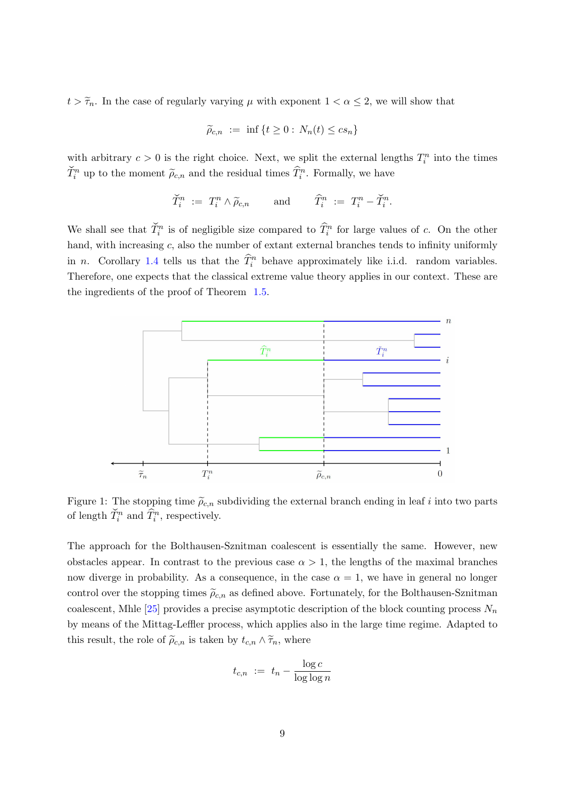$t > \tilde{\tau}_n$ . In the case of regularly varying  $\mu$  with exponent  $1 < \alpha \leq 2$ , we will show that

$$
\widetilde{\rho}_{c,n} := \inf \{ t \ge 0 : N_n(t) \le cs_n \}
$$

with arbitrary  $c > 0$  is the right choice. Next, we split the external lengths  $T_i^n$  into the times  $\check{T}_i^n$  up to the moment  $\widetilde{\rho}_{c,n}$  and the residual times  $\widehat{T}_i^n$ . Formally, we have

$$
\widetilde{T}_i^n \ := \ T_i^n \wedge \widetilde{\rho}_{c,n} \qquad \text{and} \qquad \widehat{T}_i^n \ := \ T_i^n - \widetilde{T}_i^n.
$$

We shall see that  $\tilde{T}_i^n$  is of negligible size compared to  $\hat{T}_i^n$  for large values of c. On the other hand, with increasing c, also the number of extant external branches tends to infinity uniformly in *n*. Corollary [1.4](#page-4-0) tells us that the  $\widehat{T}_i^n$  behave approximately like i.i.d. random variables. Therefore, one expects that the classical extreme value theory applies in our context. These are the ingredients of the proof of Theorem [1.5.](#page-5-0)



Figure 1: The stopping time  $\tilde{\rho}_{c,n}$  subdividing the external branch ending in leaf i into two parts of length  $\check{T}_i^n$  and  $\hat{\hat{T}}_i^n$ , respectively.

The approach for the Bolthausen-Sznitman coalescent is essentially the same. However, new obstacles appear. In contrast to the previous case  $\alpha > 1$ , the lengths of the maximal branches now diverge in probability. As a consequence, in the case  $\alpha = 1$ , we have in general no longer control over the stopping times  $\tilde{\rho}_{c,n}$  as defined above. Fortunately, for the Bolthausen-Sznitman coalescent, Mhle [\[25\]](#page-46-12) provides a precise asymptotic description of the block counting process  $N_n$ by means of the Mittag-Leffler process, which applies also in the large time regime. Adapted to this result, the role of  $\tilde{\rho}_{c,n}$  is taken by  $t_{c,n} \wedge \tilde{\tau}_n$ , where

$$
t_{c,n} := t_n - \frac{\log c}{\log \log n}
$$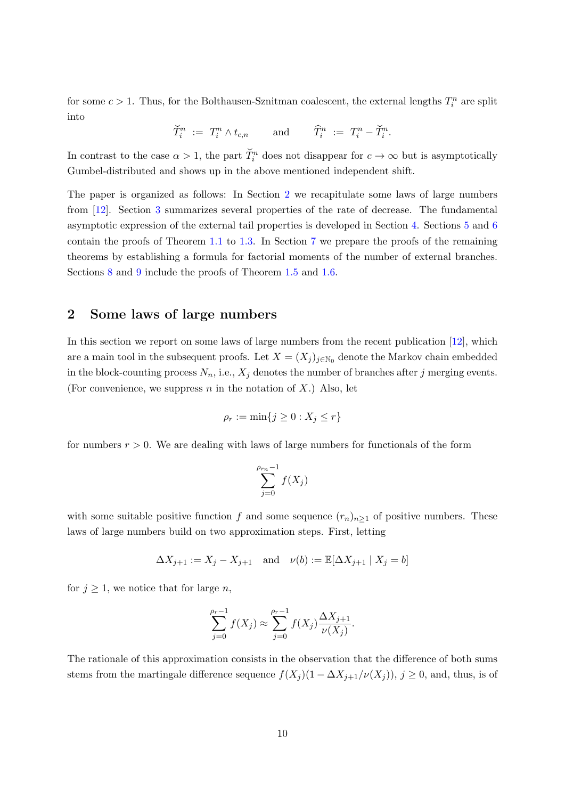for some  $c > 1$ . Thus, for the Bolthausen-Sznitman coalescent, the external lengths  $T_i^n$  are split into

$$
\widetilde{T}_i^n \ := \ T_i^n \wedge t_{c,n} \qquad \text{and} \qquad \widehat{T}_i^n \ := \ T_i^n - \check{T}_i^n.
$$

In contrast to the case  $\alpha > 1$ , the part  $\check{T}_i^n$  does not disappear for  $c \to \infty$  but is asymptotically Gumbel-distributed and shows up in the above mentioned independent shift.

The paper is organized as follows: In Section [2](#page-9-0) we recapitulate some laws of large numbers from [\[12\]](#page-45-3). Section [3](#page-11-1) summarizes several properties of the rate of decrease. The fundamental asymptotic expression of the external tail properties is developed in Section [4.](#page-15-0) Sections [5](#page-19-0) and [6](#page-22-0) contain the proofs of Theorem [1.1](#page-2-0) to [1.3.](#page-3-1) In Section [7](#page-27-0) we prepare the proofs of the remaining theorems by establishing a formula for factorial moments of the number of external branches. Sections [8](#page-29-0) and [9](#page-36-1) include the proofs of Theorem [1.5](#page-5-0) and [1.6.](#page-6-1)

#### <span id="page-9-0"></span>2 Some laws of large numbers

In this section we report on some laws of large numbers from the recent publication [\[12\]](#page-45-3), which are a main tool in the subsequent proofs. Let  $X = (X_j)_{j \in \mathbb{N}_0}$  denote the Markov chain embedded in the block-counting process  $N_n$ , i.e.,  $X_j$  denotes the number of branches after j merging events. (For convenience, we suppress  $n$  in the notation of  $X$ .) Also, let

$$
\rho_r := \min\{j \ge 0 : X_j \le r\}
$$

for numbers  $r > 0$ . We are dealing with laws of large numbers for functionals of the form

$$
\sum_{j=0}^{\rho_{r_n}-1} f(X_j)
$$

with some suitable positive function f and some sequence  $(r_n)_{n\geq 1}$  of positive numbers. These laws of large numbers build on two approximation steps. First, letting

$$
\Delta X_{j+1} := X_j - X_{j+1} \quad \text{and} \quad \nu(b) := \mathbb{E}[\Delta X_{j+1} | X_j = b]
$$

for  $j \geq 1$ , we notice that for large *n*,

$$
\sum_{j=0}^{\rho_r-1} f(X_j) \approx \sum_{j=0}^{\rho_r-1} f(X_j) \frac{\Delta X_{j+1}}{\nu(X_j)}.
$$

The rationale of this approximation consists in the observation that the difference of both sums stems from the martingale difference sequence  $f(X_j)(1 - \Delta X_{j+1}/\nu(X_j))$ ,  $j \geq 0$ , and, thus, is of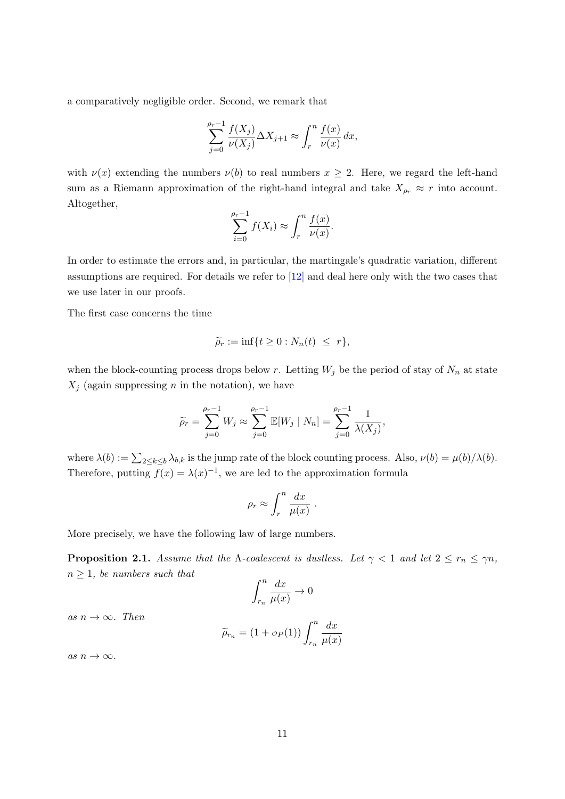a comparatively negligible order. Second, we remark that

$$
\sum_{j=0}^{\rho_r-1} \frac{f(X_j)}{\nu(X_j)} \Delta X_{j+1} \approx \int_r^n \frac{f(x)}{\nu(x)} dx,
$$

with  $\nu(x)$  extending the numbers  $\nu(b)$  to real numbers  $x \geq 2$ . Here, we regard the left-hand sum as a Riemann approximation of the right-hand integral and take  $X_{\rho_r} \approx r$  into account. Altogether,

$$
\sum_{i=0}^{\rho_r-1} f(X_i) \approx \int_r^n \frac{f(x)}{\nu(x)}.
$$

In order to estimate the errors and, in particular, the martingale's quadratic variation, different assumptions are required. For details we refer to [\[12\]](#page-45-3) and deal here only with the two cases that we use later in our proofs.

The first case concerns the time

$$
\widetilde{\rho}_r := \inf\{t \ge 0 : N_n(t) \le r\},\
$$

when the block-counting process drops below r. Letting  $W_j$  be the period of stay of  $N_n$  at state  $X_j$  (again suppressing n in the notation), we have

$$
\widetilde{\rho}_r = \sum_{j=0}^{\rho_r - 1} W_j \approx \sum_{j=0}^{\rho_r - 1} \mathbb{E}[W_j | N_n] = \sum_{j=0}^{\rho_r - 1} \frac{1}{\lambda(X_j)},
$$

where  $\lambda(b) := \sum_{2 \le k \le b} \lambda_{b,k}$  is the jump rate of the block counting process. Also,  $\nu(b) = \mu(b)/\lambda(b)$ . Therefore, putting  $f(x) = \lambda(x)^{-1}$ , we are led to the approximation formula

$$
\rho_r \approx \int_r^n \frac{dx}{\mu(x)}.
$$

More precisely, we have the following law of large numbers.

<span id="page-10-0"></span>**Proposition 2.1.** Assume that the *Λ*-coalescent is dustless. Let  $\gamma < 1$  and let  $2 \le r_n \le \gamma n$ ,  $n \geq 1$ , be numbers such that

$$
\int_{r_n}^n \frac{dx}{\mu(x)} \to 0
$$

as  $n \to \infty$ . Then

$$
\widetilde{\rho}_{r_n} = (1 + \sigma_P(1)) \int_{r_n}^n \frac{dx}{\mu(x)}
$$

as  $n \to \infty$ .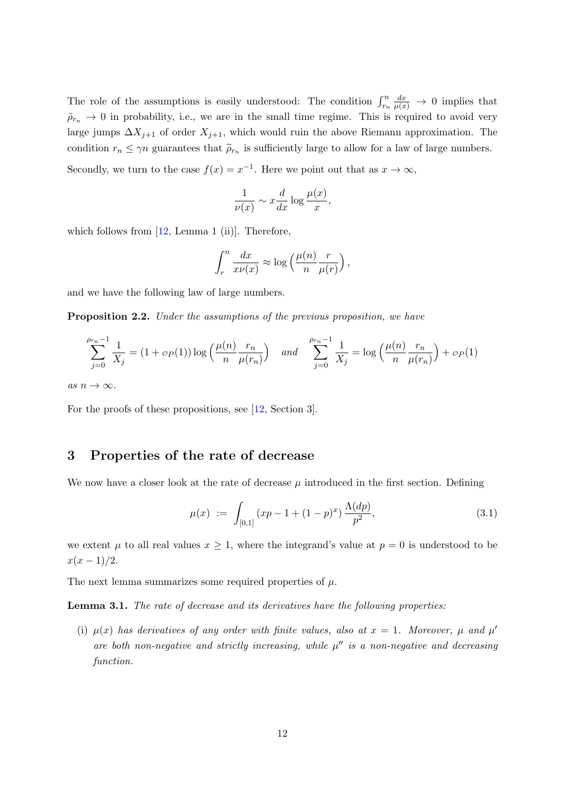The role of the assumptions is easily understood: The condition  $\int_{r_n}^n$  $\frac{dx}{\mu(x)} \to 0$  implies that  $\tilde{\rho}_{r_n} \to 0$  in probability, i.e., we are in the small time regime. This is required to avoid very large jumps  $\Delta X_{j+1}$  of order  $X_{j+1}$ , which would ruin the above Riemann approximation. The condition  $r_n \leq \gamma n$  guarantees that  $\tilde{\rho}_{r_n}$  is sufficiently large to allow for a law of large numbers.

Secondly, we turn to the case  $f(x) = x^{-1}$ . Here we point out that as  $x \to \infty$ ,

$$
\frac{1}{\nu(x)} \sim x \frac{d}{dx} \log \frac{\mu(x)}{x},
$$

which follows from  $[12, \text{Lemma 1 (ii)}]$ . Therefore,

$$
\int_r^n \frac{dx}{x\nu(x)} \approx \log\left(\frac{\mu(n)}{n} \frac{r}{\mu(r)}\right),\,
$$

and we have the following law of large numbers.

<span id="page-11-3"></span>Proposition 2.2. Under the assumptions of the previous proposition, we have

$$
\sum_{j=0}^{\rho_{rn}-1} \frac{1}{X_j} = (1 + \sigma_P(1)) \log \left( \frac{\mu(n)}{n} \frac{r_n}{\mu(r_n)} \right) \quad \text{and} \quad \sum_{j=0}^{\rho_{rn}-1} \frac{1}{X_j} = \log \left( \frac{\mu(n)}{n} \frac{r_n}{\mu(r_n)} \right) + \sigma_P(1)
$$

as  $n \to \infty$ .

For the proofs of these propositions, see [\[12,](#page-45-3) Section 3].

#### <span id="page-11-1"></span>3 Properties of the rate of decrease

We now have a closer look at the rate of decrease  $\mu$  introduced in the first section. Defining

<span id="page-11-2"></span>
$$
\mu(x) := \int_{[0,1]} (xp - 1 + (1-p)^x) \frac{\Lambda(dp)}{p^2},
$$
\n(3.1)

we extent  $\mu$  to all real values  $x \geq 1$ , where the integrand's value at  $p = 0$  is understood to be  $x(x-1)/2$ .

The next lemma summarizes some required properties of  $\mu$ .

<span id="page-11-0"></span>Lemma 3.1. The rate of decrease and its derivatives have the following properties:

(i)  $\mu(x)$  has derivatives of any order with finite values, also at  $x = 1$ . Moreover,  $\mu$  and  $\mu'$ are both non-negative and strictly increasing, while  $\mu''$  is a non-negative and decreasing function.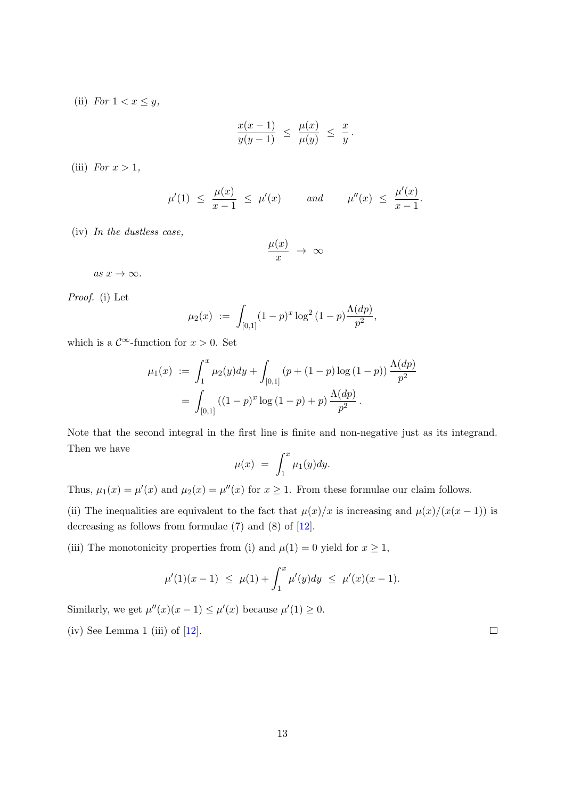(ii) For  $1 < x \leq y$ ,

$$
\frac{x(x-1)}{y(y-1)} \leq \frac{\mu(x)}{\mu(y)} \leq \frac{x}{y}.
$$

(iii) For  $x > 1$ ,

$$
\mu'(1) \le \frac{\mu(x)}{x-1} \le \mu'(x) \quad \text{and} \quad \mu''(x) \le \frac{\mu'(x)}{x-1}.
$$

(iv) In the dustless case,

$$
\frac{\mu(x)}{x} \rightarrow \infty
$$

as  $x \to \infty$ .

Proof. (i) Let

$$
\mu_2(x) := \int_{[0,1]} (1-p)^x \log^2(1-p) \frac{\Lambda(dp)}{p^2},
$$

which is a  $\mathcal{C}^{\infty}$ -function for  $x > 0$ . Set

$$
\mu_1(x) := \int_1^x \mu_2(y) dy + \int_{[0,1]} (p + (1-p) \log (1-p)) \frac{\Lambda(dp)}{p^2}
$$
  
= 
$$
\int_{[0,1]} ((1-p)^x \log (1-p) + p) \frac{\Lambda(dp)}{p^2}.
$$

Note that the second integral in the first line is finite and non-negative just as its integrand. Then we have

$$
\mu(x) = \int_1^x \mu_1(y) dy.
$$

Thus,  $\mu_1(x) = \mu'(x)$  and  $\mu_2(x) = \mu''(x)$  for  $x \ge 1$ . From these formulae our claim follows.

(ii) The inequalities are equivalent to the fact that  $\mu(x)/x$  is increasing and  $\mu(x)/(x(x-1))$  is decreasing as follows from formulae (7) and (8) of [\[12\]](#page-45-3).

(iii) The monotonicity properties from (i) and  $\mu(1) = 0$  yield for  $x \ge 1$ ,

$$
\mu'(1)(x-1) \leq \mu(1) + \int_1^x \mu'(y) dy \leq \mu'(x)(x-1).
$$

Similarly, we get  $\mu''(x)(x-1) \leq \mu'(x)$  because  $\mu'(1) \geq 0$ .

(iv) See Lemma 1 (iii) of  $[12]$ .

 $\Box$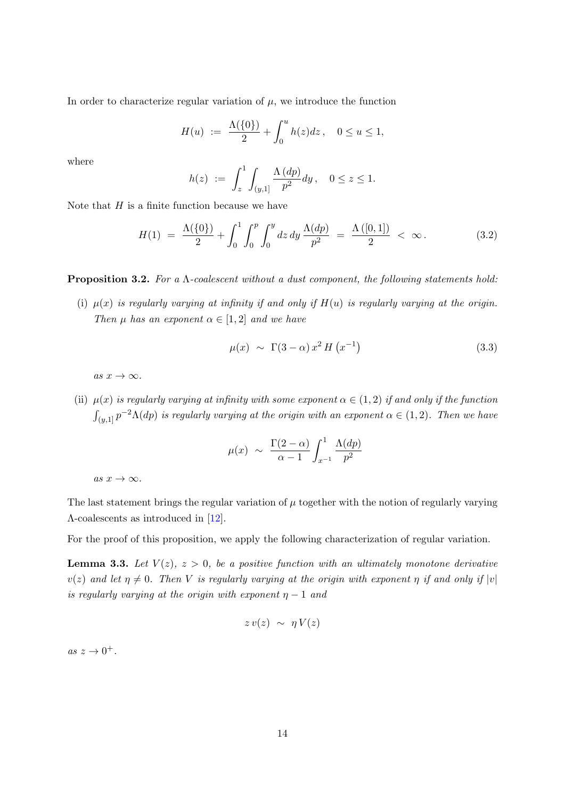In order to characterize regular variation of  $\mu$ , we introduce the function

$$
H(u) := \frac{\Lambda(\{0\})}{2} + \int_0^u h(z) dz, \quad 0 \le u \le 1,
$$

where

$$
h(z) := \int_z^1 \int_{(y,1]} \frac{\Lambda(dp)}{p^2} dy, \quad 0 \le z \le 1.
$$

Note that  $H$  is a finite function because we have

$$
H(1) = \frac{\Lambda({0})}{2} + \int_0^1 \int_0^p \int_0^y dz \, dy \, \frac{\Lambda(dp)}{p^2} = \frac{\Lambda([0,1])}{2} < \infty. \tag{3.2}
$$

<span id="page-13-0"></span>**Proposition 3.2.** For a  $\Lambda$ -coalescent without a dust component, the following statements hold:

(i)  $\mu(x)$  is regularly varying at infinity if and only if  $H(u)$  is regularly varying at the origin. Then  $\mu$  has an exponent  $\alpha \in [1,2]$  and we have

<span id="page-13-1"></span>
$$
\mu(x) \sim \Gamma(3-\alpha) x^2 H\left(x^{-1}\right) \tag{3.3}
$$

as  $x \to \infty$ .

(ii)  $\mu(x)$  is regularly varying at infinity with some exponent  $\alpha \in (1,2)$  if and only if the function  $\int_{(y,1]} p^{-2}\Lambda(dp)$  is regularly varying at the origin with an exponent  $\alpha \in (1,2)$ . Then we have

$$
\mu(x) \sim \frac{\Gamma(2-\alpha)}{\alpha-1} \int_{x^{-1}}^1 \frac{\Lambda(dp)}{p^2}
$$

as  $x \to \infty$ .

The last statement brings the regular variation of  $\mu$  together with the notion of regularly varying Λ-coalescents as introduced in [\[12\]](#page-45-3).

For the proof of this proposition, we apply the following characterization of regular variation.

<span id="page-13-2"></span>**Lemma 3.3.** Let  $V(z)$ ,  $z > 0$ , be a positive function with an ultimately monotone derivative  $v(z)$  and let  $\eta \neq 0$ . Then V is regularly varying at the origin with exponent  $\eta$  if and only if  $|v|$ is regularly varying at the origin with exponent  $\eta - 1$  and

$$
zv(z) \sim \eta V(z)
$$

as  $z \to 0^+$ .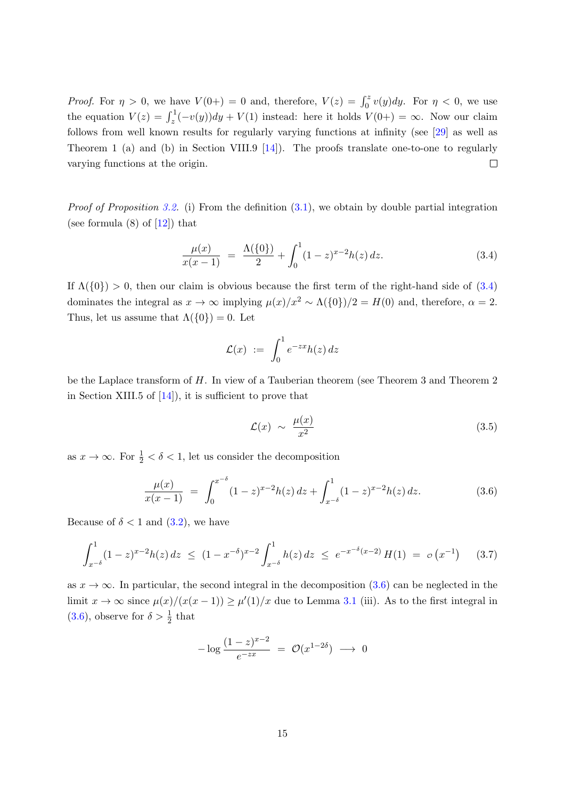*Proof.* For  $\eta > 0$ , we have  $V(0+) = 0$  and, therefore,  $V(z) = \int_0^z v(y) dy$ . For  $\eta < 0$ , we use the equation  $V(z) = \int_z^1 (-v(y)) dy + V(1)$  instead: here it holds  $V(0+) = \infty$ . Now our claim follows from well known results for regularly varying functions at infinity (see [\[29\]](#page-47-10) as well as Theorem 1 (a) and (b) in Section VIII.9 [\[14\]](#page-46-13)). The proofs translate one-to-one to regularly varying functions at the origin.  $\Box$ 

*Proof of Proposition [3.2.](#page-13-0)* (i) From the definition  $(3.1)$ , we obtain by double partial integration (see formula  $(8)$  of  $[12]$ ) that

$$
\frac{\mu(x)}{x(x-1)} = \frac{\Lambda({0})}{2} + \int_0^1 (1-z)^{x-2} h(z) dz.
$$
\n(3.4)

If  $\Lambda({0}) > 0$ , then our claim is obvious because the first term of the right-hand side of  $(3.4)$ dominates the integral as  $x \to \infty$  implying  $\mu(x)/x^2 \sim \Lambda({0})/2 = H(0)$  and, therefore,  $\alpha = 2$ . Thus, let us assume that  $\Lambda({0}) = 0$ . Let

<span id="page-14-0"></span>
$$
\mathcal{L}(x) \ := \ \int_0^1 e^{-zx} h(z) \, dz
$$

be the Laplace transform of H. In view of a Tauberian theorem (see Theorem 3 and Theorem 2 in Section XIII.5 of  $[14]$ , it is sufficient to prove that

<span id="page-14-2"></span><span id="page-14-1"></span>
$$
\mathcal{L}(x) \sim \frac{\mu(x)}{x^2} \tag{3.5}
$$

as  $x \to \infty$ . For  $\frac{1}{2} < \delta < 1$ , let us consider the decomposition

$$
\frac{\mu(x)}{x(x-1)} = \int_0^{x^{-\delta}} (1-z)^{x-2} h(z) dz + \int_{x^{-\delta}}^1 (1-z)^{x-2} h(z) dz.
$$
 (3.6)

Because of  $\delta < 1$  and  $(3.2)$ , we have

$$
\int_{x^{-\delta}}^1 (1-z)^{x-2} h(z) dz \le (1-x^{-\delta})^{x-2} \int_{x^{-\delta}}^1 h(z) dz \le e^{-x^{-\delta}(x-2)} H(1) = o(x^{-1}) \quad (3.7)
$$

as  $x \to \infty$ . In particular, the second integral in the decomposition [\(3.6\)](#page-14-1) can be neglected in the limit  $x \to \infty$  since  $\mu(x)/(x(x-1)) \ge \mu'(1)/x$  due to Lemma [3.1](#page-11-0) (iii). As to the first integral in [\(3.6\)](#page-14-1), observe for  $\delta > \frac{1}{2}$  that

$$
-\log \frac{(1-z)^{x-2}}{e^{-zx}} = \mathcal{O}(x^{1-2\delta}) \longrightarrow 0
$$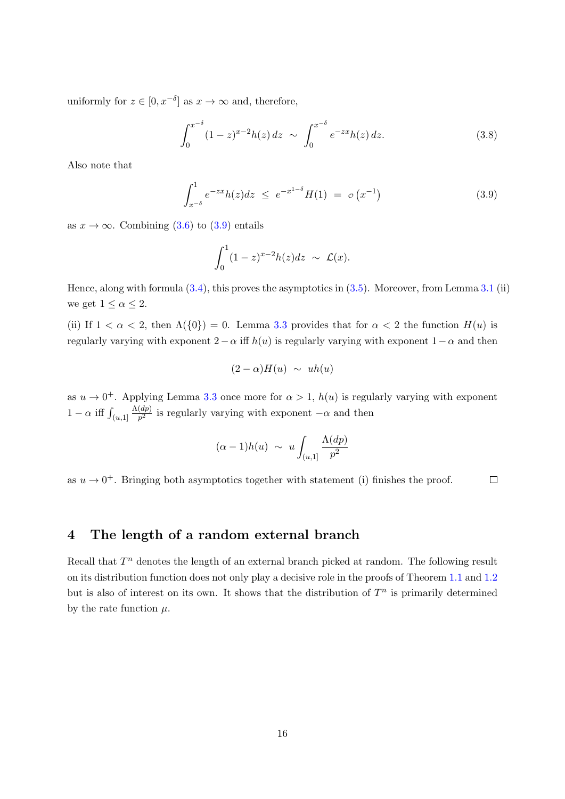uniformly for  $z \in [0, x^{-\delta}]$  as  $x \to \infty$  and, therefore,

$$
\int_0^{x^{-\delta}} (1-z)^{x-2} h(z) dz \sim \int_0^{x^{-\delta}} e^{-zx} h(z) dz.
$$
 (3.8)

Also note that

$$
\int_{x^{-\delta}}^{1} e^{-zx} h(z) dz \le e^{-x^{1-\delta}} H(1) = o(x^{-1})
$$
\n(3.9)

as  $x \to \infty$ . Combining [\(3.6\)](#page-14-1) to [\(3.9\)](#page-15-1) entails

<span id="page-15-1"></span>
$$
\int_0^1 (1-z)^{x-2} h(z) dz \sim \mathcal{L}(x).
$$

Hence, along with formula [\(3.4\)](#page-14-0), this proves the asymptotics in [\(3.5\)](#page-14-2). Moreover, from Lemma [3.1](#page-11-0) (ii) we get  $1 \leq \alpha \leq 2$ .

(ii) If  $1 < \alpha < 2$ , then  $\Lambda(\{0\}) = 0$ . Lemma [3.3](#page-13-2) provides that for  $\alpha < 2$  the function  $H(u)$  is regularly varying with exponent  $2 - \alpha$  iff  $h(u)$  is regularly varying with exponent  $1 - \alpha$  and then

$$
(2-\alpha)H(u) \sim uh(u)
$$

as  $u \to 0^+$ . Applying Lemma [3.3](#page-13-2) once more for  $\alpha > 1$ ,  $h(u)$  is regularly varying with exponent  $1 - \alpha$  iff  $\int_{(u,1]}$  $\Lambda(dp)$  $\frac{ap}{p^2}$  is regularly varying with exponent  $-\alpha$  and then

$$
(\alpha - 1)h(u) \sim u \int_{(u,1]} \frac{\Lambda(dp)}{p^2}
$$

as  $u \to 0^+$ . Bringing both asymptotics together with statement (i) finishes the proof.  $\Box$ 

# <span id="page-15-0"></span>4 The length of a random external branch

Recall that  $T<sup>n</sup>$  denotes the length of an external branch picked at random. The following result on its distribution function does not only play a decisive role in the proofs of Theorem [1.1](#page-2-0) and [1.2](#page-3-0) but is also of interest on its own. It shows that the distribution of  $T<sup>n</sup>$  is primarily determined by the rate function  $\mu$ .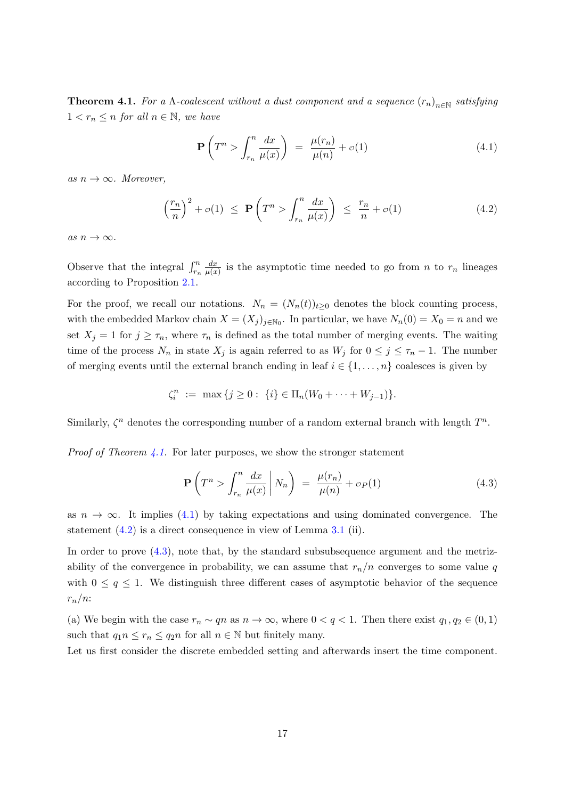<span id="page-16-0"></span>**Theorem 4.1.** For a  $\Lambda$ -coalescent without a dust component and a sequence  $(r_n)_{n\in\mathbb{N}}$  satisfying  $1 < r_n \leq n$  for all  $n \in \mathbb{N}$ , we have

<span id="page-16-2"></span><span id="page-16-1"></span>
$$
\mathbf{P}\left(T^{n} > \int_{r_{n}}^{n} \frac{dx}{\mu(x)}\right) = \frac{\mu(r_{n})}{\mu(n)} + o(1)
$$
\n(4.1)

as  $n \to \infty$ . Moreover,

$$
\left(\frac{r_n}{n}\right)^2 + o(1) \le \mathbf{P}\left(T^n > \int_{r_n}^n \frac{dx}{\mu(x)}\right) \le \frac{r_n}{n} + o(1) \tag{4.2}
$$

as  $n \to \infty$ .

Observe that the integral  $\int_{r_n}^n$  $dx$  $\frac{dx}{\mu(x)}$  is the asymptotic time needed to go from n to  $r_n$  lineages according to Proposition [2.1.](#page-10-0)

For the proof, we recall our notations.  $N_n = (N_n(t))_{t\geq 0}$  denotes the block counting process, with the embedded Markov chain  $X = (X_j)_{j \in \mathbb{N}_0}$ . In particular, we have  $N_n(0) = X_0 = n$  and we set  $X_j = 1$  for  $j \geq \tau_n$ , where  $\tau_n$  is defined as the total number of merging events. The waiting time of the process  $N_n$  in state  $X_j$  is again referred to as  $W_j$  for  $0 \leq j \leq \tau_n - 1$ . The number of merging events until the external branch ending in leaf  $i \in \{1, \ldots, n\}$  coalesces is given by

$$
\zeta_i^n := \max \{ j \geq 0 : \{i\} \in \Pi_n(W_0 + \cdots + W_{j-1}) \}.
$$

Similarly,  $\zeta^n$  denotes the corresponding number of a random external branch with length  $T^n$ .

*Proof of Theorem [4.1.](#page-16-0)* For later purposes, we show the stronger statement

<span id="page-16-3"></span>
$$
\mathbf{P}\left(T^{n} > \int_{r_{n}}^{n} \frac{dx}{\mu(x)} \middle| N_{n}\right) = \frac{\mu(r_{n})}{\mu(n)} + o_{P}(1) \tag{4.3}
$$

as  $n \to \infty$ . It implies [\(4.1\)](#page-16-1) by taking expectations and using dominated convergence. The statement [\(4.2\)](#page-16-2) is a direct consequence in view of Lemma [3.1](#page-11-0) (ii).

In order to prove [\(4.3\)](#page-16-3), note that, by the standard subsubsequence argument and the metrizability of the convergence in probability, we can assume that  $r_n/n$  converges to some value q with  $0 \leq q \leq 1$ . We distinguish three different cases of asymptotic behavior of the sequence  $r_n/n$ :

(a) We begin with the case  $r_n \sim qn$  as  $n \to \infty$ , where  $0 < q < 1$ . Then there exist  $q_1, q_2 \in (0, 1)$ such that  $q_1 n \le r_n \le q_2 n$  for all  $n \in \mathbb{N}$  but finitely many.

Let us first consider the discrete embedded setting and afterwards insert the time component.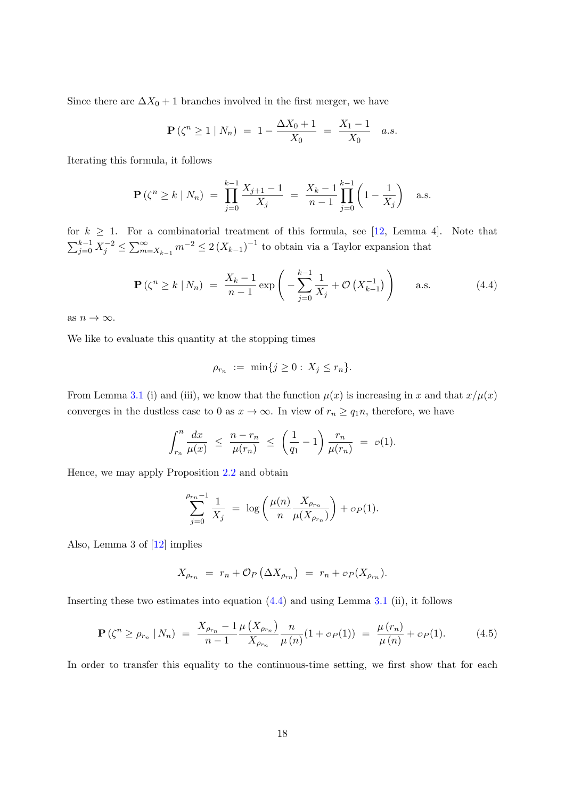Since there are  $\Delta X_0 + 1$  branches involved in the first merger, we have

$$
\mathbf{P}(\zeta^n \ge 1 \mid N_n) = 1 - \frac{\Delta X_0 + 1}{X_0} = \frac{X_1 - 1}{X_0} a.s.
$$

Iterating this formula, it follows

$$
\mathbf{P}\left(\zeta^{n} \geq k \mid N_{n}\right) \ = \ \prod_{j=0}^{k-1} \frac{X_{j+1}-1}{X_{j}} \ = \ \frac{X_{k}-1}{n-1} \prod_{j=0}^{k-1} \left(1-\frac{1}{X_{j}}\right) \quad \text{a.s.}
$$

for  $k \geq 1$ . For a combinatorial treatment of this formula, see [\[12,](#page-45-3) Lemma 4]. Note that  $\sum_{j=0}^{k-1} X_j^{-2} \leq \sum_{m=X_{k-1}}^{\infty} m^{-2} \leq 2 (X_{k-1})^{-1}$  to obtain via a Taylor expansion that

$$
\mathbf{P}\left(\zeta^{n} \ge k \mid N_{n}\right) \ = \ \frac{X_{k} - 1}{n - 1} \exp\left(-\sum_{j=0}^{k-1} \frac{1}{X_{j}} + \mathcal{O}\left(X_{k-1}^{-1}\right)\right) \qquad \text{a.s.} \tag{4.4}
$$

as  $n \to \infty$ .

We like to evaluate this quantity at the stopping times

<span id="page-17-0"></span>
$$
\rho_{r_n} := \min\{j \ge 0 : X_j \le r_n\}.
$$

From Lemma [3.1](#page-11-0) (i) and (iii), we know that the function  $\mu(x)$  is increasing in x and that  $x/\mu(x)$ converges in the dustless case to 0 as  $x \to \infty$ . In view of  $r_n \ge q_1 n$ , therefore, we have

$$
\int_{r_n}^n \frac{dx}{\mu(x)} \ \leq \ \frac{n-r_n}{\mu(r_n)} \ \leq \ \left(\frac{1}{q_1}-1\right)\frac{r_n}{\mu(r_n)} \ = \ o(1).
$$

Hence, we may apply Proposition [2.2](#page-11-3) and obtain

$$
\sum_{j=0}^{\rho_{r_n}-1} \frac{1}{X_j} = \log \left( \frac{\mu(n)}{n} \frac{X_{\rho_{r_n}}}{\mu(X_{\rho_{r_n}})} \right) + o_P(1).
$$

Also, Lemma 3 of [\[12\]](#page-45-3) implies

<span id="page-17-1"></span>
$$
X_{\rho_{r_n}} = r_n + \mathcal{O}_P\left(\Delta X_{\rho_{r_n}}\right) = r_n + \mathcal{O}_P(X_{\rho_{r_n}}).
$$

Inserting these two estimates into equation  $(4.4)$  and using Lemma [3.1](#page-11-0) (ii), it follows

$$
\mathbf{P}\left(\zeta^{n} \geq \rho_{r_{n}} \mid N_{n}\right) = \frac{X_{\rho_{r_{n}}}-1}{n-1} \frac{\mu\left(X_{\rho_{r_{n}}}\right)}{X_{\rho_{r_{n}}}} \frac{n}{\mu\left(n\right)} (1 + \sigma_{P}(1)) = \frac{\mu\left(r_{n}\right)}{\mu\left(n\right)} + \sigma_{P}(1). \tag{4.5}
$$

In order to transfer this equality to the continuous-time setting, we first show that for each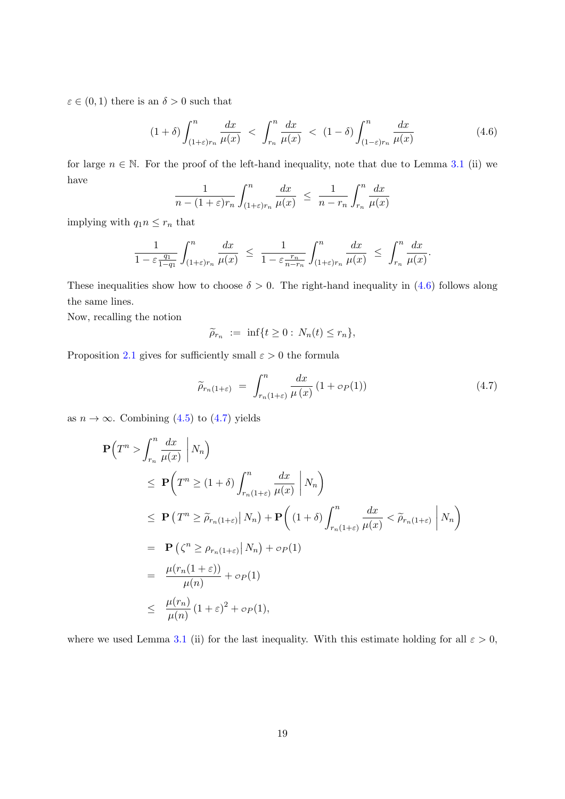$\varepsilon \in (0,1)$  there is an  $\delta > 0$  such that

$$
(1+\delta)\int_{(1+\varepsilon)r_n}^n\frac{dx}{\mu(x)} < \int_{r_n}^n\frac{dx}{\mu(x)} < (1-\delta)\int_{(1-\varepsilon)r_n}^n\frac{dx}{\mu(x)}
$$
(4.6)

for large  $n \in \mathbb{N}$ . For the proof of the left-hand inequality, note that due to Lemma [3.1](#page-11-0) (ii) we have  $\overline{1}$  $\overline{c}$  n  $\overline{1}$ 

<span id="page-18-0"></span>
$$
\frac{1}{n - (1 + \varepsilon)r_n} \int_{(1 + \varepsilon)r_n}^{n} \frac{dx}{\mu(x)} \le \frac{1}{n - r_n} \int_{r_n}^{n} \frac{dx}{\mu(x)}
$$

implying with  $q_1 n \leq r_n$  that

$$
\frac{1}{1-\varepsilon \frac{q_1}{1-q_1}} \int_{(1+\varepsilon)r_n}^n \frac{dx}{\mu(x)} \ \leq \ \frac{1}{1-\varepsilon \frac{r_n}{n-r_n}} \int_{(1+\varepsilon)r_n}^n \frac{dx}{\mu(x)} \ \leq \ \int_{r_n}^n \frac{dx}{\mu(x)}.
$$

These inequalities show how to choose  $\delta > 0$ . The right-hand inequality in [\(4.6\)](#page-18-0) follows along the same lines.

Now, recalling the notion

<span id="page-18-1"></span>
$$
\widetilde{\rho}_{r_n} := \inf\{t \ge 0 : N_n(t) \le r_n\},\
$$

Proposition [2.1](#page-10-0) gives for sufficiently small  $\varepsilon > 0$  the formula

$$
\widetilde{\rho}_{r_n(1+\varepsilon)} = \int_{r_n(1+\varepsilon)}^n \frac{dx}{\mu(x)} (1 + \sigma_P(1)) \tag{4.7}
$$

as  $n \to \infty$ . Combining [\(4.5\)](#page-17-1) to [\(4.7\)](#page-18-1) yields

$$
\begin{split}\n\mathbf{P}\Big(T^{n} > \int_{r_{n}}^{n} \frac{dx}{\mu(x)} \Big| N_{n} \Big) \\
&\leq \mathbf{P}\Big(T^{n} \geq (1+\delta) \int_{r_{n}(1+\varepsilon)}^{n} \frac{dx}{\mu(x)} \Big| N_{n} \Big) \\
&\leq \mathbf{P}\Big(T^{n} \geq \widetilde{\rho}_{r_{n}(1+\varepsilon)} \Big| N_{n} \Big) + \mathbf{P}\Big((1+\delta) \int_{r_{n}(1+\varepsilon)}^{n} \frac{dx}{\mu(x)} < \widetilde{\rho}_{r_{n}(1+\varepsilon)} \Big| N_{n} \Big) \\
&= \mathbf{P}\Big(\zeta^{n} \geq \rho_{r_{n}(1+\varepsilon)} \Big| N_{n} \Big) + o_{P}(1) \\
&= \frac{\mu(r_{n}(1+\varepsilon))}{\mu(n)} + o_{P}(1) \\
&\leq \frac{\mu(r_{n})}{\mu(n)} (1+\varepsilon)^{2} + o_{P}(1),\n\end{split}
$$

where we used Lemma [3.1](#page-11-0) (ii) for the last inequality. With this estimate holding for all  $\varepsilon > 0$ ,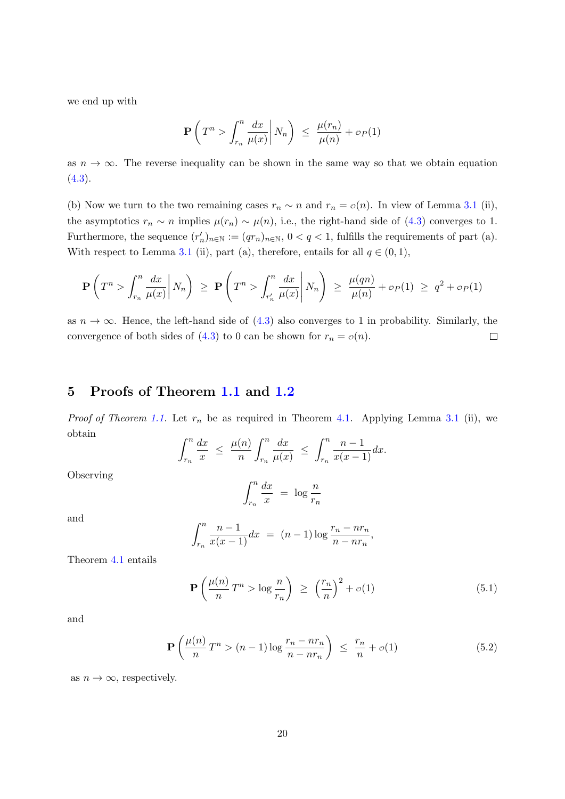we end up with

$$
\mathbf{P}\left(T^n > \int_{r_n}^n \frac{dx}{\mu(x)} \middle| N_n\right) \le \frac{\mu(r_n)}{\mu(n)} + \sigma_P(1)
$$

as  $n \to \infty$ . The reverse inequality can be shown in the same way so that we obtain equation  $(4.3).$  $(4.3).$ 

(b) Now we turn to the two remaining cases  $r_n \sim n$  and  $r_n = o(n)$ . In view of Lemma [3.1](#page-11-0) (ii), the asymptotics  $r_n \sim n$  implies  $\mu(r_n) \sim \mu(n)$ , i.e., the right-hand side of [\(4.3\)](#page-16-3) converges to 1. Furthermore, the sequence  $(r'_n)_{n\in\mathbb{N}} := (qr_n)_{n\in\mathbb{N}}, 0 < q < 1$ , fulfills the requirements of part (a). With respect to Lemma [3.1](#page-11-0) (ii), part (a), therefore, entails for all  $q \in (0,1)$ ,

$$
\mathbf{P}\left(T^n > \int_{r_n}^n \frac{dx}{\mu(x)} \middle| N_n\right) \ge \mathbf{P}\left(T^n > \int_{r'_n}^n \frac{dx}{\mu(x)} \middle| N_n\right) \ge \frac{\mu(qn)}{\mu(n)} + o_P(1) \ge q^2 + o_P(1)
$$

as  $n \to \infty$ . Hence, the left-hand side of [\(4.3\)](#page-16-3) also converges to 1 in probability. Similarly, the convergence of both sides of [\(4.3\)](#page-16-3) to 0 can be shown for  $r_n = \mathcal{O}(n)$ .  $\Box$ 

# <span id="page-19-0"></span>5 Proofs of Theorem [1.1](#page-2-0) and [1.2](#page-3-0)

*Proof of Theorem [1.1.](#page-2-0)* Let  $r_n$  be as required in Theorem [4.1.](#page-16-0) Applying Lemma [3.1](#page-11-0) (ii), we obtain

$$
\int_{r_n}^n \frac{dx}{x} \le \frac{\mu(n)}{n} \int_{r_n}^n \frac{dx}{\mu(x)} \le \int_{r_n}^n \frac{n-1}{x(x-1)} dx.
$$

Observing

<span id="page-19-2"></span><span id="page-19-1"></span>
$$
\int_{r_n}^n \frac{dx}{x} = \log \frac{n}{r_n}
$$

and

$$
\int_{r_n}^{n} \frac{n-1}{x(x-1)} dx = (n-1) \log \frac{r_n - nr_n}{n - nr_n},
$$

Theorem [4.1](#page-16-0) entails

$$
\mathbf{P}\left(\frac{\mu(n)}{n}T^n > \log \frac{n}{r_n}\right) \ge \left(\frac{r_n}{n}\right)^2 + o(1) \tag{5.1}
$$

and

$$
\mathbf{P}\left(\frac{\mu(n)}{n}T^n > (n-1)\log\frac{r_n - nr_n}{n - nr_n}\right) \le \frac{r_n}{n} + o(1) \tag{5.2}
$$

as  $n \to \infty$ , respectively.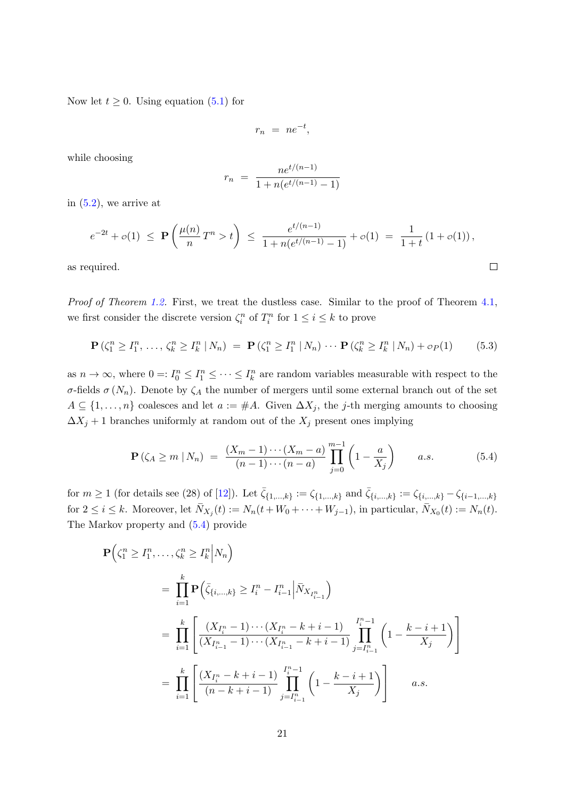Now let  $t \geq 0$ . Using equation [\(5.1\)](#page-19-1) for

$$
r_n = ne^{-t},
$$

while choosing

<span id="page-20-1"></span>
$$
r_n = \frac{ne^{t/(n-1)}}{1 + n(e^{t/(n-1)} - 1)}
$$

in  $(5.2)$ , we arrive at

$$
e^{-2t} + o(1) \le \mathbf{P}\left(\frac{\mu(n)}{n}T^{n} > t\right) \le \frac{e^{t/(n-1)}}{1 + n(e^{t/(n-1)} - 1)} + o(1) = \frac{1}{1+t}(1+o(1)),
$$
  
quired.

as required.

Proof of Theorem [1.2.](#page-3-0) First, we treat the dustless case. Similar to the proof of Theorem [4.1,](#page-16-0) we first consider the discrete version  $\zeta_i^n$  of  $T_i^n$  for  $1 \leq i \leq k$  to prove

$$
\mathbf{P}(\zeta_1^n \ge I_1^n, \dots, \zeta_k^n \ge I_k^n \, | \, N_n) \ = \ \mathbf{P}(\zeta_1^n \ge I_1^n \, | \, N_n) \ \cdots \ \mathbf{P}(\zeta_k^n \ge I_k^n \, | \, N_n) + o_P(1) \tag{5.3}
$$

as  $n \to \infty$ , where  $0 =: I_0^n \leq I_1^n \leq \cdots \leq I_k^n$  are random variables measurable with respect to the σ-fields σ ( $N_n$ ). Denote by  $\zeta_A$  the number of mergers until some external branch out of the set  $A \subseteq \{1, \ldots, n\}$  coalesces and let  $a := \#A$ . Given  $\Delta X_j$ , the j-th merging amounts to choosing  $\Delta X_j + 1$  branches uniformly at random out of the  $X_j$  present ones implying

<span id="page-20-0"></span>
$$
\mathbf{P}(\zeta_A \ge m \mid N_n) = \frac{(X_m - 1) \cdots (X_m - a)}{(n - 1) \cdots (n - a)} \prod_{j=0}^{m-1} \left(1 - \frac{a}{X_j}\right) \qquad a.s.
$$
 (5.4)

for  $m \ge 1$  (for details see (28) of [\[12\]](#page-45-3)). Let  $\bar{\zeta}_{\{1,\dots,k\}} := \zeta_{\{1,\dots,k\}}$  and  $\bar{\zeta}_{\{i,\dots,k\}} := \zeta_{\{i,\dots,k\}} - \zeta_{\{i-1,\dots,k\}}$ for  $2 \leq i \leq k$ . Moreover, let  $\overline{N}_{X_j}(t) := N_n(t + W_0 + \cdots + W_{j-1})$ , in particular,  $\overline{N}_{X_0}(t) := N_n(t)$ . The Markov property and [\(5.4\)](#page-20-0) provide

$$
\begin{split} \mathbf{P}\Big(\zeta_{1}^{n} \geq I_{1}^{n}, \ldots, \zeta_{k}^{n} \geq I_{k}^{n} \Big| N_{n} \Big) \\ &= \prod_{i=1}^{k} \mathbf{P}\Big(\bar{\zeta}_{\{i,\ldots,k\}} \geq I_{i}^{n} - I_{i-1}^{n} \Big| \bar{N}_{X_{I_{i-1}^{n}}} \Big) \\ &= \prod_{i=1}^{k} \Bigg[ \frac{(X_{I_{i}^{n}} - 1) \cdots (X_{I_{i}^{n}} - k + i - 1)}{(X_{I_{i-1}^{n}} - k + i - 1)} \prod_{j=I_{i-1}^{n}}^{I_{i}^{n}-1} \Big( 1 - \frac{k - i + 1}{X_{j}} \Big) \Bigg] \\ &= \prod_{i=1}^{k} \Bigg[ \frac{(X_{I_{i}^{n}} - k + i - 1)}{(n - k + i - 1)} \prod_{j=I_{i-1}^{n}}^{I_{i}^{n}-1} \Big( 1 - \frac{k - i + 1}{X_{j}} \Big) \Bigg] \qquad a.s. \end{split}
$$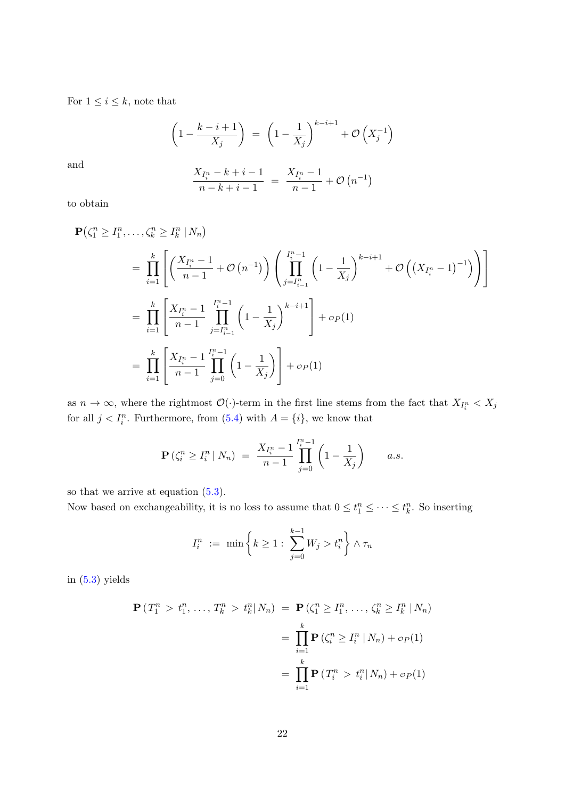For  $1 \leq i \leq k$ , note that

$$
\left(1 - \frac{k - i + 1}{X_j}\right) = \left(1 - \frac{1}{X_j}\right)^{k - i + 1} + \mathcal{O}\left(X_j^{-1}\right)
$$

and

$$
\frac{X_{I_i^n} - k + i - 1}{n - k + i - 1} = \frac{X_{I_i^n} - 1}{n - 1} + \mathcal{O}\left(n^{-1}\right)
$$

to obtain

$$
\mathbf{P}(\zeta_1^n \ge I_1^n, \dots, \zeta_k^n \ge I_k^n \mid N_n)
$$
\n
$$
= \prod_{i=1}^k \left[ \left( \frac{X_{I_i^n} - 1}{n - 1} + \mathcal{O}(n^{-1}) \right) \left( \prod_{j=I_{i-1}^n}^{I_i^n - 1} \left( 1 - \frac{1}{X_j} \right)^{k - i + 1} + \mathcal{O}\left( (X_{I_i^n} - 1)^{-1} \right) \right) \right]
$$
\n
$$
= \prod_{i=1}^k \left[ \frac{X_{I_i^n} - 1}{n - 1} \prod_{j=I_{i-1}^n}^{I_i^n - 1} \left( 1 - \frac{1}{X_j} \right)^{k - i + 1} \right] + o_P(1)
$$
\n
$$
= \prod_{i=1}^k \left[ \frac{X_{I_i^n} - 1}{n - 1} \prod_{j=0}^{I_i^n - 1} \left( 1 - \frac{1}{X_j} \right) \right] + o_P(1)
$$

as  $n \to \infty$ , where the rightmost  $\mathcal{O}(\cdot)$ -term in the first line stems from the fact that  $X_{I_i^n} < X_j$ for all  $j < I_i^n$ . Furthermore, from [\(5.4\)](#page-20-0) with  $A = \{i\}$ , we know that

$$
\mathbf{P}\left(\zeta_i^n \geq I_i^n \,|\, N_n\right) \;=\; \frac{X_{I_i^n} - 1}{n-1} \prod_{j=0}^{I_i^n - 1} \left(1 - \frac{1}{X_j}\right) \qquad a.s.
$$

so that we arrive at equation [\(5.3\)](#page-20-1).

Now based on exchangeability, it is no loss to assume that  $0 \leq t_1^n \leq \cdots \leq t_k^n$ . So inserting

$$
I_i^n := \min \left\{ k \ge 1 : \sum_{j=0}^{k-1} W_j > t_i^n \right\} \wedge \tau_n
$$

in  $(5.3)$  yields

$$
\mathbf{P}(T_1^n > t_1^n, ..., T_k^n > t_k^n | N_n) = \mathbf{P}(\zeta_1^n \ge I_1^n, ..., \zeta_k^n \ge I_k^n | N_n)
$$
  
= 
$$
\prod_{i=1}^k \mathbf{P}(\zeta_i^n \ge I_i^n | N_n) + o_P(1)
$$
  
= 
$$
\prod_{i=1}^k \mathbf{P}(T_i^n > t_i^n | N_n) + o_P(1)
$$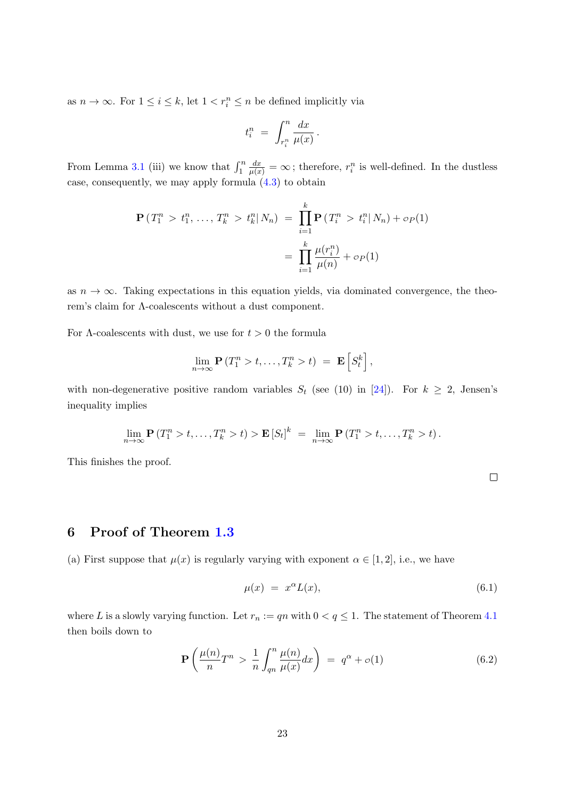as  $n \to \infty$ . For  $1 \leq i \leq k$ , let  $1 < r_i^n \leq n$  be defined implicitly via

$$
t_i^n \ = \ \int_{r_i^n}^n \frac{dx}{\mu(x)} \, .
$$

From Lemma [3.1](#page-11-0) (iii) we know that  $\int_1^n$  $\frac{dx}{\mu(x)} = \infty$ ; therefore,  $r_i^n$  is well-defined. In the dustless case, consequently, we may apply formula [\(4.3\)](#page-16-3) to obtain

$$
\mathbf{P}(T_1^n > t_1^n, \dots, T_k^n > t_k^n | N_n) = \prod_{i=1}^k \mathbf{P}(T_i^n > t_i^n | N_n) + o_P(1)
$$

$$
= \prod_{i=1}^k \frac{\mu(r_i^n)}{\mu(n)} + o_P(1)
$$

as  $n \to \infty$ . Taking expectations in this equation yields, via dominated convergence, the theorem's claim for Λ-coalescents without a dust component.

For  $\Lambda$ -coalescents with dust, we use for  $t > 0$  the formula

$$
\lim_{n\to\infty} \mathbf{P}\left(T_1^n > t,\ldots,T_k^n > t\right) \ = \ \mathbf{E}\left[S_t^k\right],
$$

with non-degenerative positive random variables  $S_t$  (see (10) in [\[24\]](#page-46-4)). For  $k \geq 2$ , Jensen's inequality implies

$$
\lim_{n\to\infty} \mathbf{P}(T_1^n > t, \ldots, T_k^n > t) > \mathbf{E}[S_t]^k = \lim_{n\to\infty} \mathbf{P}(T_1^n > t, \ldots, T_k^n > t).
$$

This finishes the proof.

<span id="page-22-2"></span><span id="page-22-1"></span>

### <span id="page-22-0"></span>6 Proof of Theorem [1.3](#page-3-1)

(a) First suppose that  $\mu(x)$  is regularly varying with exponent  $\alpha \in [1,2]$ , i.e., we have

$$
\mu(x) = x^{\alpha} L(x), \tag{6.1}
$$

where L is a slowly varying function. Let  $r_n := qn$  with  $0 < q \leq 1$ . The statement of Theorem [4.1](#page-16-0) then boils down to

$$
\mathbf{P}\left(\frac{\mu(n)}{n}T^n > \frac{1}{n}\int_{qn}^n \frac{\mu(n)}{\mu(x)}dx\right) = q^\alpha + o(1) \tag{6.2}
$$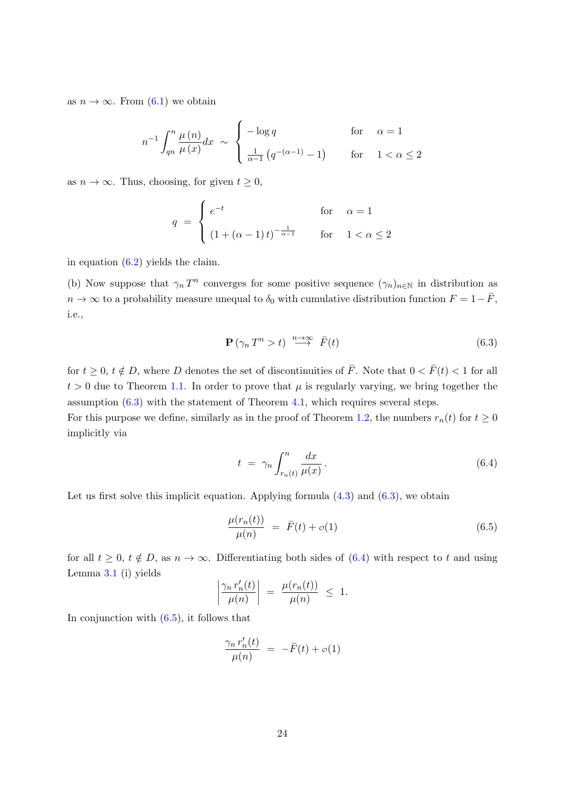as  $n \to \infty$ . From [\(6.1\)](#page-22-1) we obtain

$$
n^{-1} \int_{qn}^{n} \frac{\mu(n)}{\mu(x)} dx \sim \begin{cases} -\log q & \text{for} \quad \alpha = 1\\ \frac{1}{\alpha - 1} \left( q^{-(\alpha - 1)} - 1 \right) & \text{for} \quad 1 < \alpha \le 2 \end{cases}
$$

as  $n \to \infty$ . Thus, choosing, for given  $t \geq 0$ ,

$$
q = \begin{cases} e^{-t} & \text{for } \alpha = 1\\ \left(1 + (\alpha - 1)t\right)^{-\frac{1}{\alpha - 1}} & \text{for } 1 < \alpha \le 2 \end{cases}
$$

in equation [\(6.2\)](#page-22-2) yields the claim.

(b) Now suppose that  $\gamma_n T^n$  converges for some positive sequence  $(\gamma_n)_{n\in\mathbb{N}}$  in distribution as  $n \to \infty$  to a probability measure unequal to  $\delta_0$  with cumulative distribution function  $F = 1 - \bar{F}$ , i.e.,

<span id="page-23-0"></span>
$$
\mathbf{P}\left(\gamma_n \, T^n > t\right) \overset{n \to \infty}{\longrightarrow} \bar{F}(t) \tag{6.3}
$$

for  $t \geq 0$ ,  $t \notin D$ , where D denotes the set of discontinuities of  $\overline{F}$ . Note that  $0 < \overline{F}(t) < 1$  for all  $t > 0$  due to Theorem [1.1.](#page-2-0) In order to prove that  $\mu$  is regularly varying, we bring together the assumption  $(6.3)$  with the statement of Theorem [4.1,](#page-16-0) which requires several steps.

For this purpose we define, similarly as in the proof of Theorem [1.2,](#page-3-0) the numbers  $r_n(t)$  for  $t \ge 0$ implicitly via

<span id="page-23-1"></span>
$$
t = \gamma_n \int_{r_n(t)}^n \frac{dx}{\mu(x)}.
$$
\n(6.4)

Let us first solve this implicit equation. Applying formula  $(4.3)$  and  $(6.3)$ , we obtain

 $\Big\}$  $\overline{\phantom{a}}$  $\overline{\phantom{a}}$  $\overline{\phantom{a}}$ 

<span id="page-23-2"></span>
$$
\frac{\mu(r_n(t))}{\mu(n)} = \bar{F}(t) + o(1) \tag{6.5}
$$

for all  $t \geq 0$ ,  $t \notin D$ , as  $n \to \infty$ . Differentiating both sides of [\(6.4\)](#page-23-1) with respect to t and using Lemma [3.1](#page-11-0) (i) yields

$$
\left|\frac{\gamma_n r_n'(t)}{\mu(n)}\right| = \frac{\mu(r_n(t))}{\mu(n)} \leq 1.
$$

In conjunction with  $(6.5)$ , it follows that

$$
\frac{\gamma_n r'_n(t)}{\mu(n)} = -\bar{F}(t) + o(1)
$$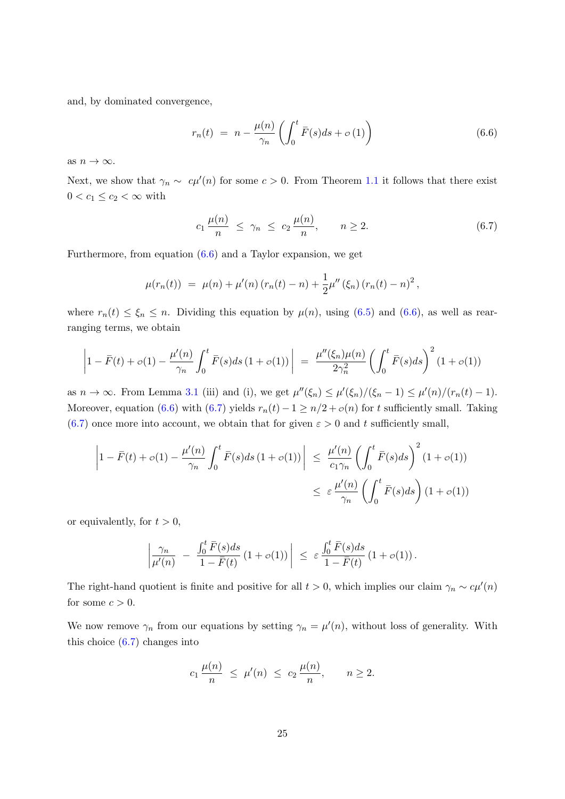and, by dominated convergence,

<span id="page-24-0"></span>
$$
r_n(t) = n - \frac{\mu(n)}{\gamma_n} \left( \int_0^t \overline{F}(s)ds + \sigma(1) \right) \tag{6.6}
$$

as  $n \to \infty$ .

Next, we show that  $\gamma_n \sim c\mu'(n)$  for some  $c > 0$ . From Theorem [1.1](#page-2-0) it follows that there exist  $0 < c_1 \leq c_2 < \infty$  with

<span id="page-24-1"></span>
$$
c_1 \frac{\mu(n)}{n} \le \gamma_n \le c_2 \frac{\mu(n)}{n}, \qquad n \ge 2. \tag{6.7}
$$

Furthermore, from equation  $(6.6)$  and a Taylor expansion, we get

$$
\mu(r_n(t)) = \mu(n) + \mu'(n) (r_n(t) - n) + \frac{1}{2} \mu''(\xi_n) (r_n(t) - n)^2,
$$

where  $r_n(t) \leq \xi_n \leq n$ . Dividing this equation by  $\mu(n)$ , using [\(6.5\)](#page-23-2) and [\(6.6\)](#page-24-0), as well as rearranging terms, we obtain

$$
\left|1 - \bar{F}(t) + o(1) - \frac{\mu'(n)}{\gamma_n} \int_0^t \bar{F}(s)ds \left(1 + o(1)\right) \right| = \frac{\mu''(\xi_n)\mu(n)}{2\gamma_n^2} \left(\int_0^t \bar{F}(s)ds\right)^2 \left(1 + o(1)\right)
$$

as  $n \to \infty$ . From Lemma [3.1](#page-11-0) (iii) and (i), we get  $\mu''(\xi_n) \leq \mu'(\xi_n)/(\xi_n-1) \leq \mu'(n)/(r_n(t)-1)$ . Moreover, equation [\(6.6\)](#page-24-0) with [\(6.7\)](#page-24-1) yields  $r_n(t) - 1 \ge n/2 + o(n)$  for t sufficiently small. Taking  $(6.7)$  once more into account, we obtain that for given  $\varepsilon > 0$  and t sufficiently small,

$$
\left|1 - \bar{F}(t) + o(1) - \frac{\mu'(n)}{\gamma_n} \int_0^t \bar{F}(s)ds \left(1 + o(1)\right) \right| \leq \frac{\mu'(n)}{c_1 \gamma_n} \left(\int_0^t \bar{F}(s)ds\right)^2 \left(1 + o(1)\right)
$$
  

$$
\leq \varepsilon \frac{\mu'(n)}{\gamma_n} \left(\int_0^t \bar{F}(s)ds\right) \left(1 + o(1)\right)
$$

or equivalently, for  $t > 0$ ,

$$
\left|\frac{\gamma_n}{\mu'(n)} - \frac{\int_0^t \bar{F}(s)ds}{1 - \bar{F}(t)} (1 + o(1))\right| \leq \varepsilon \frac{\int_0^t \bar{F}(s)ds}{1 - \bar{F}(t)} (1 + o(1)).
$$

The right-hand quotient is finite and positive for all  $t > 0$ , which implies our claim  $\gamma_n \sim c\mu'(n)$ for some  $c > 0$ .

We now remove  $\gamma_n$  from our equations by setting  $\gamma_n = \mu'(n)$ , without loss of generality. With this choice [\(6.7\)](#page-24-1) changes into

$$
c_1 \frac{\mu(n)}{n} \le \mu'(n) \le c_2 \frac{\mu(n)}{n}, \quad n \ge 2.
$$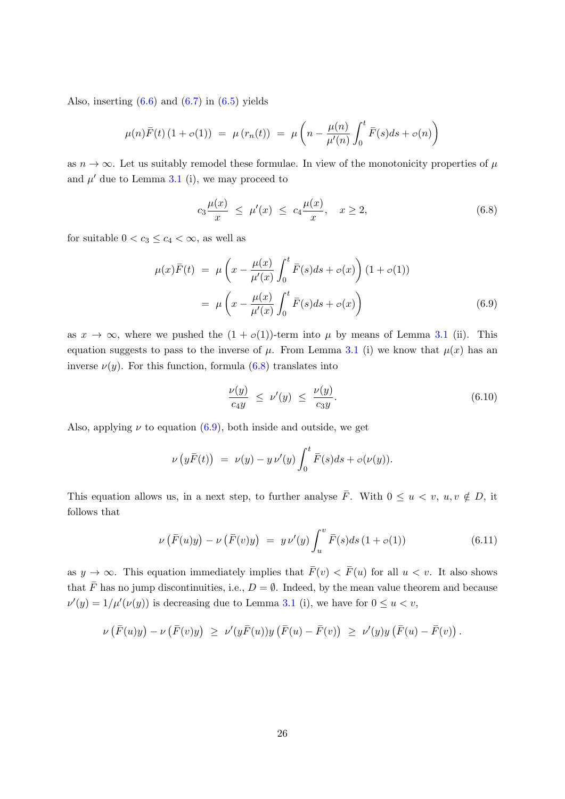Also, inserting  $(6.6)$  and  $(6.7)$  in  $(6.5)$  yields

$$
\mu(n)\bar{F}(t) (1 + o(1)) = \mu(r_n(t)) = \mu\left(n - \frac{\mu(n)}{\mu'(n)}\int_0^t \bar{F}(s)ds + o(n)\right)
$$

as  $n \to \infty$ . Let us suitably remodel these formulae. In view of the monotonicity properties of  $\mu$ and  $\mu'$  due to Lemma [3.1](#page-11-0) (i), we may proceed to

<span id="page-25-0"></span>
$$
c_3 \frac{\mu(x)}{x} \le \mu'(x) \le c_4 \frac{\mu(x)}{x}, \quad x \ge 2,
$$
\n(6.8)

for suitable  $0 < c_3 \leq c_4 < \infty$ , as well as

$$
\mu(x)\bar{F}(t) = \mu\left(x - \frac{\mu(x)}{\mu'(x)} \int_0^t \bar{F}(s)ds + o(x)\right) (1 + o(1))
$$
  
= 
$$
\mu\left(x - \frac{\mu(x)}{\mu'(x)} \int_0^t \bar{F}(s)ds + o(x)\right)
$$
(6.9)

as  $x \to \infty$ , where we pushed the  $(1 + o(1))$ -term into  $\mu$  by means of Lemma [3.1](#page-11-0) (ii). This equation suggests to pass to the inverse of  $\mu$ . From Lemma [3.1](#page-11-0) (i) we know that  $\mu(x)$  has an inverse  $\nu(y)$ . For this function, formula [\(6.8\)](#page-25-0) translates into

<span id="page-25-3"></span><span id="page-25-2"></span><span id="page-25-1"></span>
$$
\frac{\nu(y)}{c_4 y} \le \nu'(y) \le \frac{\nu(y)}{c_3 y}.\tag{6.10}
$$

Also, applying  $\nu$  to equation [\(6.9\)](#page-25-1), both inside and outside, we get

$$
\nu (y\bar{F}(t)) = \nu(y) - y \nu'(y) \int_0^t \bar{F}(s)ds + o(\nu(y)).
$$

This equation allows us, in a next step, to further analyse  $\overline{F}$ . With  $0 \le u \lt v$ ,  $u, v \notin D$ , it follows that

$$
\nu\left(\bar{F}(u)y\right) - \nu\left(\bar{F}(v)y\right) = y \nu'(y) \int_u^v \bar{F}(s)ds \left(1 + o(1)\right) \tag{6.11}
$$

as  $y \to \infty$ . This equation immediately implies that  $\bar{F}(v) < \bar{F}(u)$  for all  $u < v$ . It also shows that  $\overline{F}$  has no jump discontinuities, i.e.,  $D = \emptyset$ . Indeed, by the mean value theorem and because  $\nu'(y) = 1/\mu'(\nu(y))$  is decreasing due to Lemma [3.1](#page-11-0) (i), we have for  $0 \le u < v$ ,

$$
\nu\left(\bar{F}(u)y\right)-\nu\left(\bar{F}(v)y\right) \ \geq \ \nu'(y\bar{F}(u))y\left(\bar{F}(u)-\bar{F}(v)\right) \ \geq \ \nu'(y)y\left(\bar{F}(u)-\bar{F}(v)\right).
$$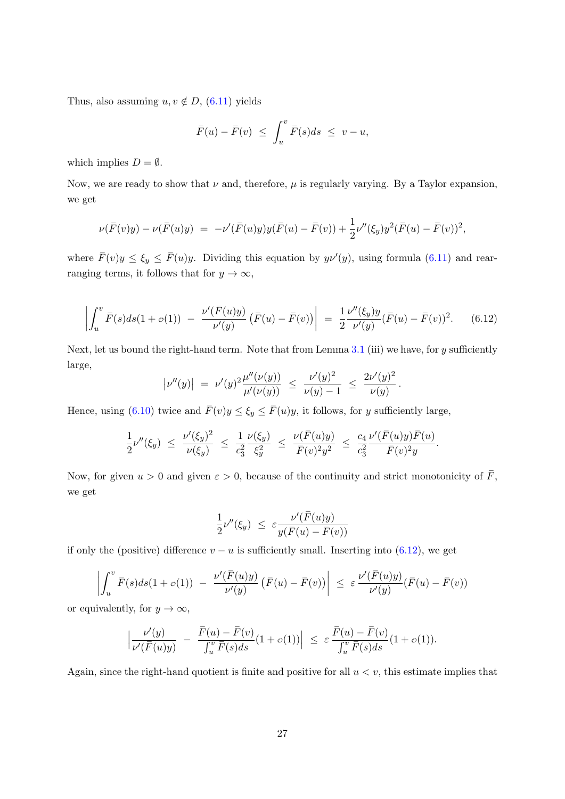Thus, also assuming  $u, v \notin D$ , [\(6.11\)](#page-25-2) yields

$$
\overline{F}(u) - \overline{F}(v) \le \int_u^v \overline{F}(s) ds \le v - u,
$$

which implies  $D = \emptyset$ .

Now, we are ready to show that  $\nu$  and, therefore,  $\mu$  is regularly varying. By a Taylor expansion, we get

$$
\nu(\bar{F}(v)y) - \nu(\bar{F}(u)y) = -\nu'(\bar{F}(u)y)y(\bar{F}(u) - \bar{F}(v)) + \frac{1}{2}\nu''(\xi_y)y^2(\bar{F}(u) - \bar{F}(v))^2,
$$

where  $\bar{F}(v)y \le \xi_y \le \bar{F}(u)y$ . Dividing this equation by  $y\nu'(y)$ , using formula [\(6.11\)](#page-25-2) and rearranging terms, it follows that for  $y \to \infty$ ,

$$
\left| \int_u^v \bar{F}(s) ds (1 + \sigma(1)) - \frac{\nu'(\bar{F}(u)y)}{\nu'(y)} (\bar{F}(u) - \bar{F}(v)) \right| = \frac{1}{2} \frac{\nu''(\xi_y) y}{\nu'(y)} (\bar{F}(u) - \bar{F}(v))^2.
$$
 (6.12)

Next, let us bound the right-hand term. Note that from Lemma  $3.1$  (iii) we have, for y sufficiently large,

<span id="page-26-0"></span>
$$
\left|\nu''(y)\right| \;=\; \nu'(y)^2 \frac{\mu''(\nu(y))}{\mu'(\nu(y))} \;\leq\; \frac{\nu'(y)^2}{\nu(y)-1} \;\leq\; \frac{2\nu'(y)^2}{\nu(y)}\,.
$$

Hence, using [\(6.10\)](#page-25-3) twice and  $\bar{F}(v)y \le \xi_y \le \bar{F}(u)y$ , it follows, for y sufficiently large,

$$
\frac{1}{2}\nu''(\xi_y) \ \leq \ \frac{\nu'(\xi_y)^2}{\nu(\xi_y)} \ \leq \ \frac{1}{c_3^2}\frac{\nu(\xi_y)}{\xi_y^2} \ \leq \ \frac{\nu(\bar{F}(u)y)}{\bar{F}(v)^2y^2} \ \leq \ \frac{c_4}{c_3^2}\frac{\nu'(\bar{F}(u)y)\bar{F}(u)}{\bar{F}(v)^2y}.
$$

Now, for given  $u > 0$  and given  $\varepsilon > 0$ , because of the continuity and strict monotonicity of  $\overline{F}$ , we get

$$
\frac{1}{2}\nu''(\xi_y) \leq \varepsilon \frac{\nu'(\bar{F}(u)y)}{y(\bar{F}(u) - \bar{F}(v))}
$$

if only the (positive) difference  $v - u$  is sufficiently small. Inserting into [\(6.12\)](#page-26-0), we get

$$
\left| \int_u^v \overline{F}(s) ds (1 + \sigma(1)) - \frac{\nu'(\overline{F}(u)y)}{\nu'(y)} (\overline{F}(u) - \overline{F}(v)) \right| \leq \varepsilon \frac{\nu'(\overline{F}(u)y)}{\nu'(y)} (\overline{F}(u) - \overline{F}(v))
$$

or equivalently, for  $y \to \infty$ ,

$$
\Big|\frac{\nu'(y)}{\nu'(\bar{F}(u)y)}\ - \ \frac{\bar{F}(u)-\bar{F}(v)}{\int_u^v \bar{F}(s)ds} (1+o(1))\Big| \ \leq \ \varepsilon \, \frac{\bar{F}(u)-\bar{F}(v)}{\int_u^v \bar{F}(s)ds} (1+o(1)).
$$

Again, since the right-hand quotient is finite and positive for all  $u < v$ , this estimate implies that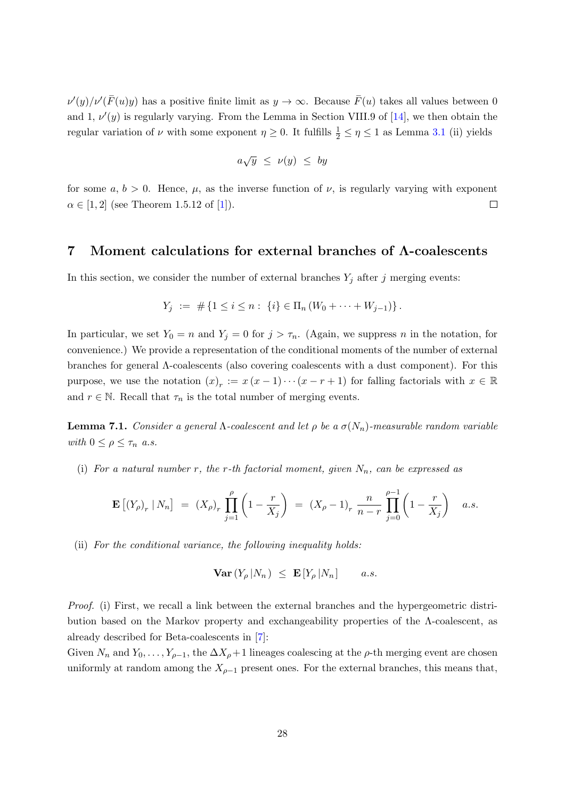$\nu'(y)/\nu'(\bar{F}(u)y)$  has a positive finite limit as  $y \to \infty$ . Because  $\bar{F}(u)$  takes all values between 0 and 1,  $\nu'(y)$  is regularly varying. From the Lemma in Section VIII.9 of [\[14\]](#page-46-13), we then obtain the regular variation of  $\nu$  with some exponent  $\eta \geq 0$ . It fulfills  $\frac{1}{2} \leq \eta \leq 1$  as Lemma [3.1](#page-11-0) (ii) yields

$$
a\sqrt{y} \leq v(y) \leq by
$$

for some  $a, b > 0$ . Hence,  $\mu$ , as the inverse function of  $\nu$ , is regularly varying with exponent  $\alpha \in [1, 2]$  (see Theorem 1.5.12 of [\[1\]](#page-45-11)).  $\Box$ 

#### <span id="page-27-0"></span>7 Moment calculations for external branches of Λ-coalescents

In this section, we consider the number of external branches  $Y_j$  after j merging events:

$$
Y_j := # \{ 1 \le i \le n : \{i\} \in \Pi_n \left( W_0 + \dots + W_{j-1} \right) \}.
$$

In particular, we set  $Y_0 = n$  and  $Y_j = 0$  for  $j > \tau_n$ . (Again, we suppress n in the notation, for convenience.) We provide a representation of the conditional moments of the number of external branches for general Λ-coalescents (also covering coalescents with a dust component). For this purpose, we use the notation  $(x)_r := x(x-1)\cdots(x-r+1)$  for falling factorials with  $x \in \mathbb{R}$ and  $r \in \mathbb{N}$ . Recall that  $\tau_n$  is the total number of merging events.

<span id="page-27-1"></span>**Lemma 7.1.** Consider a general  $\Lambda$ -coalescent and let  $\rho$  be a  $\sigma(N_n)$ -measurable random variable with  $0 \leq \rho \leq \tau_n$  a.s.

(i) For a natural number r, the r-th factorial moment, given  $N_n$ , can be expressed as

$$
\mathbf{E}\left[ (Y_{\rho})_r \mid N_n \right] = (X_{\rho})_r \prod_{j=1}^{\rho} \left( 1 - \frac{r}{X_j} \right) = (X_{\rho} - 1)_r \frac{n}{n-r} \prod_{j=0}^{\rho-1} \left( 1 - \frac{r}{X_j} \right) \quad a.s.
$$

(ii) For the conditional variance, the following inequality holds:

$$
\mathbf{Var}\left(Y_{\rho} | N_n\right) \leq \mathbf{E}\left[Y_{\rho} | N_n\right] \qquad a.s.
$$

Proof. (i) First, we recall a link between the external branches and the hypergeometric distribution based on the Markov property and exchangeability properties of the  $\Lambda$ -coalescent, as already described for Beta-coalescents in [\[7\]](#page-45-4):

Given  $N_n$  and  $Y_0, \ldots, Y_{\rho-1}$ , the  $\Delta X_{\rho}+1$  lineages coalescing at the  $\rho$ -th merging event are chosen uniformly at random among the  $X_{\rho-1}$  present ones. For the external branches, this means that,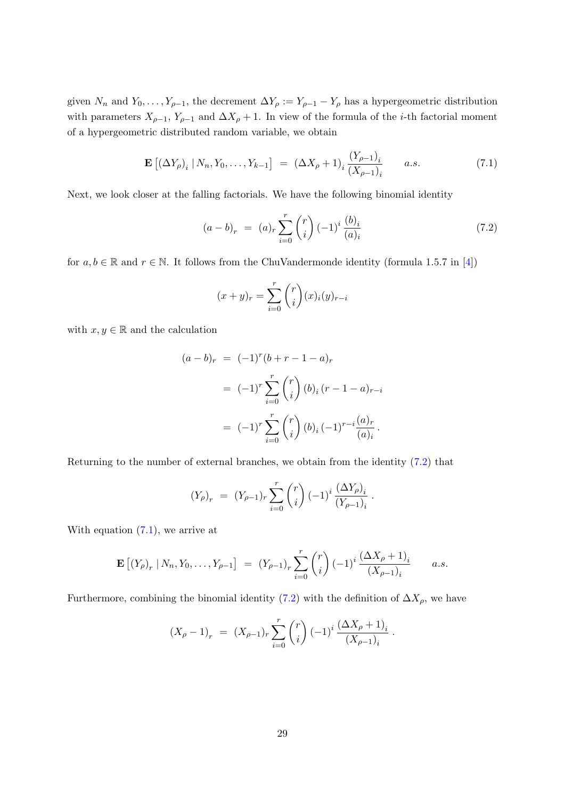given  $N_n$  and  $Y_0, \ldots, Y_{\rho-1}$ , the decrement  $\Delta Y_\rho := Y_{\rho-1} - Y_\rho$  has a hypergeometric distribution with parameters  $X_{\rho-1}$ ,  $Y_{\rho-1}$  and  $\Delta X_{\rho} + 1$ . In view of the formula of the *i*-th factorial moment of a hypergeometric distributed random variable, we obtain

$$
\mathbf{E}\left[ (\Delta Y_{\rho})_i \, | \, N_n, Y_0, \dots, Y_{k-1} \right] \; = \; (\Delta X_{\rho} + 1)_i \, \frac{(Y_{\rho-1})_i}{(X_{\rho-1})_i} \qquad a.s. \tag{7.1}
$$

Next, we look closer at the falling factorials. We have the following binomial identity

<span id="page-28-1"></span>
$$
(a-b)_r = (a)_r \sum_{i=0}^r \binom{r}{i} (-1)^i \frac{(b)_i}{(a)_i}
$$
\n(7.2)

.

for  $a, b \in \mathbb{R}$  and  $r \in \mathbb{N}$ . It follows from the ChuVandermonde identity (formula 1.5.7 in [\[4\]](#page-45-12))

<span id="page-28-0"></span>
$$
(x+y)_r = \sum_{i=0}^r \binom{r}{i} (x)_i (y)_{r-i}
$$

with  $x, y \in \mathbb{R}$  and the calculation

$$
(a - b)_r = (-1)^r (b + r - 1 - a)_r
$$
  
=  $(-1)^r \sum_{i=0}^r {r \choose i} (b)_i (r - 1 - a)_{r-i}$   
=  $(-1)^r \sum_{i=0}^r {r \choose i} (b)_i (-1)^{r-i} \frac{(a)_r}{(a)_i}.$ 

Returning to the number of external branches, we obtain from the identity [\(7.2\)](#page-28-0) that

$$
(Y_{\rho})_r = (Y_{\rho-1})_r \sum_{i=0}^r \binom{r}{i} (-1)^i \frac{(\Delta Y_{\rho})_i}{(Y_{\rho-1})_i}
$$

With equation [\(7.1\)](#page-28-1), we arrive at

$$
\mathbf{E} [(Y_{\rho})_r | N_n, Y_0, \dots, Y_{\rho-1}] = (Y_{\rho-1})_r \sum_{i=0}^r {r \choose i} (-1)^i \frac{(\Delta X_{\rho} + 1)_i}{(X_{\rho-1})_i} \qquad a.s.
$$

Furthermore, combining the binomial identity [\(7.2\)](#page-28-0) with the definition of  $\Delta X_{\rho}$ , we have

$$
(X_{\rho}-1)_{r} = (X_{\rho-1})_{r} \sum_{i=0}^{r} {r \choose i} (-1)^{i} \frac{(\Delta X_{\rho}+1)_{i}}{(X_{\rho-1})_{i}}.
$$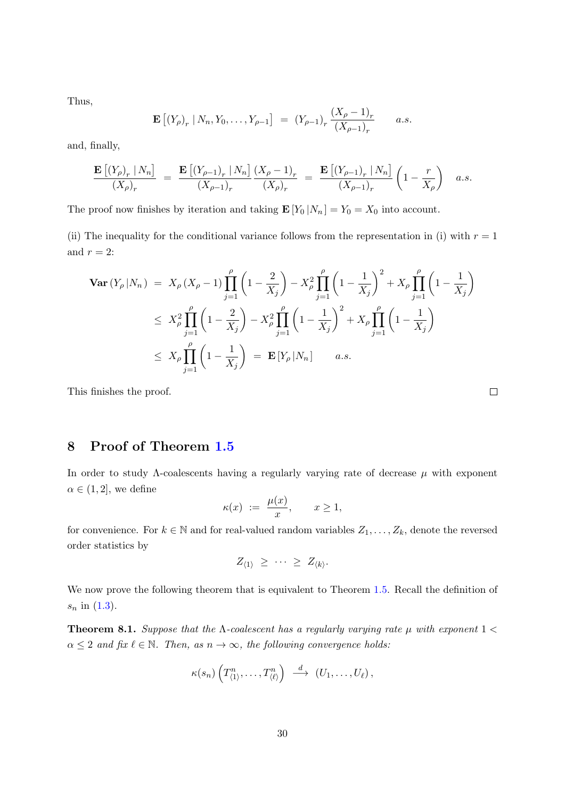Thus,

$$
\mathbf{E} [(Y_{\rho})_r | N_n, Y_0, \dots, Y_{\rho-1}] = (Y_{\rho-1})_r \frac{(X_{\rho} - 1)_r}{(X_{\rho-1})_r} \qquad a.s.
$$

and, finally,

$$
\frac{\mathbf{E}\left[ (Y_{\rho})_r \mid N_n \right]}{(X_{\rho})_r} = \frac{\mathbf{E}\left[ (Y_{\rho-1})_r \mid N_n \right]}{(X_{\rho-1})_r} \frac{(X_{\rho}-1)_r}{(X_{\rho})_r} = \frac{\mathbf{E}\left[ (Y_{\rho-1})_r \mid N_n \right]}{(X_{\rho-1})_r} \left( 1 - \frac{r}{X_{\rho}} \right) \quad a.s.
$$

The proof now finishes by iteration and taking  $\mathbf{E}[Y_0 | N_n] = Y_0 = X_0$  into account.

(ii) The inequality for the conditional variance follows from the representation in (i) with  $r = 1$ and  $r = 2$ :

$$
\begin{split} \mathbf{Var}\left(Y_{\rho}\left|N_{n}\right.\right) \; &= \; X_{\rho}\left(X_{\rho}-1\right) \prod_{j=1}^{\rho} \left(1-\frac{2}{X_{j}}\right) - X_{\rho}^{2} \prod_{j=1}^{\rho} \left(1-\frac{1}{X_{j}}\right)^{2} + X_{\rho} \prod_{j=1}^{\rho} \left(1-\frac{1}{X_{j}}\right) \\ &\leq \; X_{\rho}^{2} \prod_{j=1}^{\rho} \left(1-\frac{2}{X_{j}}\right) - X_{\rho}^{2} \prod_{j=1}^{\rho} \left(1-\frac{1}{X_{j}}\right)^{2} + X_{\rho} \prod_{j=1}^{\rho} \left(1-\frac{1}{X_{j}}\right) \\ &\leq \; X_{\rho} \prod_{j=1}^{\rho} \left(1-\frac{1}{X_{j}}\right) \; = \; \mathbf{E}\left[Y_{\rho}\left|N_{n}\right.\right] \qquad a.s. \end{split}
$$

This finishes the proof.

# <span id="page-29-0"></span>8 Proof of Theorem [1.5](#page-5-0)

In order to study  $\Lambda$ -coalescents having a regularly varying rate of decrease  $\mu$  with exponent  $\alpha \in (1,2]$ , we define

$$
\kappa(x) := \frac{\mu(x)}{x}, \qquad x \ge 1,
$$

for convenience. For  $k \in \mathbb{N}$  and for real-valued random variables  $Z_1, \ldots, Z_k$ , denote the reversed order statistics by

$$
Z_{\langle 1 \rangle} \geq \cdots \geq Z_{\langle k \rangle}.
$$

We now prove the following theorem that is equivalent to Theorem [1.5.](#page-5-0) Recall the definition of  $s_n$  in  $(1.3)$ .

<span id="page-29-1"></span>**Theorem 8.1.** Suppose that the  $\Lambda$ -coalescent has a regularly varying rate  $\mu$  with exponent  $1 <$  $\alpha \leq 2$  and fix  $\ell \in \mathbb{N}$ . Then, as  $n \to \infty$ , the following convergence holds:

$$
\kappa(s_n)\left(T_{\langle 1\rangle}^n,\ldots,T_{\langle\ell\rangle}^n\right)\;\overset{d}{\longrightarrow}\;(U_1,\ldots,U_\ell)\,,
$$

 $\Box$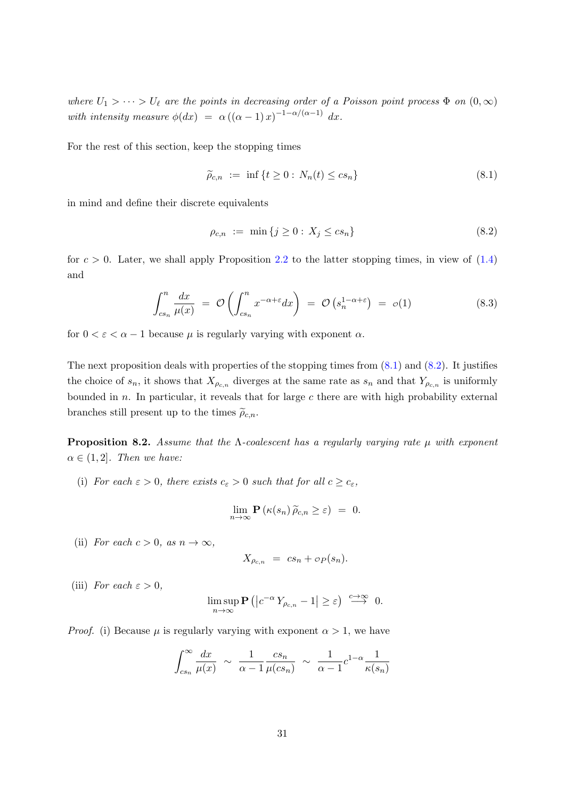where  $U_1 > \cdots > U_\ell$  are the points in decreasing order of a Poisson point process  $\Phi$  on  $(0,\infty)$ with intensity measure  $\phi(dx) = \alpha((\alpha - 1)x)^{-1-\alpha/(\alpha-1)} dx$ .

For the rest of this section, keep the stopping times

<span id="page-30-0"></span>
$$
\widetilde{\rho}_{c,n} := \inf \{ t \ge 0 : N_n(t) \le cs_n \} \tag{8.1}
$$

in mind and define their discrete equivalents

<span id="page-30-2"></span><span id="page-30-1"></span>
$$
\rho_{c,n} := \min \{ j \ge 0 : X_j \le cs_n \} \tag{8.2}
$$

for  $c > 0$ . Later, we shall apply Proposition [2.2](#page-11-3) to the latter stopping times, in view of  $(1.4)$ and

$$
\int_{cs_n}^n \frac{dx}{\mu(x)} = \mathcal{O}\left(\int_{cs_n}^n x^{-\alpha + \varepsilon} dx\right) = \mathcal{O}\left(s_n^{1-\alpha+\varepsilon}\right) = o(1) \tag{8.3}
$$

for  $0 < \varepsilon < \alpha - 1$  because  $\mu$  is regularly varying with exponent  $\alpha$ .

The next proposition deals with properties of the stopping times from  $(8.1)$  and  $(8.2)$ . It justifies the choice of  $s_n$ , it shows that  $X_{\rho_{c,n}}$  diverges at the same rate as  $s_n$  and that  $Y_{\rho_{c,n}}$  is uniformly bounded in  $n$ . In particular, it reveals that for large  $c$  there are with high probability external branches still present up to the times  $\tilde{\rho}_{c,n}$ .

<span id="page-30-3"></span>**Proposition 8.2.** Assume that the  $\Lambda$ -coalescent has a regularly varying rate  $\mu$  with exponent  $\alpha \in (1, 2]$ . Then we have:

(i) For each  $\varepsilon > 0$ , there exists  $c_{\varepsilon} > 0$  such that for all  $c \geq c_{\varepsilon}$ ,

$$
\lim_{n\to\infty}\mathbf{P}\left(\kappa(s_n)\,\widetilde{\rho}_{c,n}\geq\varepsilon\right) ~=~ 0.
$$

(ii) For each  $c > 0$ , as  $n \to \infty$ ,

$$
X_{\rho_{c,n}} = cs_n + \sigma_P(s_n).
$$

(iii) For each  $\varepsilon > 0$ ,

$$
\limsup_{n \to \infty} \mathbf{P}\left( \left| c^{-\alpha} Y_{\rho_{c,n}} - 1 \right| \geq \varepsilon \right) \xrightarrow{c \to \infty} 0.
$$

*Proof.* (i) Because  $\mu$  is regularly varying with exponent  $\alpha > 1$ , we have

$$
\int_{cs_n}^{\infty} \frac{dx}{\mu(x)} \sim \frac{1}{\alpha - 1} \frac{cs_n}{\mu (cs_n)} \sim \frac{1}{\alpha - 1} c^{1 - \alpha} \frac{1}{\kappa (s_n)}
$$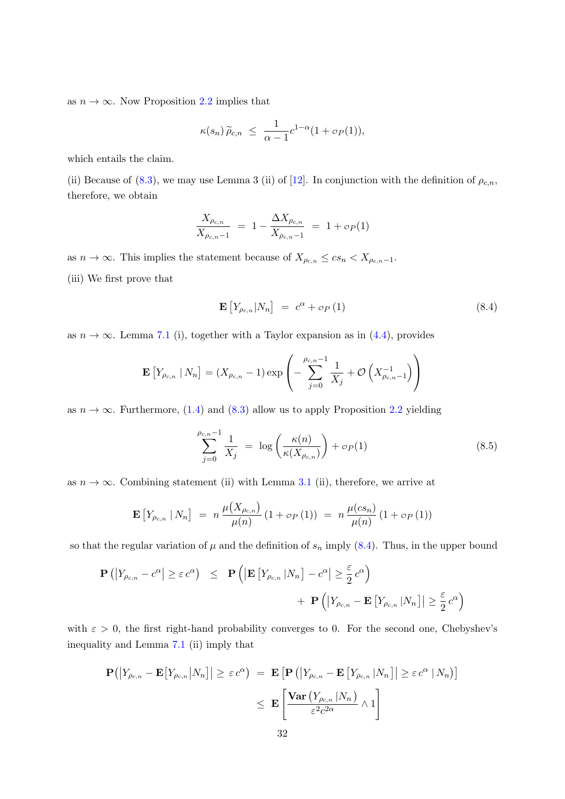as  $n \to \infty$ . Now Proposition [2.2](#page-11-3) implies that

$$
\kappa(s_n)\,\widetilde{\rho}_{c,n} \ \leq \ \frac{1}{\alpha-1}c^{1-\alpha}(1+\mathfrak{O}_P(1)),
$$

which entails the claim.

(ii) Because of [\(8.3\)](#page-30-2), we may use Lemma 3 (ii) of [\[12\]](#page-45-3). In conjunction with the definition of  $\rho_{c,n}$ , therefore, we obtain

$$
\frac{X_{\rho_{c,n}}}{X_{\rho_{c,n}-1}} = 1 - \frac{\Delta X_{\rho_{c,n}}}{X_{\rho_{c,n}-1}} = 1 + o_P(1)
$$

as  $n \to \infty$ . This implies the statement because of  $X_{\rho_{c,n}} \le cs_n < X_{\rho_{c,n}-1}$ . (iii) We first prove that

<span id="page-31-0"></span>
$$
\mathbf{E}\left[Y_{\rho_{c,n}}|N_n\right] = c^{\alpha} + \sigma_P\left(1\right) \tag{8.4}
$$

as  $n \to \infty$ . Lemma [7.1](#page-27-1) (i), together with a Taylor expansion as in [\(4.4\)](#page-17-0), provides

$$
\mathbf{E}\left[Y_{\rho_{c,n}} | N_n\right] = (X_{\rho_{c,n}} - 1) \exp\left(-\sum_{j=0}^{\rho_{c,n}-1} \frac{1}{X_j} + \mathcal{O}\left(X_{\rho_{c,n}-1}^{-1}\right)\right)
$$

as  $n \to \infty$ . Furthermore, [\(1.4\)](#page-5-2) and [\(8.3\)](#page-30-2) allow us to apply Proposition [2.2](#page-11-3) yielding

<span id="page-31-1"></span>
$$
\sum_{j=0}^{\rho_{c,n}-1} \frac{1}{X_j} = \log \left( \frac{\kappa(n)}{\kappa(X_{\rho_{c,n}})} \right) + o_P(1) \tag{8.5}
$$

as  $n \to \infty$ . Combining statement (ii) with Lemma [3.1](#page-11-0) (ii), therefore, we arrive at

$$
\mathbf{E}\left[Y_{\rho_{c,n}}\mid N_n\right] = n \frac{\mu(X_{\rho_{c,n}})}{\mu(n)} (1 + \sigma_P(1)) = n \frac{\mu(c s_n)}{\mu(n)} (1 + \sigma_P(1))
$$

so that the regular variation of  $\mu$  and the definition of  $s_n$  imply [\(8.4\)](#page-31-0). Thus, in the upper bound

$$
\mathbf{P}\left(\left|Y_{\rho_{c,n}} - c^{\alpha}\right| \geq \varepsilon c^{\alpha}\right) \leq \mathbf{P}\left(\left|\mathbf{E}\left[Y_{\rho_{c,n}}\left|N_{n}\right.\right] - c^{\alpha}\right| \geq \frac{\varepsilon}{2} c^{\alpha}\right) + \mathbf{P}\left(\left|Y_{\rho_{c,n}} - \mathbf{E}\left[Y_{\rho_{c,n}}\left|N_{n}\right.\right]\right| \geq \frac{\varepsilon}{2} c^{\alpha}\right)
$$

with  $\varepsilon > 0$ , the first right-hand probability converges to 0. For the second one, Chebyshev's inequality and Lemma [7.1](#page-27-1) (ii) imply that

$$
\mathbf{P}\big(\big|Y_{\rho_{c,n}} - \mathbf{E}\big[Y_{\rho_{c,n}}\big|N_n\big]\big| \geq \varepsilon c^{\alpha}\big) = \mathbf{E}\big[\mathbf{P}\big(\big|Y_{\rho_{c,n}} - \mathbf{E}\big[Y_{\rho_{c,n}}\big|N_n\big]\big| \geq \varepsilon c^{\alpha}\big|N_n\big)\big] \leq \mathbf{E}\left[\frac{\text{Var}\big(Y_{\rho_{c,n}}\big|N_n\big)}{\varepsilon^2 c^{2\alpha}} \wedge 1\right]
$$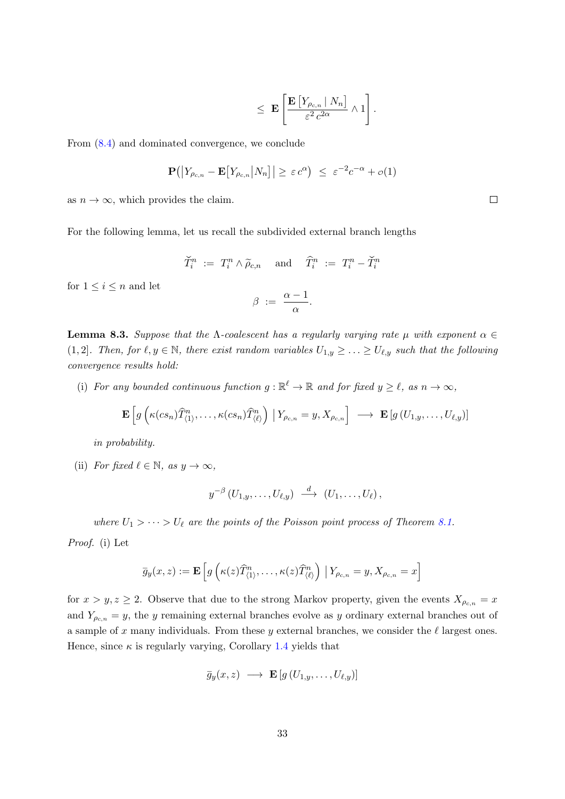$$
\leq \mathbf{E}\left[\frac{\mathbf{E}\left[Y_{\rho_{c,n}}\mid N_n\right]}{\varepsilon^2 c^{2\alpha}}\wedge 1\right].
$$

From [\(8.4\)](#page-31-0) and dominated convergence, we conclude

$$
\mathbf{P}\big(\big|Y_{\rho_{c,n}} - \mathbf{E}\big[Y_{\rho_{c,n}}\big|N_n\big]\big| \geq \varepsilon c^{\alpha}\big) \leq \varepsilon^{-2}c^{-\alpha} + o(1)
$$

as  $n \to \infty$ , which provides the claim.

For the following lemma, let us recall the subdivided external branch lengths

$$
\widetilde{T}_i^n \ := \ T_i^n \wedge \widetilde{\rho}_{c,n} \quad \text{ and } \quad \widehat{T}_i^n \ := \ T_i^n - \widetilde{T}_i^n
$$

for  $1 \leq i \leq n$  and let

$$
\beta\ :=\ \frac{\alpha-1}{\alpha}.
$$

<span id="page-32-0"></span>**Lemma 8.3.** Suppose that the  $\Lambda$ -coalescent has a regularly varying rate  $\mu$  with exponent  $\alpha \in$ (1, 2). Then, for  $\ell, y \in \mathbb{N}$ , there exist random variables  $U_{1,y} \geq \ldots \geq U_{\ell,y}$  such that the following convergence results hold:

(i) For any bounded continuous function  $g : \mathbb{R}^{\ell} \to \mathbb{R}$  and for fixed  $y \geq \ell$ , as  $n \to \infty$ ,

$$
\mathbf{E}\left[g\left(\kappa(c s_n)\widehat{T}^n_{\langle 1 \rangle},\ldots,\kappa(c s_n)\widehat{T}^n_{\langle \ell \rangle}\right) \big| Y_{\rho_{c,n}}=y, X_{\rho_{c,n}}\right] \longrightarrow \mathbf{E}\left[g\left(U_{1,y},\ldots,U_{\ell,y}\right)\right]
$$

in probability.

(ii) For fixed  $\ell \in \mathbb{N}$ , as  $y \to \infty$ ,

$$
y^{-\beta}\left(U_{1,y},\ldots,U_{\ell,y}\right) \ \stackrel{d}{\longrightarrow}\ \left(U_1,\ldots,U_{\ell}\right),
$$

where  $U_1 > \cdots > U_\ell$  are the points of the Poisson point process of Theorem [8.1.](#page-29-1)

Proof. (i) Let

$$
\overline{g}_y(x,z) := \mathbf{E}\left[g\left(\kappa(z)\widehat{T}_{\langle 1\rangle}^n, \ldots, \kappa(z)\widehat{T}_{\langle \ell\rangle}^n\right) \Big| Y_{\rho_{c,n}} = y, X_{\rho_{c,n}} = x\right]
$$

for  $x > y, z \ge 2$ . Observe that due to the strong Markov property, given the events  $X_{\rho_{c,n}} = x$ and  $Y_{\rho_{c,n}} = y$ , the y remaining external branches evolve as y ordinary external branches out of a sample of x many individuals. From these y external branches, we consider the  $\ell$  largest ones. Hence, since  $\kappa$  is regularly varying, Corollary [1.4](#page-4-0) yields that

$$
\bar{g}_y(x, z) \longrightarrow \mathbf{E}\left[g\left(U_{1,y}, \ldots, U_{\ell,y}\right)\right]
$$

 $\Box$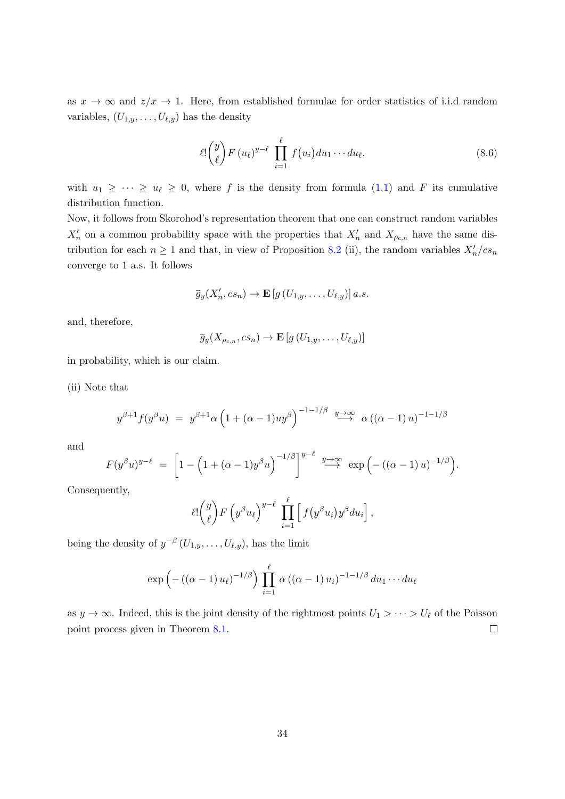as  $x \to \infty$  and  $z/x \to 1$ . Here, from established formulae for order statistics of i.i.d random variables,  $(U_{1,y}, \ldots, U_{\ell,y})$  has the density

$$
\ell! \binom{y}{\ell} F(u_{\ell})^{y-\ell} \prod_{i=1}^{\ell} f(u_i) du_1 \cdots du_{\ell}, \qquad (8.6)
$$

with  $u_1 \geq \cdots \geq u_\ell \geq 0$ , where f is the density from formula [\(1.1\)](#page-4-1) and F its cumulative distribution function.

Now, it follows from Skorohod's representation theorem that one can construct random variables  $X_n'$  on a common probability space with the properties that  $X_n'$  and  $X_{\rho_{c,n}}$  have the same distribution for each  $n \geq 1$  and that, in view of Proposition [8.2](#page-30-3) (ii), the random variables  $X'_n/cs_n$ converge to 1 a.s. It follows

$$
\overline{g}_y(X'_n, cs_n) \to \mathbf{E}\left[g\left(U_{1,y}, \ldots, U_{\ell,y}\right)\right] a.s.
$$

and, therefore,

$$
\overline{g}_{y}(X_{\rho_{c,n}}, cs_n) \to \mathbf{E}\left[g\left(U_{1,y}, \ldots, U_{\ell,y}\right)\right]
$$

in probability, which is our claim.

(ii) Note that

$$
y^{\beta+1} f(y^{\beta} u) = y^{\beta+1} \alpha \left( 1 + (\alpha - 1) u y^{\beta} \right)^{-1 - 1/\beta} \stackrel{y \to \infty}{\longrightarrow} \alpha \left( (\alpha - 1) u \right)^{-1 - 1/\beta}
$$

and

$$
F(y^{\beta}u)^{y-\ell} = \left[1 - \left(1 + (\alpha - 1)y^{\beta}u\right)^{-1/\beta}\right]^{y-\ell} \stackrel{y \to \infty}{\longrightarrow} \exp\left(-\left((\alpha - 1)u\right)^{-1/\beta}\right).
$$

Consequently,

$$
\ell! \binom{y}{\ell} F\left(y^{\beta} u_{\ell}\right)^{y-\ell} \prod_{i=1}^{\ell} \left[f\big(y^{\beta} u_i\big)y^{\beta} du_i\right],
$$

being the density of  $y^{-\beta}(U_{1,y},\ldots,U_{\ell,y}),$  has the limit

$$
\exp\left(-\left((\alpha-1)u_{\ell}\right)^{-1/\beta}\right)\prod_{i=1}^{\ell}\alpha\left((\alpha-1)u_{i}\right)^{-1-1/\beta}du_{1}\cdots du_{\ell}
$$

as  $y \to \infty$ . Indeed, this is the joint density of the rightmost points  $U_1 > \cdots > U_\ell$  of the Poisson point process given in Theorem [8.1.](#page-29-1)  $\Box$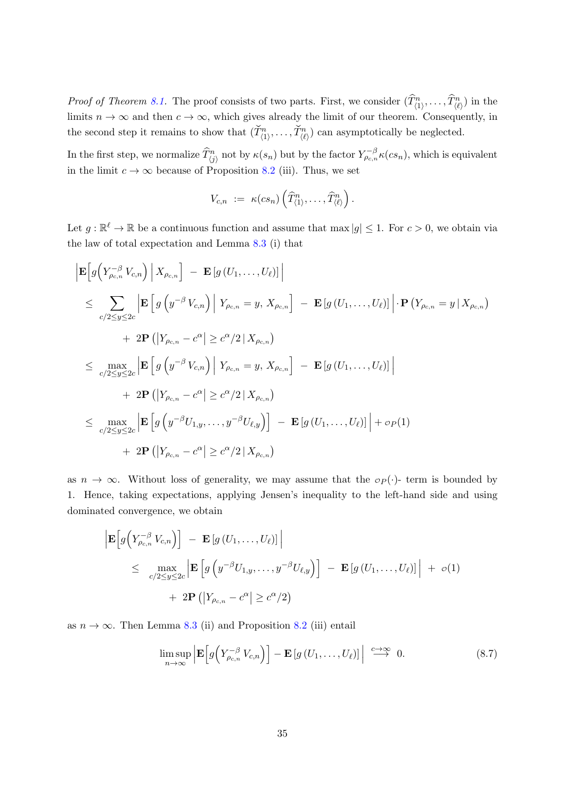*Proof of Theorem 8.1*. The proof consists of two parts. First, we consider  $(\widehat{T}_{\langle 1 \rangle}^n, \ldots, \widehat{T}_{\langle \ell \rangle}^n)$  in the limits  $n \to \infty$  and then  $c \to \infty$ , which gives already the limit of our theorem. Consequently, in the second step it remains to show that  $(\check{T}_{(1)}^n, \ldots, \check{T}_{(\ell)}^n)$  can asymptotically be neglected.

In the first step, we normalize  $\widehat{T}_{\langle j \rangle}^n$  not by  $\kappa(s_n)$  but by the factor  $Y_{\rho_{c,n}}^{-\beta} \kappa(cs_n)$ , which is equivalent in the limit  $c \to \infty$  because of Proposition [8.2](#page-30-3) (iii). Thus, we set

$$
V_{c,n} := \kappa(c s_n) \left( \widehat{T}^n_{\langle 1 \rangle}, \ldots, \widehat{T}^n_{\langle \ell \rangle} \right).
$$

Let  $g: \mathbb{R}^{\ell} \to \mathbb{R}$  be a continuous function and assume that max  $|g| \leq 1$ . For  $c > 0$ , we obtain via the law of total expectation and Lemma [8.3](#page-32-0) (i) that

$$
\begin{aligned}\n&\left|\mathbf{E}\Big[g\Big(Y_{\rho_{c,n}}^{-\beta}V_{c,n}\Big)\Big|X_{\rho_{c,n}}\Big]-\mathbf{E}\left[g\left(U_1,\ldots,U_\ell\right)\right]\right| \\
&\leq \sum_{c/2\leq y\leq 2c}\left|\mathbf{E}\Big[g\left(y^{-\beta}V_{c,n}\right)\Big|Y_{\rho_{c,n}}=y,X_{\rho_{c,n}}\Big]-\mathbf{E}\left[g\left(U_1,\ldots,U_\ell\right)\right]\right|\cdot\mathbf{P}\left(Y_{\rho_{c,n}}=y\Big|X_{\rho_{c,n}}\right) \\
&\quad+2\mathbf{P}\left(\left|Y_{\rho_{c,n}}-c^{\alpha}\right|\geq c^{\alpha}/2\left|X_{\rho_{c,n}}\right.\right) \\
&\leq \max_{c/2\leq y\leq 2c}\left|\mathbf{E}\Big[g\left(y^{-\beta}V_{c,n}\right)\Big|Y_{\rho_{c,n}}=y,X_{\rho_{c,n}}\Big]-\mathbf{E}\left[g\left(U_1,\ldots,U_\ell\right)\right]\right| \\
&\quad+2\mathbf{P}\left(\left|Y_{\rho_{c,n}}-c^{\alpha}\right|\geq c^{\alpha}/2\left|X_{\rho_{c,n}}\right.\right) \\
&\leq \max_{c/2\leq y\leq 2c}\left|\mathbf{E}\Big[g\left(y^{-\beta}U_{1,y},\ldots,y^{-\beta}U_{\ell,y}\right)\Big]-\mathbf{E}\left[g\left(U_1,\ldots,U_\ell\right)\right]\right|+o_P(1) \\
&\quad+2\mathbf{P}\left(\left|Y_{\rho_{c,n}}-c^{\alpha}\right|\geq c^{\alpha}/2\left|X_{\rho_{c,n}}\right.\right)\n\end{aligned}
$$

as  $n \to \infty$ . Without loss of generality, we may assume that the  $\sigma_P(\cdot)$ - term is bounded by 1. Hence, taking expectations, applying Jensen's inequality to the left-hand side and using dominated convergence, we obtain

$$
\begin{aligned} \left| \mathbf{E} \Big[ g \Big( Y_{\rho_{c,n}}^{-\beta} V_{c,n} \Big) \Big] \ - \ \mathbf{E} \left[ g \left( U_1, \dots, U_\ell \right) \right] \right| \\ &\leq \ \max_{c/2 \leq y \leq 2c} \left| \mathbf{E} \left[ g \left( y^{-\beta} U_{1,y}, \dots, y^{-\beta} U_{\ell,y} \right) \right] \ - \ \mathbf{E} \left[ g \left( U_1, \dots, U_\ell \right) \right] \right| \ + \ o(1) \\ &\quad + 2 \mathbf{P} \left( \left| Y_{\rho_{c,n}} - c^{\alpha} \right| \geq c^{\alpha}/2 \right) \end{aligned}
$$

as  $n \to \infty$ . Then Lemma [8.3](#page-32-0) (ii) and Proposition [8.2](#page-30-3) (iii) entail

<span id="page-34-0"></span>
$$
\limsup_{n \to \infty} \left| \mathbf{E} \left[ g \left( Y_{\rho c,n}^{-\beta} V_{c,n} \right) \right] - \mathbf{E} \left[ g \left( U_1, \dots, U_\ell \right) \right] \right| \stackrel{c \to \infty}{\longrightarrow} 0. \tag{8.7}
$$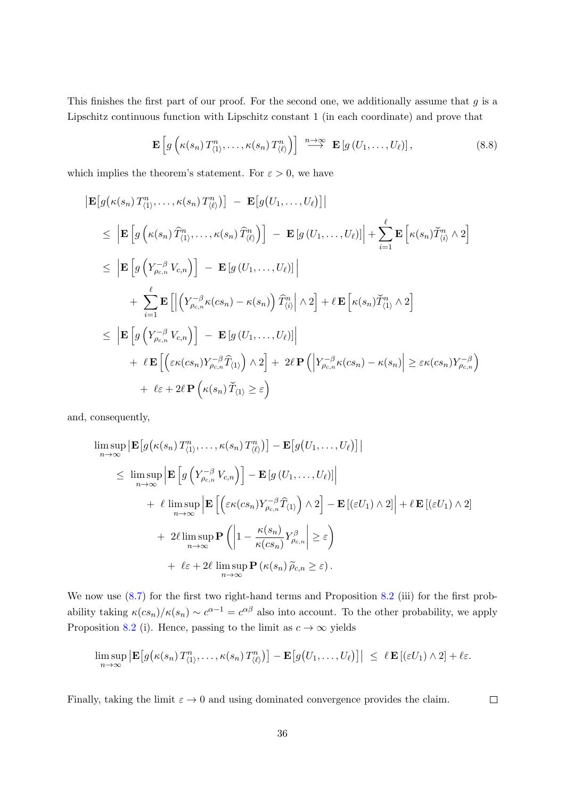This finishes the first part of our proof. For the second one, we additionally assume that  $g$  is a Lipschitz continuous function with Lipschitz constant 1 (in each coordinate) and prove that

$$
\mathbf{E}\left[g\left(\kappa(s_n)\,T_{\langle 1\rangle}^n,\ldots,\kappa(s_n)\,T_{\langle\ell\rangle}^n\right)\right]\,\stackrel{n\to\infty}{\longrightarrow}\,\mathbf{E}\left[g\left(U_1,\ldots,U_\ell\right)\right],\tag{8.8}
$$

which implies the theorem's statement. For  $\varepsilon > 0$ , we have

$$
\begin{aligned}\n\left| \mathbf{E} \left[ g \left( \kappa(s_n) T_{(1)}^n, \ldots, \kappa(s_n) T_{(\ell)}^n \right) \right] \right| &= \mathbf{E} \left[ g \left( U_1, \ldots, U_\ell \right) \right] \\
&\leq \left| \mathbf{E} \left[ g \left( \kappa(s_n) \widehat{T}_{(1)}^n, \ldots, \kappa(s_n) \widehat{T}_{(\ell)}^n \right) \right] - \mathbf{E} \left[ g \left( U_1, \ldots, U_\ell \right) \right] \right| + \sum_{i=1}^\ell \mathbf{E} \left[ \kappa(s_n) \widehat{T}_{(i)}^n \wedge 2 \right] \\
&\leq \left| \mathbf{E} \left[ g \left( Y_{\rho_{c,n}}^{-\beta} V_{c,n} \right) \right] - \mathbf{E} \left[ g \left( U_1, \ldots, U_\ell \right) \right] \right| \\
&\quad + \sum_{i=1}^\ell \mathbf{E} \left[ \left| \left( Y_{\rho_{c,n}}^{-\beta} \kappa(c s_n) - \kappa(s_n) \right) \widehat{T}_{(i)}^n \right| \wedge 2 \right] + \ell \mathbf{E} \left[ \kappa(s_n) \widecheck{T}_{(1)}^n \wedge 2 \right] \\
&\leq \left| \mathbf{E} \left[ g \left( Y_{\rho_{c,n}}^{-\beta} V_{c,n} \right) \right] - \mathbf{E} \left[ g \left( U_1, \ldots, U_\ell \right) \right] \right| \\
&\quad + \ell \mathbf{E} \left[ \left( \varepsilon \kappa(c s_n) Y_{\rho_{c,n}}^{-\beta} \widehat{T}_{(1)} \right) \wedge 2 \right] + 2\ell \mathbf{P} \left( \left| Y_{\rho_{c,n}}^{-\beta} \kappa(c s_n) - \kappa(s_n) \right| \geq \varepsilon \kappa(c s_n) Y_{\rho_{c,n}}^{-\beta} \right) \\
&\quad + \ell \varepsilon + 2\ell \mathbf{P} \left( \kappa(s_n) \widecheck{T}_{(1)} \geq \varepsilon \right)\n\end{aligned}
$$

and, consequently,

$$
\limsup_{n \to \infty} \left| \mathbf{E} \left[ g(\kappa(s_n) T_{(1)}^n, \dots, \kappa(s_n) T_{(\ell)}^n) \right] - \mathbf{E} \left[ g(U_1, \dots, U_\ell) \right] \right|
$$
\n
$$
\leq \limsup_{n \to \infty} \left| \mathbf{E} \left[ g \left( Y_{\rho_{c,n}}^{-\beta} V_{c,n} \right) \right] - \mathbf{E} \left[ g(U_1, \dots, U_\ell) \right] \right|
$$
\n
$$
+ \ell \limsup_{n \to \infty} \left| \mathbf{E} \left[ \left( \varepsilon \kappa(c s_n) Y_{\rho_{c,n}}^{-\beta} \hat{T}_{(1)} \right) \wedge 2 \right] - \mathbf{E} \left[ (\varepsilon U_1) \wedge 2 \right] \right| + \ell \mathbf{E} \left[ (\varepsilon U_1) \wedge 2 \right]
$$
\n
$$
+ 2\ell \limsup_{n \to \infty} \mathbf{P} \left( \left| 1 - \frac{\kappa(s_n)}{\kappa(c s_n)} Y_{\rho_{c,n}}^{\beta} \right| \geq \varepsilon \right)
$$
\n
$$
+ \ell \varepsilon + 2\ell \limsup_{n \to \infty} \mathbf{P} \left( \kappa(s_n) \tilde{\rho}_{c,n} \geq \varepsilon \right).
$$

We now use  $(8.7)$  for the first two right-hand terms and Proposition  $8.2$  (iii) for the first probability taking  $\kappa(\cosh)/\kappa(s_n) \sim c^{\alpha-1} = c^{\alpha\beta}$  also into account. To the other probability, we apply Proposition [8.2](#page-30-3) (i). Hence, passing to the limit as  $c \to \infty$  yields

$$
\limsup_{n\to\infty} \left| \mathbf{E}\big[g\big(\kappa(s_n) T_{\langle 1\rangle}^n, \ldots, \kappa(s_n) T_{\langle \ell\rangle}^n\big)\big] - \mathbf{E}\big[g\big(U_1, \ldots, U_\ell\big)\big]\right| \leq \ell \mathbf{E}\left[\left(\varepsilon U_1\right) \wedge 2\right] + \ell \varepsilon.
$$

Finally, taking the limit  $\varepsilon \to 0$  and using dominated convergence provides the claim.

 $\Box$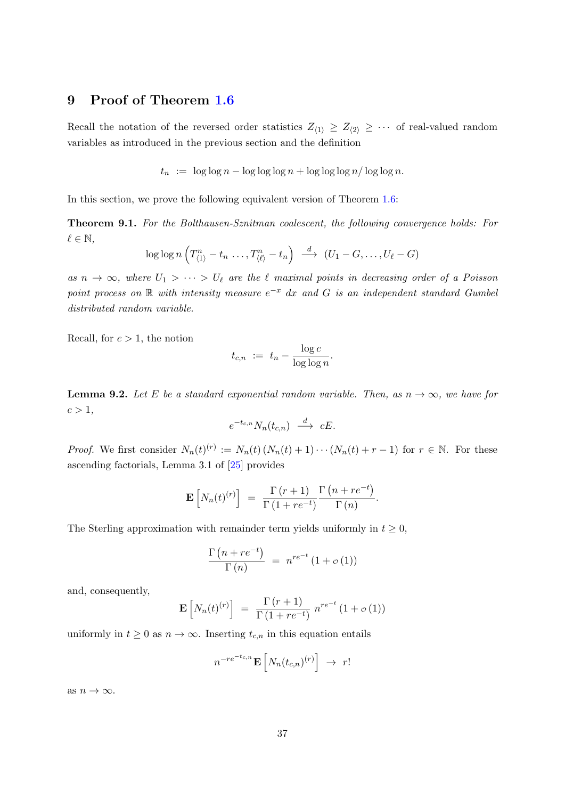# <span id="page-36-1"></span>9 Proof of Theorem [1.6](#page-6-1)

Recall the notation of the reversed order statistics  $Z_{\langle 1 \rangle} \geq Z_{\langle 2 \rangle} \geq \cdots$  of real-valued random variables as introduced in the previous section and the definition

 $t_n := \log \log n - \log \log \log n + \log \log \log n / \log \log n$ .

In this section, we prove the following equivalent version of Theorem [1.6:](#page-6-1)

<span id="page-36-0"></span>Theorem 9.1. For the Bolthausen-Sznitman coalescent, the following convergence holds: For  $\ell \in \mathbb{N},$ 

$$
\log \log n \left( T^n_{\langle 1 \rangle} - t_n \ldots, T^n_{\langle \ell \rangle} - t_n \right) \stackrel{d}{\longrightarrow} (U_1 - G, \ldots, U_\ell - G)
$$

as  $n \to \infty$ , where  $U_1 > \cdots > U_\ell$  are the  $\ell$  maximal points in decreasing order of a Poisson point process on R with intensity measure  $e^{-x}$  dx and G is an independent standard Gumbel distributed random variable.

Recall, for  $c > 1$ , the notion

$$
t_{c,n} := t_n - \frac{\log c}{\log \log n}.
$$

<span id="page-36-2"></span>**Lemma 9.2.** Let E be a standard exponential random variable. Then, as  $n \to \infty$ , we have for  $c > 1$ ,

$$
e^{-t_{c,n}}N_n(t_{c,n}) \xrightarrow{d} cE.
$$

*Proof.* We first consider  $N_n(t)^{(r)} := N_n(t) (N_n(t) + 1) \cdots (N_n(t) + r - 1)$  for  $r \in \mathbb{N}$ . For these ascending factorials, Lemma 3.1 of [\[25\]](#page-46-12) provides

$$
\mathbf{E}\left[N_n(t)^{(r)}\right] = \frac{\Gamma(r+1)}{\Gamma(1+re^{-t})} \frac{\Gamma(n+re^{-t})}{\Gamma(n)}.
$$

The Sterling approximation with remainder term yields uniformly in  $t \geq 0$ ,

$$
\frac{\Gamma(n+re^{-t})}{\Gamma(n)} = n^{re^{-t}} (1 + o(1))
$$

and, consequently,

$$
\mathbf{E}\left[N_n(t)^{(r)}\right] = \frac{\Gamma(r+1)}{\Gamma(1+re^{-t})} n^{re^{-t}} (1+o(1))
$$

uniformly in  $t \geq 0$  as  $n \to \infty$ . Inserting  $t_{c,n}$  in this equation entails

$$
n^{-re^{-t_{c,n}}}\mathbf{E}\left[N_n(t_{c,n})^{(r)}\right] \rightarrow r!
$$

as  $n \to \infty$ .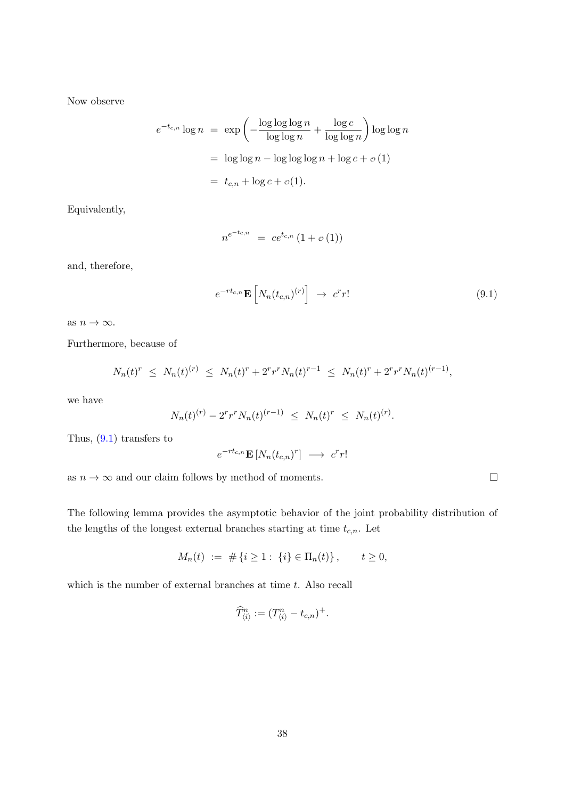Now observe

$$
e^{-t_{c,n}} \log n = \exp \left(-\frac{\log \log \log n}{\log \log n} + \frac{\log c}{\log \log n}\right) \log \log n
$$

$$
= \log \log n - \log \log \log n + \log c + o(1)
$$

$$
= t_{c,n} + \log c + o(1).
$$

Equivalently,

$$
n^{e^{-t_{c,n}}} = ce^{t_{c,n}}(1+o(1))
$$

and, therefore,

$$
e^{-rt_{c,n}} \mathbf{E}\left[N_n(t_{c,n})^{(r)}\right] \rightarrow c^r r! \tag{9.1}
$$

as  $n \to \infty$ .

Furthermore, because of

$$
N_n(t)^r \leq N_n(t)^{(r)} \leq N_n(t)^r + 2^r r^r N_n(t)^{r-1} \leq N_n(t)^r + 2^r r^r N_n(t)^{(r-1)},
$$

we have

$$
N_n(t)^{(r)} - 2^r r^r N_n(t)^{(r-1)} \le N_n(t)^r \le N_n(t)^{(r)}.
$$

Thus, [\(9.1\)](#page-37-0) transfers to

$$
e^{-rt_{c,n}} \mathbf{E}\left[N_n(t_{c,n})^r\right] \longrightarrow c^r r!
$$

as  $n \to \infty$  and our claim follows by method of moments.

The following lemma provides the asymptotic behavior of the joint probability distribution of the lengths of the longest external branches starting at time  $t_{c,n}$ . Let

$$
M_n(t) := # \{ i \ge 1 : \{ i \} \in \Pi_n(t) \}, \qquad t \ge 0,
$$

which is the number of external branches at time  $t$ . Also recall

$$
\widehat{T}_{\langle i\rangle}^n := (T_{\langle i\rangle}^n - t_{c,n})^+.
$$

<span id="page-37-0"></span> $\Box$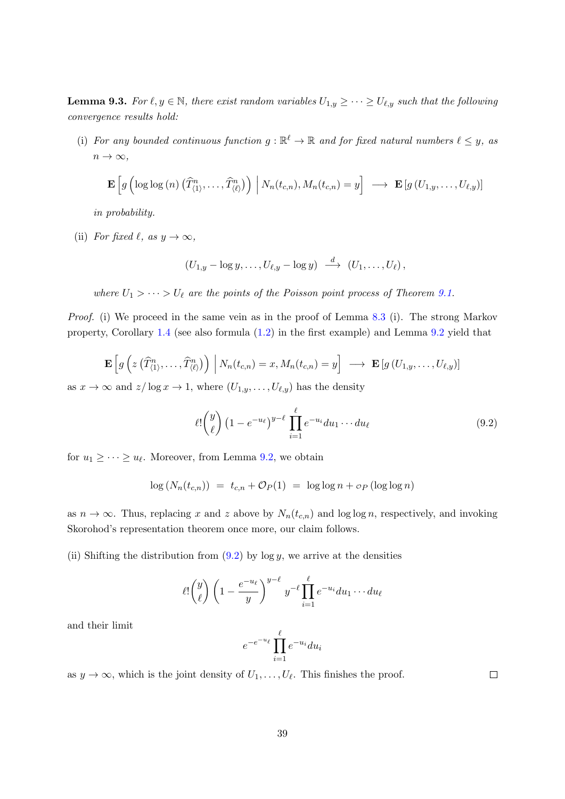<span id="page-38-1"></span>**Lemma 9.3.** For  $\ell, y \in \mathbb{N}$ , there exist random variables  $U_{1,y} \geq \cdots \geq U_{\ell,y}$  such that the following convergence results hold:

(i) For any bounded continuous function  $g : \mathbb{R}^{\ell} \to \mathbb{R}$  and for fixed natural numbers  $\ell \leq y$ , as  $n \to \infty$ ,

$$
\mathbf{E}\left[g\left(\log\log\left(n\right)\left(\widehat{T}_{\langle 1\rangle}^n,\ldots,\widehat{T}_{\langle\ell\rangle}^n\right)\right)\bigg|\,N_n(t_{c,n}),M_n(t_{c,n})=y\right]\;\;\longrightarrow\;\; \mathbf{E}\left[g\left(U_{1,y},\ldots,U_{\ell,y}\right)\right]
$$

in probability.

(ii) For fixed  $\ell$ , as  $y \to \infty$ ,

$$
(U_{1,y}-\log y,\ldots,U_{\ell,y}-\log y)\ \stackrel{d}{\longrightarrow}\ (U_1,\ldots,U_\ell)\,,
$$

where  $U_1 > \cdots > U_\ell$  are the points of the Poisson point process of Theorem [9.1.](#page-36-0)

Proof. (i) We proceed in the same vein as in the proof of Lemma [8.3](#page-32-0) (i). The strong Markov property, Corollary [1.4](#page-4-0) (see also formula [\(1.2\)](#page-4-2) in the first example) and Lemma [9.2](#page-36-2) yield that

$$
\mathbf{E}\left[g\left(z\left(\widehat{T}_{\langle 1\rangle}^n,\ldots,\widehat{T}_{\langle \ell\rangle}^n\right)\right)\bigg|\,N_n(t_{c,n})=x,M_n(t_{c,n})=y\right]\;\longrightarrow\;\mathbf{E}\left[g\left(U_{1,y},\ldots,U_{\ell,y}\right)\right]
$$

as  $x \to \infty$  and  $z/\log x \to 1$ , where  $(U_{1,y}, \ldots, U_{\ell,y})$  has the density

$$
\ell! \binom{y}{\ell} \left(1 - e^{-u_{\ell}}\right)^{y-\ell} \prod_{i=1}^{\ell} e^{-u_i} du_1 \cdots du_{\ell} \tag{9.2}
$$

for  $u_1 \geq \cdots \geq u_{\ell}$ . Moreover, from Lemma [9.2,](#page-36-2) we obtain

$$
\log (N_n(t_{c,n})) = t_{c,n} + \mathcal{O}_P(1) = \log \log n + \mathcal{O}_P(\log \log n)
$$

as  $n \to \infty$ . Thus, replacing x and z above by  $N_n(t_{c,n})$  and log log n, respectively, and invoking Skorohod's representation theorem once more, our claim follows.

(ii) Shifting the distribution from  $(9.2)$  by log y, we arrive at the densities

$$
\ell! \binom{y}{\ell} \left(1 - \frac{e^{-u_{\ell}}}{y}\right)^{y-\ell} y^{-\ell} \prod_{i=1}^{\ell} e^{-u_i} du_1 \cdots du_{\ell}
$$

and their limit

$$
e^{-e^{-u_{\ell}}}\prod_{i=1}^{\ell}e^{-u_i}du_i
$$

as  $y \to \infty$ , which is the joint density of  $U_1, \ldots, U_{\ell}$ . This finishes the proof.

<span id="page-38-0"></span> $\Box$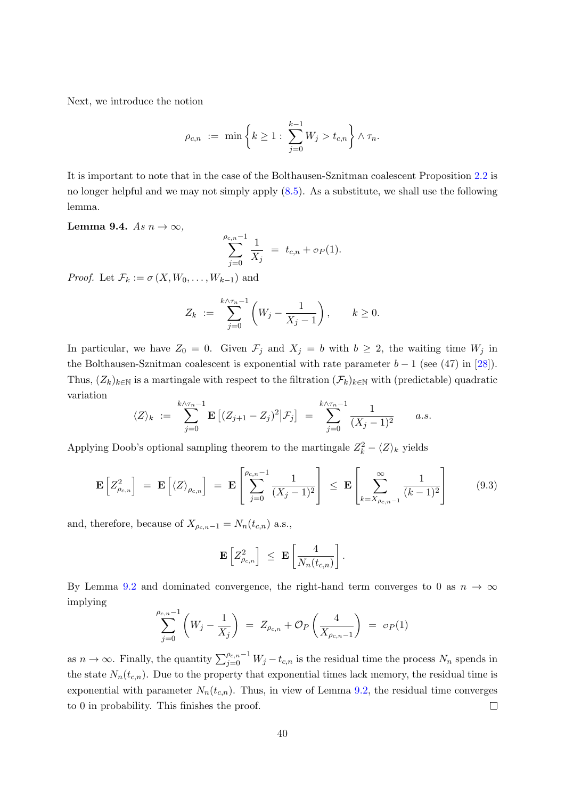Next, we introduce the notion

$$
\rho_{c,n} \ := \ \min \bigg\{ k \geq 1 : \ \sum_{j=0}^{k-1} W_j > t_{c,n} \bigg\} \wedge \tau_n.
$$

It is important to note that in the case of the Bolthausen-Sznitman coalescent Proposition [2.2](#page-11-3) is no longer helpful and we may not simply apply [\(8.5\)](#page-31-1). As a substitute, we shall use the following lemma.

#### <span id="page-39-0"></span>Lemma 9.4. As  $n \to \infty$ ,

$$
\sum_{j=0}^{\rho_{c,n}-1} \frac{1}{X_j} = t_{c,n} + o_P(1).
$$

*Proof.* Let  $\mathcal{F}_k := \sigma(X, W_0, \ldots, W_{k-1})$  and

$$
Z_k := \sum_{j=0}^{k \wedge \tau_n - 1} \left( W_j - \frac{1}{X_j - 1} \right), \qquad k \ge 0.
$$

In particular, we have  $Z_0 = 0$ . Given  $\mathcal{F}_j$  and  $X_j = b$  with  $b \geq 2$ , the waiting time  $W_j$  in the Bolthausen-Sznitman coalescent is exponential with rate parameter  $b-1$  (see (47) in [\[28\]](#page-47-2)). Thus,  $(Z_k)_{k\in\mathbb{N}}$  is a martingale with respect to the filtration  $(\mathcal{F}_k)_{k\in\mathbb{N}}$  with (predictable) quadratic variation

$$
\langle Z \rangle_k := \sum_{j=0}^{k \wedge \tau_n - 1} \mathbf{E} \left[ (Z_{j+1} - Z_j)^2 | \mathcal{F}_j \right] = \sum_{j=0}^{k \wedge \tau_n - 1} \frac{1}{(X_j - 1)^2} \qquad a.s.
$$

Applying Doob's optional sampling theorem to the martingale  $Z_k^2 - \langle Z \rangle_k$  yields

$$
\mathbf{E}\left[Z_{\rho_{c,n}}^2\right] = \mathbf{E}\left[\langle Z \rangle_{\rho_{c,n}}\right] = \mathbf{E}\left[\sum_{j=0}^{\rho_{c,n}-1} \frac{1}{(X_j-1)^2}\right] \leq \mathbf{E}\left[\sum_{k=X_{\rho_{c,n}-1}}^{\infty} \frac{1}{(k-1)^2}\right] \tag{9.3}
$$

and, therefore, because of  $X_{\rho_{c,n}-1} = N_n(t_{c,n})$  a.s.,

$$
\mathbf{E}\left[Z_{\rho_{c,n}}^2\right] \ \leq \ \mathbf{E}\left[\frac{4}{N_n(t_{c,n})}\right].
$$

By Lemma [9.2](#page-36-2) and dominated convergence, the right-hand term converges to 0 as  $n \to \infty$ implying

$$
\sum_{j=0}^{\rho_{c,n}-1} \left( W_j - \frac{1}{X_j} \right) = Z_{\rho_{c,n}} + \mathcal{O}_P \left( \frac{4}{X_{\rho_{c,n}-1}} \right) = o_P(1)
$$

as  $n \to \infty$ . Finally, the quantity  $\sum_{j=0}^{\rho_{c,n}-1} W_j - t_{c,n}$  is the residual time the process  $N_n$  spends in the state  $N_n(t_{c,n})$ . Due to the property that exponential times lack memory, the residual time is exponential with parameter  $N_n(t_{c,n})$ . Thus, in view of Lemma [9.2,](#page-36-2) the residual time converges to 0 in probability. This finishes the proof.  $\Box$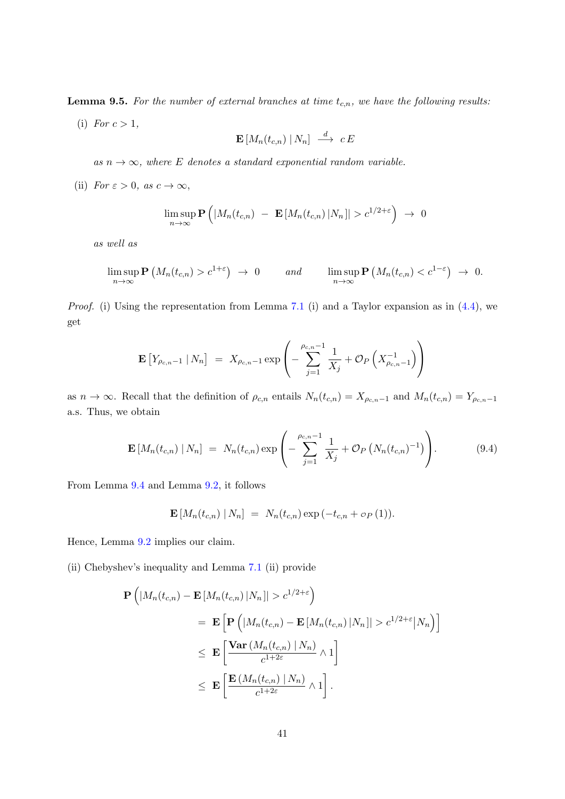<span id="page-40-0"></span>**Lemma 9.5.** For the number of external branches at time  $t_{c,n}$ , we have the following results:

(i) For  $c > 1$ ,

$$
\mathbf{E}\left[M_n(t_{c,n})\mid N_n\right] \ \stackrel{d}{\longrightarrow} \ c\,E
$$

as  $n \to \infty$ , where E denotes a standard exponential random variable.

(ii) For  $\varepsilon > 0$ , as  $c \to \infty$ ,

$$
\limsup_{n\to\infty} \mathbf{P}\left( |M_n(t_{c,n}) - \mathbf{E}\left[M_n(t_{c,n})\,|N_n|\right] > c^{1/2+\epsilon} \right) \to 0
$$

as well as

$$
\limsup_{n\to\infty} \mathbf{P}\left(M_n(t_{c,n}) > c^{1+\epsilon}\right) \to 0 \quad \text{and} \quad \limsup_{n\to\infty} \mathbf{P}\left(M_n(t_{c,n}) < c^{1-\epsilon}\right) \to 0.
$$

*Proof.* (i) Using the representation from Lemma [7.1](#page-27-1) (i) and a Taylor expansion as in  $(4.4)$ , we get

$$
\mathbf{E}\left[Y_{\rho_{c,n}-1} | N_n\right] = X_{\rho_{c,n}-1} \exp\left(-\sum_{j=1}^{\rho_{c,n}-1} \frac{1}{X_j} + \mathcal{O}_P\left(X_{\rho_{c,n}-1}^{-1}\right)\right)
$$

as  $n \to \infty$ . Recall that the definition of  $\rho_{c,n}$  entails  $N_n(t_{c,n}) = X_{\rho_{c,n}-1}$  and  $M_n(t_{c,n}) = Y_{\rho_{c,n}-1}$ a.s. Thus, we obtain

$$
\mathbf{E}\left[M_n(t_{c,n})\,|\,N_n\right] \;=\; N_n(t_{c,n}) \exp\left(-\sum_{j=1}^{\rho_{c,n}-1} \frac{1}{X_j} + \mathcal{O}_P\left(N_n(t_{c,n})^{-1}\right)\right). \tag{9.4}
$$

From Lemma [9.4](#page-39-0) and Lemma [9.2,](#page-36-2) it follows

$$
\mathbf{E}\left[M_n(t_{c,n})\,|\,N_n\right] \;=\; N_n(t_{c,n})\exp\left(-t_{c,n} + \,o_P\left(1\right)\right).
$$

Hence, Lemma [9.2](#page-36-2) implies our claim.

(ii) Chebyshev's inequality and Lemma [7.1](#page-27-1) (ii) provide

$$
\begin{split} \mathbf{P}\left(|M_{n}(t_{c,n})-\mathbf{E}\left[M_{n}(t_{c,n})\,|N_{n}\right|&>c^{1/2+\varepsilon}\right) \\ &=\mathbf{E}\left[\mathbf{P}\left(|M_{n}(t_{c,n})-\mathbf{E}\left[M_{n}(t_{c,n})\,|N_{n}\right|\right&>c^{1/2+\varepsilon}\big|N_{n}\right)\right] \\ &\leq\mathbf{E}\left[\frac{\mathbf{Var}\left(M_{n}(t_{c,n})\,|\,N_{n}\right)}{c^{1+2\varepsilon}}\wedge 1\right] \\ &\leq\mathbf{E}\left[\frac{\mathbf{E}\left(M_{n}(t_{c,n})\,|\,N_{n}\right)}{c^{1+2\varepsilon}}\wedge 1\right]. \end{split}
$$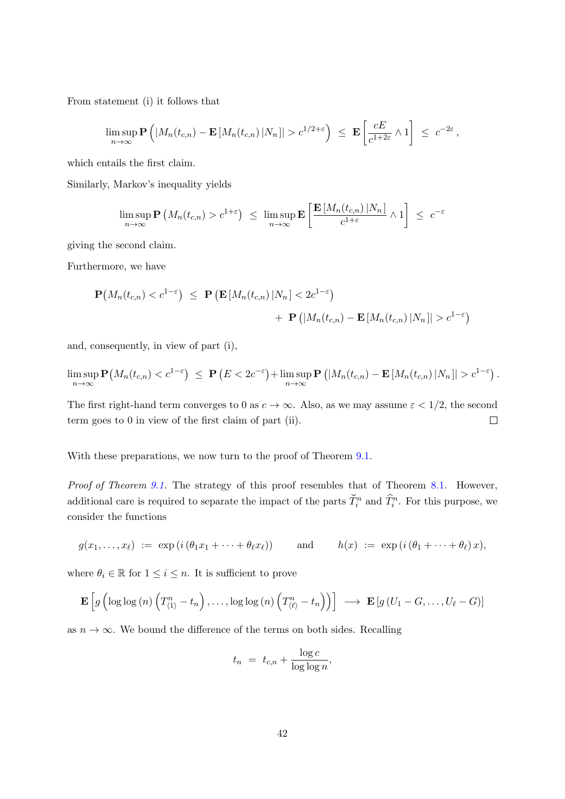From statement (i) it follows that

$$
\limsup_{n\to\infty} \mathbf{P}\left( |M_n(t_{c,n}) - \mathbf{E}\left[M_n(t_{c,n})\,|N_n|\right] > c^{1/2+\varepsilon} \right) \leq \mathbf{E}\left[\frac{cE}{c^{1+2\varepsilon}} \wedge 1\right] \leq c^{-2\varepsilon},
$$

which entails the first claim.

Similarly, Markov's inequality yields

$$
\limsup_{n\to\infty} \mathbf{P}\left(M_n(t_{c,n}) > c^{1+\varepsilon}\right) \leq \limsup_{n\to\infty} \mathbf{E}\left[\frac{\mathbf{E}\left[M_n(t_{c,n})\left|N_n\right|\right]}{c^{1+\varepsilon}} \wedge 1\right] \leq c^{-\varepsilon}
$$

giving the second claim.

Furthermore, we have

$$
\mathbf{P}\big(M_n(t_{c,n}) < c^{1-\varepsilon}\big) \leq \mathbf{P}\left(\mathbf{E}\left[M_n(t_{c,n})\,|N_n\right] < 2c^{1-\varepsilon}\right) \\
+ \mathbf{P}\left(\left|M_n(t_{c,n}) - \mathbf{E}\left[M_n(t_{c,n})\,|N_n\right]\right| > c^{1-\varepsilon}\right)
$$

and, consequently, in view of part (i),

$$
\limsup_{n\to\infty} \mathbf{P}\big(M_n(t_{c,n}) < c^{1-\varepsilon}\big) \leq \mathbf{P}\left(E < 2c^{-\varepsilon}\right) + \limsup_{n\to\infty} \mathbf{P}\left(|M_n(t_{c,n}) - \mathbf{E}\left[M_n(t_{c,n})\,|N_n|\right] > c^{1-\varepsilon}\right).
$$

The first right-hand term converges to 0 as  $c \to \infty$ . Also, as we may assume  $\varepsilon < 1/2$ , the second term goes to 0 in view of the first claim of part (ii).  $\Box$ 

With these preparations, we now turn to the proof of Theorem  $9.1$ .

Proof of Theorem [9.1.](#page-36-0) The strategy of this proof resembles that of Theorem [8.1.](#page-29-1) However, additional care is required to separate the impact of the parts  $\check{T}_i^n$  and  $\hat{T}_i^n$ . For this purpose, we consider the functions

$$
g(x_1,...,x_\ell) := \exp(i(\theta_1x_1 + \cdots + \theta_\ell x_\ell))
$$
 and  $h(x) := \exp(i(\theta_1 + \cdots + \theta_\ell)x),$ 

where  $\theta_i \in \mathbb{R}$  for  $1 \leq i \leq n$ . It is sufficient to prove

$$
\mathbf{E}\left[g\left(\log\log\left(n\right)\left(T_{\langle 1\rangle}^{n}-t_{n}\right),\ldots,\log\log\left(n\right)\left(T_{\langle\ell\rangle}^{n}-t_{n}\right)\right)\right] \longrightarrow \mathbf{E}\left[g\left(U_{1}-G,\ldots,U_{\ell}-G\right)\right]
$$

as  $n \to \infty$ . We bound the difference of the terms on both sides. Recalling

$$
t_n = t_{c,n} + \frac{\log c}{\log \log n},
$$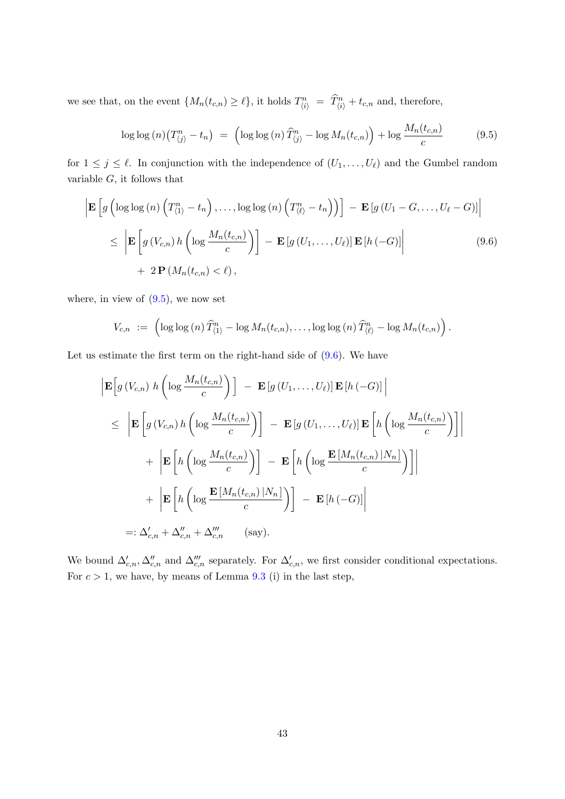we see that, on the event  $\{M_n(t_{c,n}) \geq \ell\}$ , it holds  $T_{\langle i \rangle}^n = \hat{T}_{\langle i \rangle}^n + t_{c,n}$  and, therefore,

<span id="page-42-1"></span><span id="page-42-0"></span>
$$
\log \log (n) \left( T_{\langle j \rangle}^n - t_n \right) \ = \ \left( \log \log (n) \, \widehat{T}_{\langle j \rangle}^n - \log M_n(t_{c,n}) \right) + \log \frac{M_n(t_{c,n})}{c} \tag{9.5}
$$

for  $1 \leq j \leq \ell$ . In conjunction with the independence of  $(U_1, \ldots, U_{\ell})$  and the Gumbel random variable  $G$ , it follows that

$$
\begin{aligned}\n\left| \mathbf{E} \left[ g \left( \log \log \left( n \right) \left( T_{\langle 1 \rangle}^{n} - t_{n} \right), \dots, \log \log \left( n \right) \left( T_{\langle \ell \rangle}^{n} - t_{n} \right) \right) \right] - \mathbf{E} \left[ g \left( U_{1} - G, \dots, U_{\ell} - G \right) \right] \right] \\
&\leq \left| \mathbf{E} \left[ g \left( V_{c,n} \right) h \left( \log \frac{M_{n}(t_{c,n})}{c} \right) \right] - \mathbf{E} \left[ g \left( U_{1}, \dots, U_{\ell} \right) \right] \mathbf{E} \left[ h \left( -G \right) \right] \right| \\
&\quad + 2 \mathbf{P} \left( M_{n}(t_{c,n}) < \ell \right),\n\end{aligned}\n\tag{9.6}
$$

where, in view of  $(9.5)$ , we now set

$$
V_{c,n} := \left( \log \log (n) \, \widehat{T}_{\langle 1 \rangle}^n - \log M_n(t_{c,n}), \ldots, \log \log (n) \, \widehat{T}_{\langle \ell \rangle}^n - \log M_n(t_{c,n}) \right).
$$

Let us estimate the first term on the right-hand side of  $(9.6)$ . We have

$$
\begin{aligned}\n\left| \mathbf{E} \left[ g \left( V_{c,n} \right) h \left( \log \frac{M_n(t_{c,n})}{c} \right) \right] \right] - \mathbf{E} \left[ g \left( U_1, \dots, U_\ell \right) \right] \mathbf{E} \left[ h \left( -G \right) \right] \\
&\leq \left| \mathbf{E} \left[ g \left( V_{c,n} \right) h \left( \log \frac{M_n(t_{c,n})}{c} \right) \right] - \mathbf{E} \left[ g \left( U_1, \dots, U_\ell \right) \right] \mathbf{E} \left[ h \left( \log \frac{M_n(t_{c,n})}{c} \right) \right] \right] \\
&\quad + \left| \mathbf{E} \left[ h \left( \log \frac{M_n(t_{c,n})}{c} \right) \right] - \mathbf{E} \left[ h \left( \log \frac{\mathbf{E} \left[ M_n(t_{c,n}) \right| N_n \right)}{c} \right) \right] \right| \\
&\quad + \left| \mathbf{E} \left[ h \left( \log \frac{\mathbf{E} \left[ M_n(t_{c,n}) \right| N_n \right)}{c} \right) \right] - \mathbf{E} \left[ h \left( -G \right) \right] \right| \\
&=:\Delta'_{c,n} + \Delta''_{c,n} + \Delta''_{c,n} \qquad \text{(say)}.\n\end{aligned}
$$

We bound  $\Delta'_{c,n}, \Delta''_{c,n}$  and  $\Delta'''_{c,n}$  separately. For  $\Delta'_{c,n}$ , we first consider conditional expectations. For  $c > 1$ , we have, by means of Lemma [9.3](#page-38-1) (i) in the last step,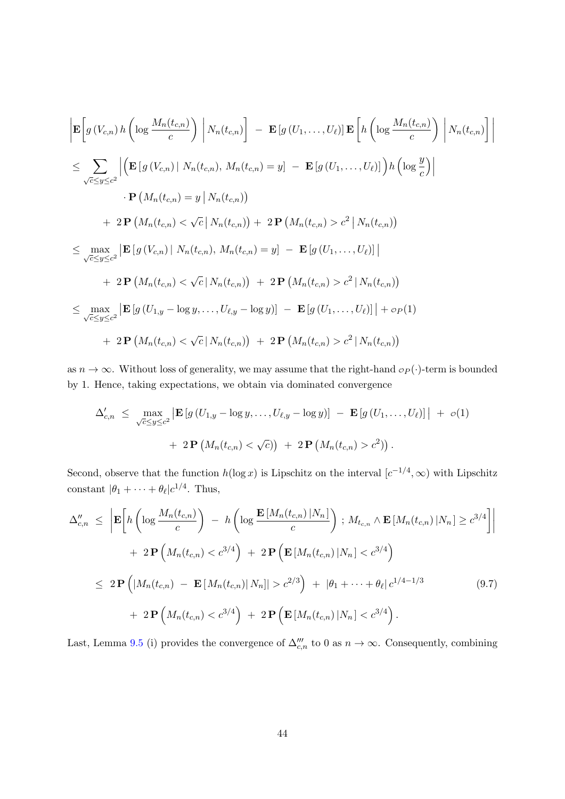$$
\begin{split}\n&\left|\mathbf{E}\left[g\left(V_{c,n}\right)h\left(\log\frac{M_n(t_{c,n})}{c}\right)\right|N_n(t_{c,n})\right] - \mathbf{E}\left[g\left(U_1,\ldots,U_\ell\right)\right]\mathbf{E}\left[h\left(\log\frac{M_n(t_{c,n})}{c}\right)\right|N_n(t_{c,n})\right] \\
&\leq \sum_{\sqrt{c}\leq y\leq c^2}\left|\left(\mathbf{E}\left[g\left(V_{c,n}\right)\right|N_n(t_{c,n}),M_n(t_{c,n})=y\right] - \mathbf{E}\left[g\left(U_1,\ldots,U_\ell\right)\right]\right)h\left(\log\frac{y}{c}\right)\right| \\
&\quad\cdot P\left(M_n(t_{c,n})=y\right|N_n(t_{c,n})\right) \\
&\quad+ 2\mathbf{P}\left(M_n(t_{c,n})<\sqrt{c}\left|N_n(t_{c,n})\right)+2\mathbf{P}\left(M_n(t_{c,n})>c^2\left|N_n(t_{c,n})\right)\right] \\
&\leq \max_{\sqrt{c}\leq y\leq c^2}\left|\mathbf{E}\left[g\left(V_{c,n}\right)\right|N_n(t_{c,n}),M_n(t_{c,n})=y\right] - \mathbf{E}\left[g\left(U_1,\ldots,U_\ell\right)\right]\right| \\
&\quad+ 2\mathbf{P}\left(M_n(t_{c,n})<\sqrt{c}\left|N_n(t_{c,n})\right) + 2\mathbf{P}\left(M_n(t_{c,n})>c^2\left|N_n(t_{c,n})\right)\right] \\
&\leq \max_{\sqrt{c}\leq y\leq c^2}\left|\mathbf{E}\left[g\left(U_{1,y}-\log y,\ldots,U_{\ell,y}-\log y\right)\right] - \mathbf{E}\left[g\left(U_1,\ldots,U_\ell\right)\right]\right| + o_P(1) \\
&\quad+ 2\mathbf{P}\left(M_n(t_{c,n})<\sqrt{c}\left|N_n(t_{c,n})\right)\right) + 2\mathbf{P}\left(M_n(t_{c,n})>c^2\left|N_n(t_{c,n})\right)\right)\n\end{split}
$$

as  $n \to \infty$ . Without loss of generality, we may assume that the right-hand  $\sigma_P(\cdot)$ -term is bounded by 1. Hence, taking expectations, we obtain via dominated convergence

$$
\Delta'_{c,n} \leq \max_{\sqrt{c} \leq y \leq c^2} \left| \mathbf{E} \left[ g \left( U_{1,y} - \log y, \dots, U_{\ell,y} - \log y \right) \right] \right| + \mathbf{E} \left[ g \left( U_1, \dots, U_\ell \right) \right] \right| + o(1)
$$

$$
+ 2 \mathbf{P} \left( M_n(t_{c,n}) < \sqrt{c} \right) + 2 \mathbf{P} \left( M_n(t_{c,n}) > c^2 \right) \right).
$$

Second, observe that the function  $h(\log x)$  is Lipschitz on the interval  $[c^{-1/4}, \infty)$  with Lipschitz constant  $|\theta_1 + \cdots + \theta_\ell|c^{1/4}$ . Thus,

<span id="page-43-0"></span>
$$
\Delta_{c,n}'' \leq \left| \mathbf{E} \left[ h \left( \log \frac{M_n(t_{c,n})}{c} \right) - h \left( \log \frac{\mathbf{E} \left[ M_n(t_{c,n}) \left| N_n \right|}{c} \right) \right] ; M_{t_{c,n}} \wedge \mathbf{E} \left[ M_n(t_{c,n}) \left| N_n \right| \geq c^{3/4} \right] \right|
$$
  
+ 
$$
2 \mathbf{P} \left( M_n(t_{c,n}) < c^{3/4} \right) + 2 \mathbf{P} \left( \mathbf{E} \left[ M_n(t_{c,n}) \left| N_n \right| < c^{3/4} \right) \right]
$$
  

$$
\leq 2 \mathbf{P} \left( \left| M_n(t_{c,n}) - \mathbf{E} \left[ M_n(t_{c,n}) \left| N_n \right| \right| > c^{2/3} \right) + \left| \theta_1 + \dots + \theta_\ell \right| c^{1/4 - 1/3} \right)
$$
  
+ 
$$
2 \mathbf{P} \left( M_n(t_{c,n}) < c^{3/4} \right) + 2 \mathbf{P} \left( \mathbf{E} \left[ M_n(t_{c,n}) \left| N_n \right| < c^{3/4} \right).
$$
 (9.7)

Last, Lemma [9.5](#page-40-0) (i) provides the convergence of  $\Delta_{c,n}^{\prime\prime\prime}$  to 0 as  $n \to \infty$ . Consequently, combining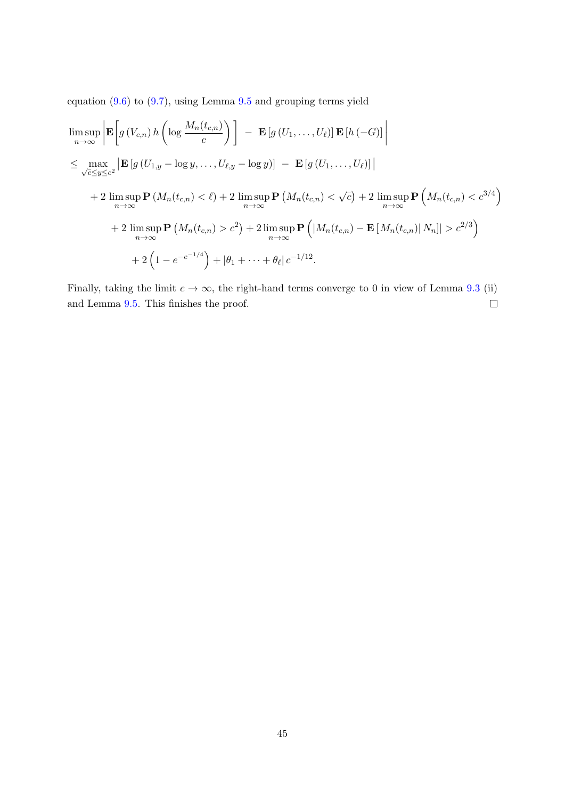equation [\(9.6\)](#page-42-1) to [\(9.7\)](#page-43-0), using Lemma [9.5](#page-40-0) and grouping terms yield

$$
\limsup_{n \to \infty} \left| \mathbf{E} \left[ g \left( V_{c,n} \right) h \left( \log \frac{M_n(t_{c,n})}{c} \right) \right] - \mathbf{E} \left[ g \left( U_1, \ldots, U_\ell \right) \right] \mathbf{E} \left[ h \left( -G \right) \right] \right|
$$
\n
$$
\leq \max_{\sqrt{c} \leq y \leq c^2} \left| \mathbf{E} \left[ g \left( U_{1,y} - \log y, \ldots, U_{\ell,y} - \log y \right) \right] - \mathbf{E} \left[ g \left( U_1, \ldots, U_\ell \right) \right] \right|
$$
\n
$$
+ 2 \limsup_{n \to \infty} \mathbf{P} \left( M_n(t_{c,n}) < \ell \right) + 2 \limsup_{n \to \infty} \mathbf{P} \left( M_n(t_{c,n}) < \sqrt{c} \right) + 2 \limsup_{n \to \infty} \mathbf{P} \left( M_n(t_{c,n}) < c^{3/4} \right)
$$
\n
$$
+ 2 \limsup_{n \to \infty} \mathbf{P} \left( M_n(t_{c,n}) > c^2 \right) + 2 \limsup_{n \to \infty} \mathbf{P} \left( \left| M_n(t_{c,n}) - \mathbf{E} \left[ M_n(t_{c,n}) \right] N_n \right| \right) > c^{2/3} \right)
$$
\n
$$
+ 2 \left( 1 - e^{-c^{-1/4}} \right) + |\theta_1 + \cdots + \theta_\ell| c^{-1/12}.
$$

Finally, taking the limit  $c \to \infty$ , the right-hand terms converge to 0 in view of Lemma [9.3](#page-38-1) (ii) and Lemma [9.5.](#page-40-0) This finishes the proof.  $\Box$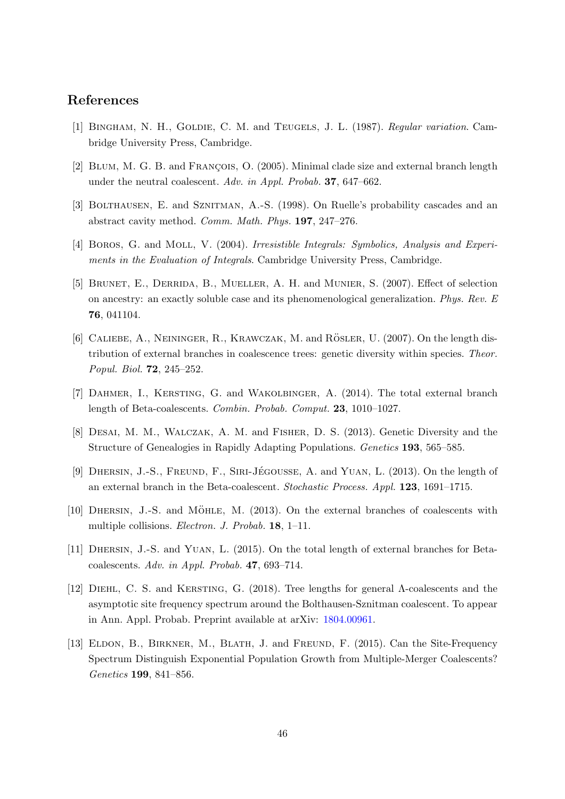# References

- <span id="page-45-11"></span>[1] BINGHAM, N. H., GOLDIE, C. M. and TEUGELS, J. L. (1987). Regular variation. Cambridge University Press, Cambridge.
- <span id="page-45-7"></span>[2] BLUM, M. G. B. and FRANÇOIS, O. (2005). Minimal clade size and external branch length under the neutral coalescent. Adv. in Appl. Probab. 37, 647–662.
- <span id="page-45-0"></span>[3] BOLTHAUSEN, E. and SZNITMAN, A.-S. (1998). On Ruelle's probability cascades and an abstract cavity method. Comm. Math. Phys. 197, 247–276.
- <span id="page-45-12"></span>[4] BOROS, G. and MOLL, V. (2004). Irresistible Integrals: Symbolics, Analysis and Experiments in the Evaluation of Integrals. Cambridge University Press, Cambridge.
- <span id="page-45-1"></span>[5] Brunet, E., Derrida, B., Mueller, A. H. and Munier, S. (2007). Effect of selection on ancestry: an exactly soluble case and its phenomenological generalization. Phys. Rev. E 76, 041104.
- <span id="page-45-8"></span>[6] CALIEBE, A., NEININGER, R., KRAWCZAK, M. and RÖSLER, U.  $(2007)$ . On the length distribution of external branches in coalescence trees: genetic diversity within species. Theor. Popul. Biol. 72, 245–252.
- <span id="page-45-4"></span>[7] Dahmer, I., Kersting, G. and Wakolbinger, A. (2014). The total external branch length of Beta-coalescents. Combin. Probab. Comput. 23, 1010–1027.
- <span id="page-45-2"></span>[8] DESAI, M. M., WALCZAK, A. M. and FISHER, D. S. (2013). Genetic Diversity and the Structure of Genealogies in Rapidly Adapting Populations. Genetics 193, 565–585.
- <span id="page-45-9"></span>[9] DHERSIN, J.-S., FREUND, F., SIRI-JÉGOUSSE, A. and YUAN, L. (2013). On the length of an external branch in the Beta-coalescent. Stochastic Process. Appl. 123, 1691–1715.
- <span id="page-45-10"></span>[10] DHERSIN, J.-S. and MÖHLE, M. (2013). On the external branches of coalescents with multiple collisions. Electron. J. Probab. 18, 1–11.
- <span id="page-45-5"></span>[11] Dhersin, J.-S. and Yuan, L. (2015). On the total length of external branches for Betacoalescents. Adv. in Appl. Probab. 47, 693–714.
- <span id="page-45-3"></span>[12] Diehl, C. S. and Kersting, G. (2018). Tree lengths for general Λ-coalescents and the asymptotic site frequency spectrum around the Bolthausen-Sznitman coalescent. To appear in Ann. Appl. Probab. Preprint available at arXiv: [1804.00961.](https://arxiv.org/abs/1804.00961)
- <span id="page-45-6"></span>[13] ELDON, B., BIRKNER, M., BLATH, J. and FREUND, F. (2015). Can the Site-Frequency Spectrum Distinguish Exponential Population Growth from Multiple-Merger Coalescents? Genetics 199, 841–856.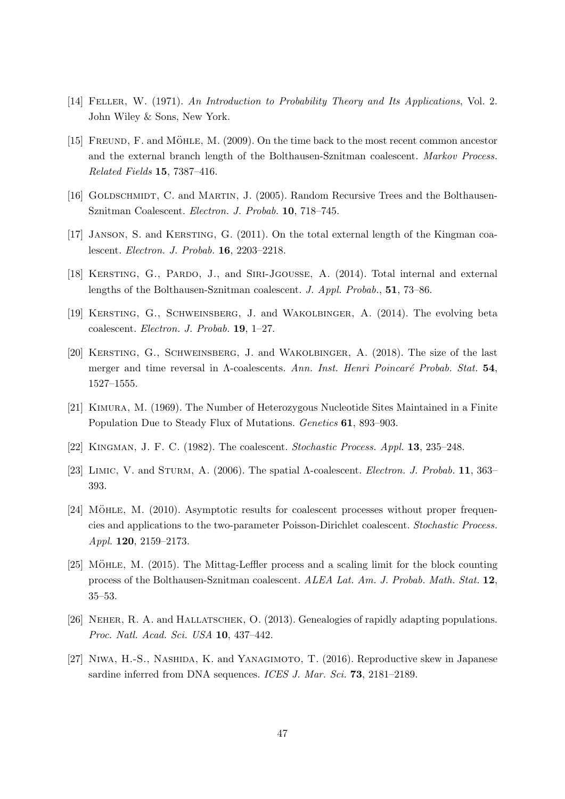- <span id="page-46-13"></span>[14] FELLER, W. (1971). An Introduction to Probability Theory and Its Applications, Vol. 2. John Wiley & Sons, New York.
- <span id="page-46-10"></span> $[15]$  FREUND, F. and MÖHLE, M.  $(2009)$ . On the time back to the most recent common ancestor and the external branch length of the Bolthausen-Sznitman coalescent. Markov Process. Related Fields 15, 7387–416.
- <span id="page-46-11"></span>[16] GOLDSCHMIDT, C. and MARTIN, J. (2005). Random Recursive Trees and the Bolthausen-Sznitman Coalescent. Electron. J. Probab. 10, 718–745.
- <span id="page-46-5"></span>[17] JANSON, S. and KERSTING, G. (2011). On the total external length of the Kingman coalescent. Electron. J. Probab. 16, 2203–2218.
- <span id="page-46-6"></span>[18] KERSTING, G., PARDO, J., and SIRI-JGOUSSE, A. (2014). Total internal and external lengths of the Bolthausen-Sznitman coalescent. J. Appl. Probab., 51, 73–86.
- <span id="page-46-9"></span>[19] Kersting, G., Schweinsberg, J. and Wakolbinger, A. (2014). The evolving beta coalescent. Electron. J. Probab. 19, 1–27.
- <span id="page-46-3"></span>[20] Kersting, G., Schweinsberg, J. and Wakolbinger, A. (2018). The size of the last merger and time reversal in Λ-coalescents. Ann. Inst. Henri Poincaré Probab. Stat. 54, 1527–1555.
- <span id="page-46-8"></span>[21] Kimura, M. (1969). The Number of Heterozygous Nucleotide Sites Maintained in a Finite Population Due to Steady Flux of Mutations. Genetics 61, 893–903.
- <span id="page-46-0"></span>[22] Kingman, J. F. C. (1982). The coalescent. Stochastic Process. Appl. 13, 235–248.
- <span id="page-46-7"></span>[23] LIMIC, V. and STURM, A. (2006). The spatial  $\Lambda$ -coalescent. *Electron. J. Probab.* 11, 363– 393.
- <span id="page-46-4"></span> $[24]$  MÖHLE, M.  $(2010)$ . Asymptotic results for coalescent processes without proper frequencies and applications to the two-parameter Poisson-Dirichlet coalescent. Stochastic Process. Appl. 120, 2159–2173.
- <span id="page-46-12"></span>[25] MÖHLE, M. (2015). The Mittag-Leffler process and a scaling limit for the block counting process of the Bolthausen-Sznitman coalescent. ALEA Lat. Am. J. Probab. Math. Stat. 12, 35–53.
- <span id="page-46-1"></span>[26] Neher, R. A. and Hallatschek, O. (2013). Genealogies of rapidly adapting populations. Proc. Natl. Acad. Sci. USA 10, 437–442.
- <span id="page-46-2"></span>[27] Niwa, H.-S., Nashida, K. and Yanagimoto, T. (2016). Reproductive skew in Japanese sardine inferred from DNA sequences. ICES J. Mar. Sci. 73, 2181-2189.